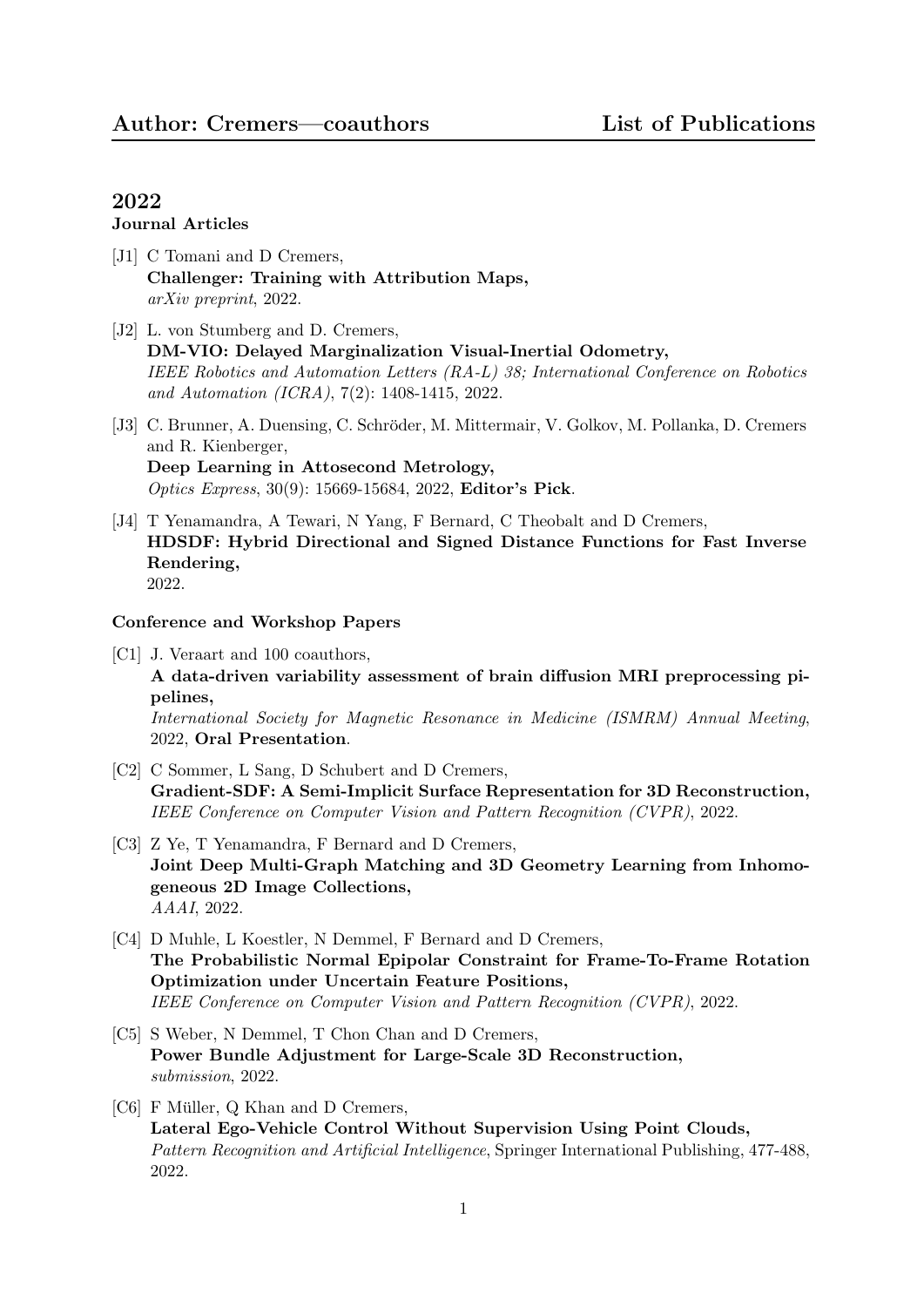#### Journal Articles

- [J1] C Tomani and D Cremers, Challenger: Training with Attribution Maps, arXiv preprint, 2022.
- [J2] L. von Stumberg and D. Cremers, DM-VIO: Delayed Marginalization Visual-Inertial Odometry, IEEE Robotics and Automation Letters (RA-L) 38; International Conference on Robotics and Automation (ICRA), 7(2): 1408-1415, 2022.
- [J3] C. Brunner, A. Duensing, C. Schröder, M. Mittermair, V. Golkov, M. Pollanka, D. Cremers and R. Kienberger, Deep Learning in Attosecond Metrology, Optics Express, 30(9): 15669-15684, 2022, Editor's Pick.
- [J4] T Yenamandra, A Tewari, N Yang, F Bernard, C Theobalt and D Cremers, HDSDF: Hybrid Directional and Signed Distance Functions for Fast Inverse Rendering, 2022.

#### Conference and Workshop Papers

[C1] J. Veraart and 100 coauthors,

A data-driven variability assessment of brain diffusion MRI preprocessing pipelines,

International Society for Magnetic Resonance in Medicine (ISMRM) Annual Meeting, 2022, Oral Presentation.

- [C2] C Sommer, L Sang, D Schubert and D Cremers, Gradient-SDF: A Semi-Implicit Surface Representation for 3D Reconstruction, IEEE Conference on Computer Vision and Pattern Recognition (CVPR), 2022.
- [C3] Z Ye, T Yenamandra, F Bernard and D Cremers, Joint Deep Multi-Graph Matching and 3D Geometry Learning from Inhomogeneous 2D Image Collections, AAAI, 2022.
- [C4] D Muhle, L Koestler, N Demmel, F Bernard and D Cremers, The Probabilistic Normal Epipolar Constraint for Frame-To-Frame Rotation Optimization under Uncertain Feature Positions, IEEE Conference on Computer Vision and Pattern Recognition (CVPR), 2022.
- [C5] S Weber, N Demmel, T Chon Chan and D Cremers, Power Bundle Adjustment for Large-Scale 3D Reconstruction, submission, 2022.
- [C6] F Müller, Q Khan and D Cremers, Lateral Ego-Vehicle Control Without Supervision Using Point Clouds, Pattern Recognition and Artificial Intelligence, Springer International Publishing, 477-488, 2022.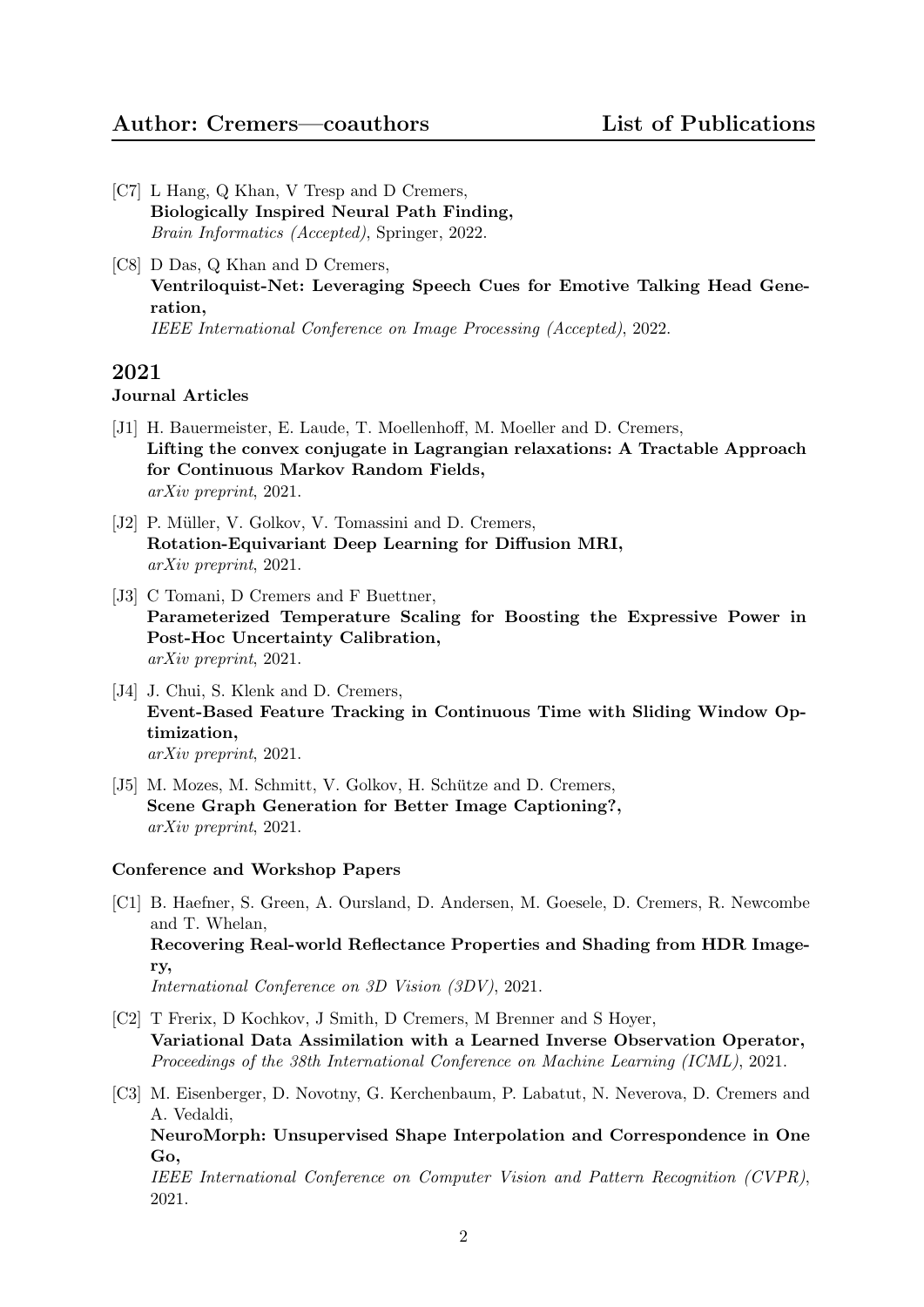- [C7] L Hang, Q Khan, V Tresp and D Cremers, Biologically Inspired Neural Path Finding, Brain Informatics (Accepted), Springer, 2022.
- [C8] D Das, Q Khan and D Cremers, Ventriloquist-Net: Leveraging Speech Cues for Emotive Talking Head Generation, IEEE International Conference on Image Processing (Accepted), 2022.

#### Journal Articles

- [J1] H. Bauermeister, E. Laude, T. Moellenhoff, M. Moeller and D. Cremers, Lifting the convex conjugate in Lagrangian relaxations: A Tractable Approach for Continuous Markov Random Fields, arXiv preprint, 2021.
- [J2] P. Müller, V. Golkov, V. Tomassini and D. Cremers, Rotation-Equivariant Deep Learning for Diffusion MRI, arXiv preprint, 2021.
- [J3] C Tomani, D Cremers and F Buettner, Parameterized Temperature Scaling for Boosting the Expressive Power in Post-Hoc Uncertainty Calibration, arXiv preprint, 2021.
- [J4] J. Chui, S. Klenk and D. Cremers, Event-Based Feature Tracking in Continuous Time with Sliding Window Optimization, arXiv preprint, 2021.
- [J5] M. Mozes, M. Schmitt, V. Golkov, H. Schütze and D. Cremers, Scene Graph Generation for Better Image Captioning?, arXiv preprint, 2021.

#### Conference and Workshop Papers

- [C1] B. Haefner, S. Green, A. Oursland, D. Andersen, M. Goesele, D. Cremers, R. Newcombe and T. Whelan, Recovering Real-world Reflectance Properties and Shading from HDR Imagery, International Conference on 3D Vision (3DV), 2021.
- [C2] T Frerix, D Kochkov, J Smith, D Cremers, M Brenner and S Hoyer, Variational Data Assimilation with a Learned Inverse Observation Operator, Proceedings of the 38th International Conference on Machine Learning (ICML), 2021.
- [C3] M. Eisenberger, D. Novotny, G. Kerchenbaum, P. Labatut, N. Neverova, D. Cremers and A. Vedaldi, NeuroMorph: Unsupervised Shape Interpolation and Correspondence in One Go,

IEEE International Conference on Computer Vision and Pattern Recognition (CVPR), 2021.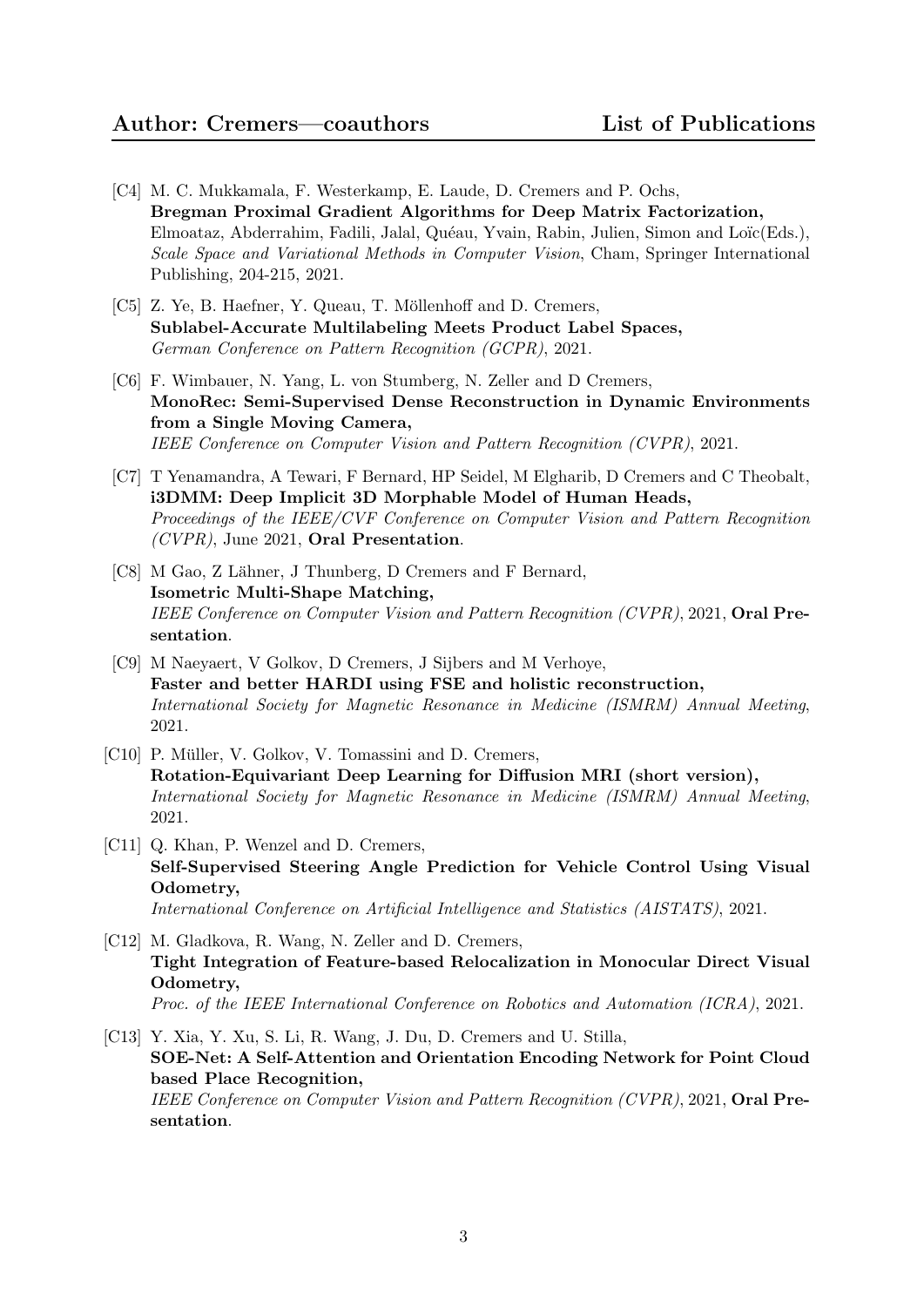- [C4] M. C. Mukkamala, F. Westerkamp, E. Laude, D. Cremers and P. Ochs, Bregman Proximal Gradient Algorithms for Deep Matrix Factorization, Elmoataz, Abderrahim, Fadili, Jalal, Quéau, Yvain, Rabin, Julien, Simon and Loïc(Eds.), Scale Space and Variational Methods in Computer Vision, Cham, Springer International Publishing, 204-215, 2021.
- [C5] Z. Ye, B. Haefner, Y. Queau, T. Möllenhoff and D. Cremers, Sublabel-Accurate Multilabeling Meets Product Label Spaces, German Conference on Pattern Recognition (GCPR), 2021.
- [C6] F. Wimbauer, N. Yang, L. von Stumberg, N. Zeller and D Cremers, MonoRec: Semi-Supervised Dense Reconstruction in Dynamic Environments from a Single Moving Camera, IEEE Conference on Computer Vision and Pattern Recognition (CVPR), 2021.
- [C7] T Yenamandra, A Tewari, F Bernard, HP Seidel, M Elgharib, D Cremers and C Theobalt, i3DMM: Deep Implicit 3D Morphable Model of Human Heads, Proceedings of the IEEE/CVF Conference on Computer Vision and Pattern Recognition (CVPR), June 2021, Oral Presentation.
- [C8] M Gao, Z Lähner, J Thunberg, D Cremers and F Bernard, Isometric Multi-Shape Matching, IEEE Conference on Computer Vision and Pattern Recognition (CVPR), 2021, Oral Presentation.
- [C9] M Naeyaert, V Golkov, D Cremers, J Sijbers and M Verhoye, Faster and better HARDI using FSE and holistic reconstruction, International Society for Magnetic Resonance in Medicine (ISMRM) Annual Meeting, 2021.
- [C10] P. Müller, V. Golkov, V. Tomassini and D. Cremers, Rotation-Equivariant Deep Learning for Diffusion MRI (short version), International Society for Magnetic Resonance in Medicine (ISMRM) Annual Meeting, 2021.
- [C11] Q. Khan, P. Wenzel and D. Cremers, Self-Supervised Steering Angle Prediction for Vehicle Control Using Visual Odometry, International Conference on Artificial Intelligence and Statistics (AISTATS), 2021.
- [C12] M. Gladkova, R. Wang, N. Zeller and D. Cremers, Tight Integration of Feature-based Relocalization in Monocular Direct Visual Odometry, Proc. of the IEEE International Conference on Robotics and Automation (ICRA), 2021.
- [C13] Y. Xia, Y. Xu, S. Li, R. Wang, J. Du, D. Cremers and U. Stilla, SOE-Net: A Self-Attention and Orientation Encoding Network for Point Cloud based Place Recognition, IEEE Conference on Computer Vision and Pattern Recognition (CVPR), 2021, Oral Presentation.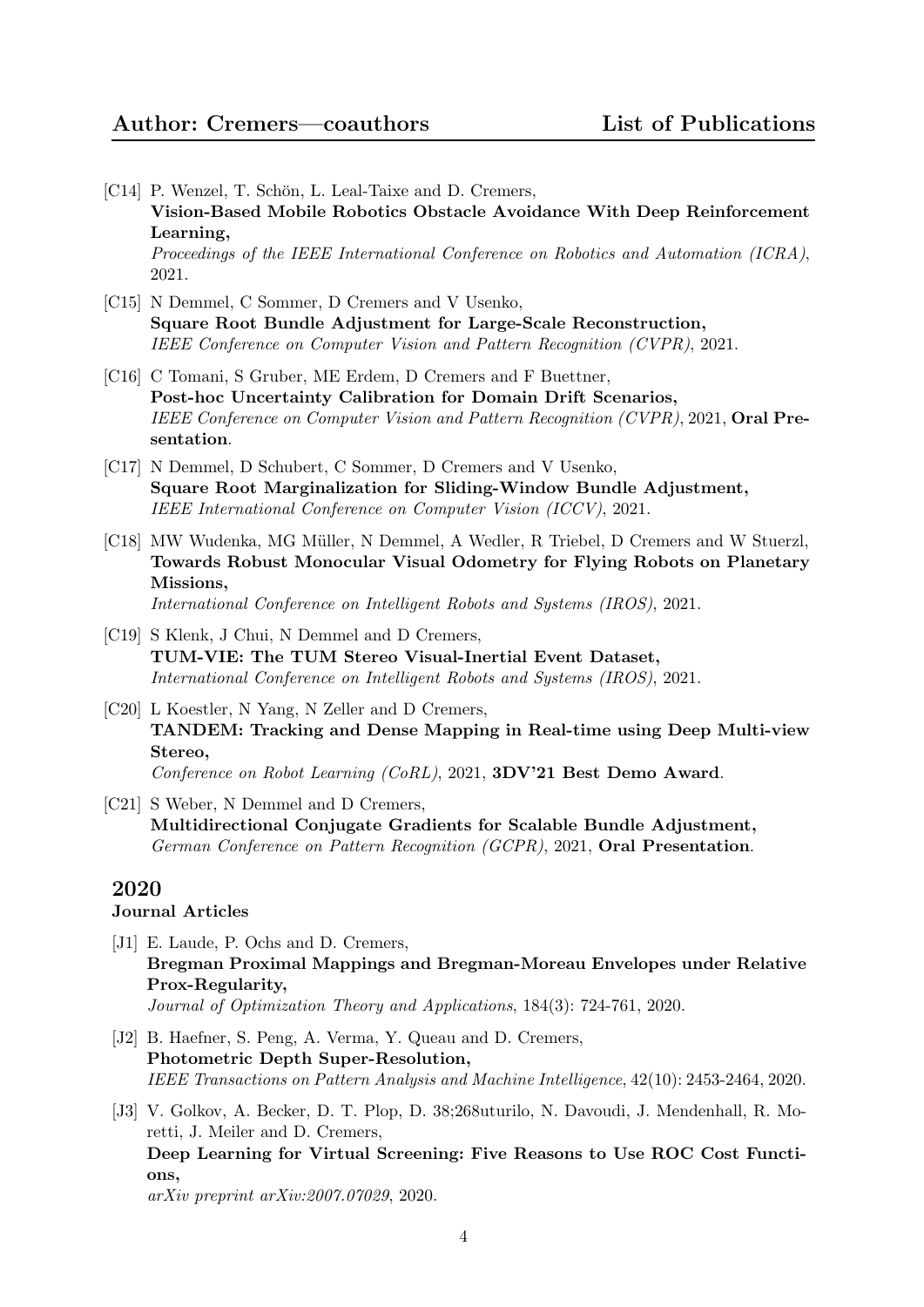- [C14] P. Wenzel, T. Schön, L. Leal-Taixe and D. Cremers, Vision-Based Mobile Robotics Obstacle Avoidance With Deep Reinforcement Learning, Proceedings of the IEEE International Conference on Robotics and Automation (ICRA), 2021.
- [C15] N Demmel, C Sommer, D Cremers and V Usenko, Square Root Bundle Adjustment for Large-Scale Reconstruction, IEEE Conference on Computer Vision and Pattern Recognition (CVPR), 2021.
- [C16] C Tomani, S Gruber, ME Erdem, D Cremers and F Buettner, Post-hoc Uncertainty Calibration for Domain Drift Scenarios, IEEE Conference on Computer Vision and Pattern Recognition (CVPR), 2021, Oral Presentation.
- [C17] N Demmel, D Schubert, C Sommer, D Cremers and V Usenko, Square Root Marginalization for Sliding-Window Bundle Adjustment, IEEE International Conference on Computer Vision (ICCV), 2021.
- [C18] MW Wudenka, MG Müller, N Demmel, A Wedler, R Triebel, D Cremers and W Stuerzl, Towards Robust Monocular Visual Odometry for Flying Robots on Planetary Missions,

International Conference on Intelligent Robots and Systems (IROS), 2021.

- [C19] S Klenk, J Chui, N Demmel and D Cremers, TUM-VIE: The TUM Stereo Visual-Inertial Event Dataset, International Conference on Intelligent Robots and Systems (IROS), 2021.
- [C20] L Koestler, N Yang, N Zeller and D Cremers, TANDEM: Tracking and Dense Mapping in Real-time using Deep Multi-view Stereo, Conference on Robot Learning (CoRL), 2021, 3DV'21 Best Demo Award.
- [C21] S Weber, N Demmel and D Cremers, Multidirectional Conjugate Gradients for Scalable Bundle Adjustment, German Conference on Pattern Recognition (GCPR), 2021, Oral Presentation.

# 2020

# Journal Articles

- [J1] E. Laude, P. Ochs and D. Cremers, Bregman Proximal Mappings and Bregman-Moreau Envelopes under Relative Prox-Regularity, Journal of Optimization Theory and Applications, 184(3): 724-761, 2020.
- [J2] B. Haefner, S. Peng, A. Verma, Y. Queau and D. Cremers, Photometric Depth Super-Resolution, IEEE Transactions on Pattern Analysis and Machine Intelligence, 42(10): 2453-2464, 2020.
- [J3] V. Golkov, A. Becker, D. T. Plop, D. 38;268uturilo, N. Davoudi, J. Mendenhall, R. Moretti, J. Meiler and D. Cremers, Deep Learning for Virtual Screening: Five Reasons to Use ROC Cost Functions,

arXiv preprint arXiv:2007.07029, 2020.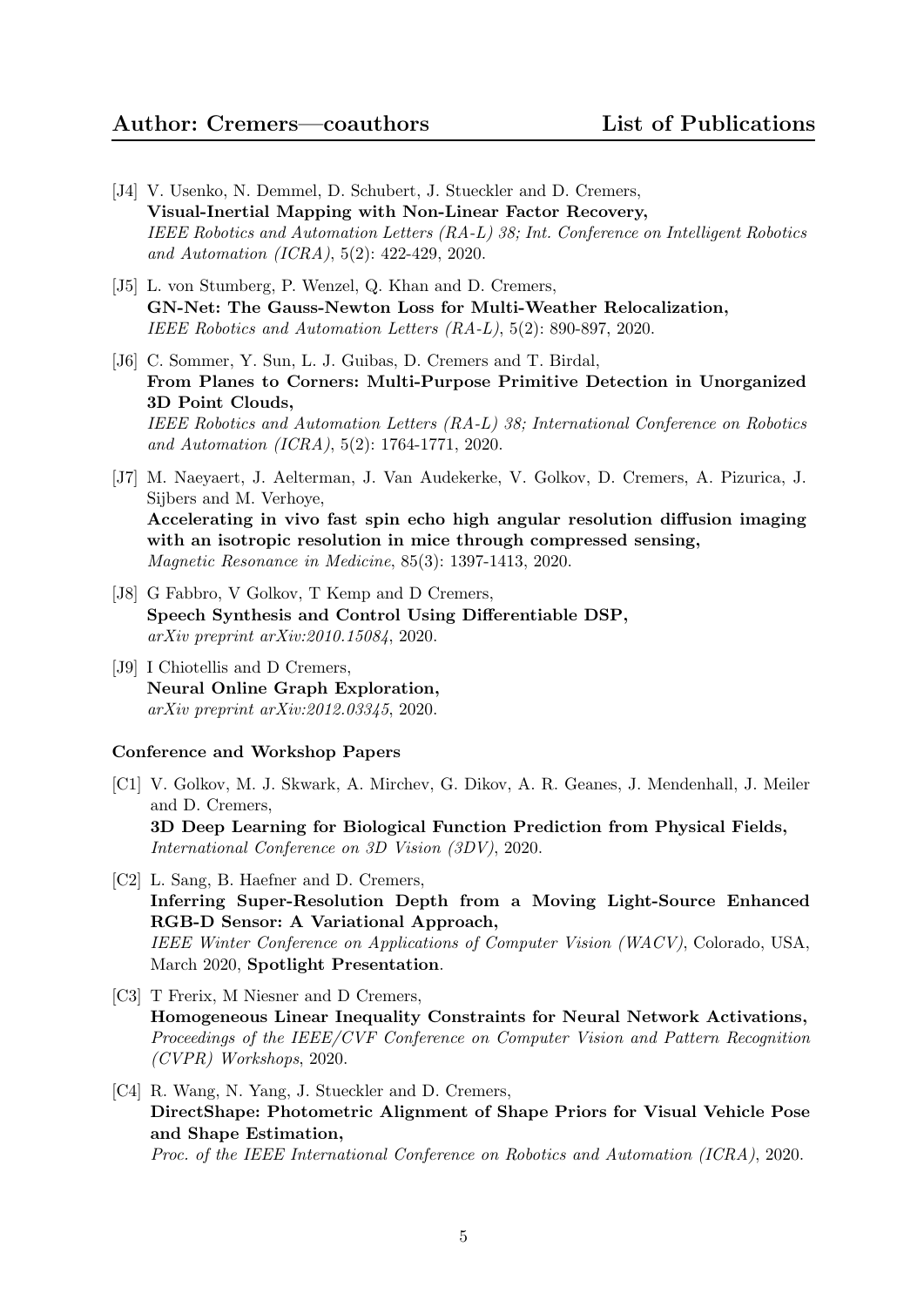- [J4] V. Usenko, N. Demmel, D. Schubert, J. Stueckler and D. Cremers, Visual-Inertial Mapping with Non-Linear Factor Recovery, IEEE Robotics and Automation Letters (RA-L) 38; Int. Conference on Intelligent Robotics and Automation (ICRA), 5(2): 422-429, 2020.
- [J5] L. von Stumberg, P. Wenzel, Q. Khan and D. Cremers, GN-Net: The Gauss-Newton Loss for Multi-Weather Relocalization, IEEE Robotics and Automation Letters (RA-L), 5(2): 890-897, 2020.
- [J6] C. Sommer, Y. Sun, L. J. Guibas, D. Cremers and T. Birdal, From Planes to Corners: Multi-Purpose Primitive Detection in Unorganized 3D Point Clouds, IEEE Robotics and Automation Letters (RA-L) 38; International Conference on Robotics and Automation (ICRA), 5(2): 1764-1771, 2020.
- [J7] M. Naeyaert, J. Aelterman, J. Van Audekerke, V. Golkov, D. Cremers, A. Pizurica, J. Sijbers and M. Verhoye, Accelerating in vivo fast spin echo high angular resolution diffusion imaging with an isotropic resolution in mice through compressed sensing, Magnetic Resonance in Medicine, 85(3): 1397-1413, 2020.
- [J8] G Fabbro, V Golkov, T Kemp and D Cremers, Speech Synthesis and Control Using Differentiable DSP, arXiv preprint arXiv:2010.15084, 2020.
- [J9] I Chiotellis and D Cremers, Neural Online Graph Exploration, arXiv preprint arXiv:2012.03345, 2020.

- [C1] V. Golkov, M. J. Skwark, A. Mirchev, G. Dikov, A. R. Geanes, J. Mendenhall, J. Meiler and D. Cremers, 3D Deep Learning for Biological Function Prediction from Physical Fields, International Conference on 3D Vision (3DV), 2020.
- [C2] L. Sang, B. Haefner and D. Cremers, Inferring Super-Resolution Depth from a Moving Light-Source Enhanced RGB-D Sensor: A Variational Approach, IEEE Winter Conference on Applications of Computer Vision (WACV), Colorado, USA, March 2020, Spotlight Presentation.
- [C3] T Frerix, M Niesner and D Cremers, Homogeneous Linear Inequality Constraints for Neural Network Activations, Proceedings of the IEEE/CVF Conference on Computer Vision and Pattern Recognition (CVPR) Workshops, 2020.
- [C4] R. Wang, N. Yang, J. Stueckler and D. Cremers, DirectShape: Photometric Alignment of Shape Priors for Visual Vehicle Pose and Shape Estimation, Proc. of the IEEE International Conference on Robotics and Automation (ICRA), 2020.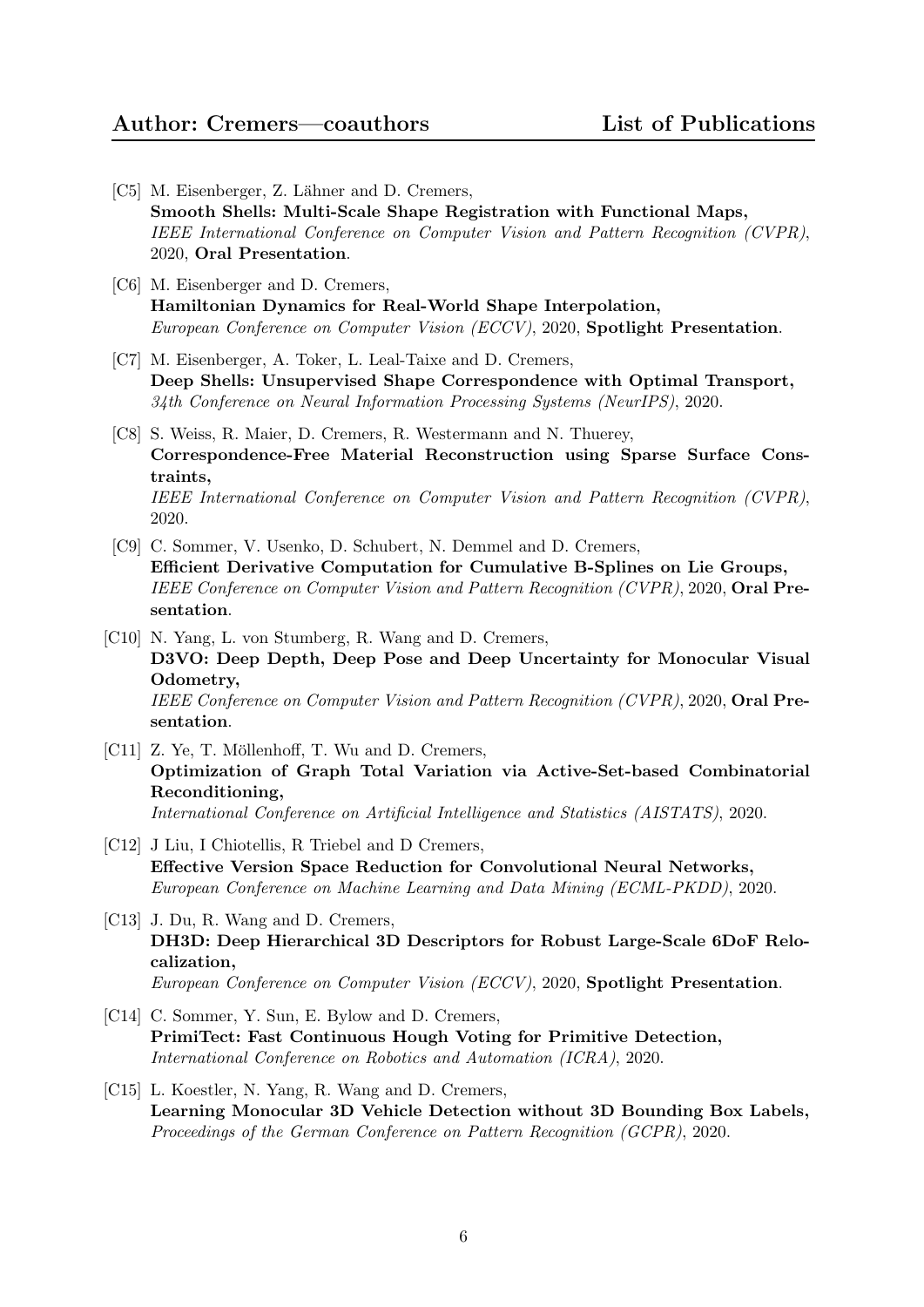- [C5] M. Eisenberger, Z. Lähner and D. Cremers, Smooth Shells: Multi-Scale Shape Registration with Functional Maps, IEEE International Conference on Computer Vision and Pattern Recognition (CVPR), 2020, Oral Presentation.
- [C6] M. Eisenberger and D. Cremers, Hamiltonian Dynamics for Real-World Shape Interpolation, European Conference on Computer Vision (ECCV), 2020, Spotlight Presentation.
- [C7] M. Eisenberger, A. Toker, L. Leal-Taixe and D. Cremers, Deep Shells: Unsupervised Shape Correspondence with Optimal Transport, 34th Conference on Neural Information Processing Systems (NeurIPS), 2020.
- [C8] S. Weiss, R. Maier, D. Cremers, R. Westermann and N. Thuerey, Correspondence-Free Material Reconstruction using Sparse Surface Constraints, IEEE International Conference on Computer Vision and Pattern Recognition (CVPR), 2020.
- [C9] C. Sommer, V. Usenko, D. Schubert, N. Demmel and D. Cremers, Efficient Derivative Computation for Cumulative B-Splines on Lie Groups, IEEE Conference on Computer Vision and Pattern Recognition (CVPR), 2020, Oral Presentation.
- [C10] N. Yang, L. von Stumberg, R. Wang and D. Cremers, D3VO: Deep Depth, Deep Pose and Deep Uncertainty for Monocular Visual Odometry, IEEE Conference on Computer Vision and Pattern Recognition (CVPR), 2020, Oral Presentation.
- [C11] Z. Ye, T. Möllenhoff, T. Wu and D. Cremers, Optimization of Graph Total Variation via Active-Set-based Combinatorial Reconditioning, International Conference on Artificial Intelligence and Statistics (AISTATS), 2020.
- [C12] J Liu, I Chiotellis, R Triebel and D Cremers, Effective Version Space Reduction for Convolutional Neural Networks, European Conference on Machine Learning and Data Mining (ECML-PKDD), 2020.
- [C13] J. Du, R. Wang and D. Cremers, DH3D: Deep Hierarchical 3D Descriptors for Robust Large-Scale 6DoF Relocalization, European Conference on Computer Vision (ECCV), 2020, Spotlight Presentation.
- [C14] C. Sommer, Y. Sun, E. Bylow and D. Cremers, PrimiTect: Fast Continuous Hough Voting for Primitive Detection, International Conference on Robotics and Automation (ICRA), 2020.
- [C15] L. Koestler, N. Yang, R. Wang and D. Cremers, Learning Monocular 3D Vehicle Detection without 3D Bounding Box Labels, Proceedings of the German Conference on Pattern Recognition (GCPR), 2020.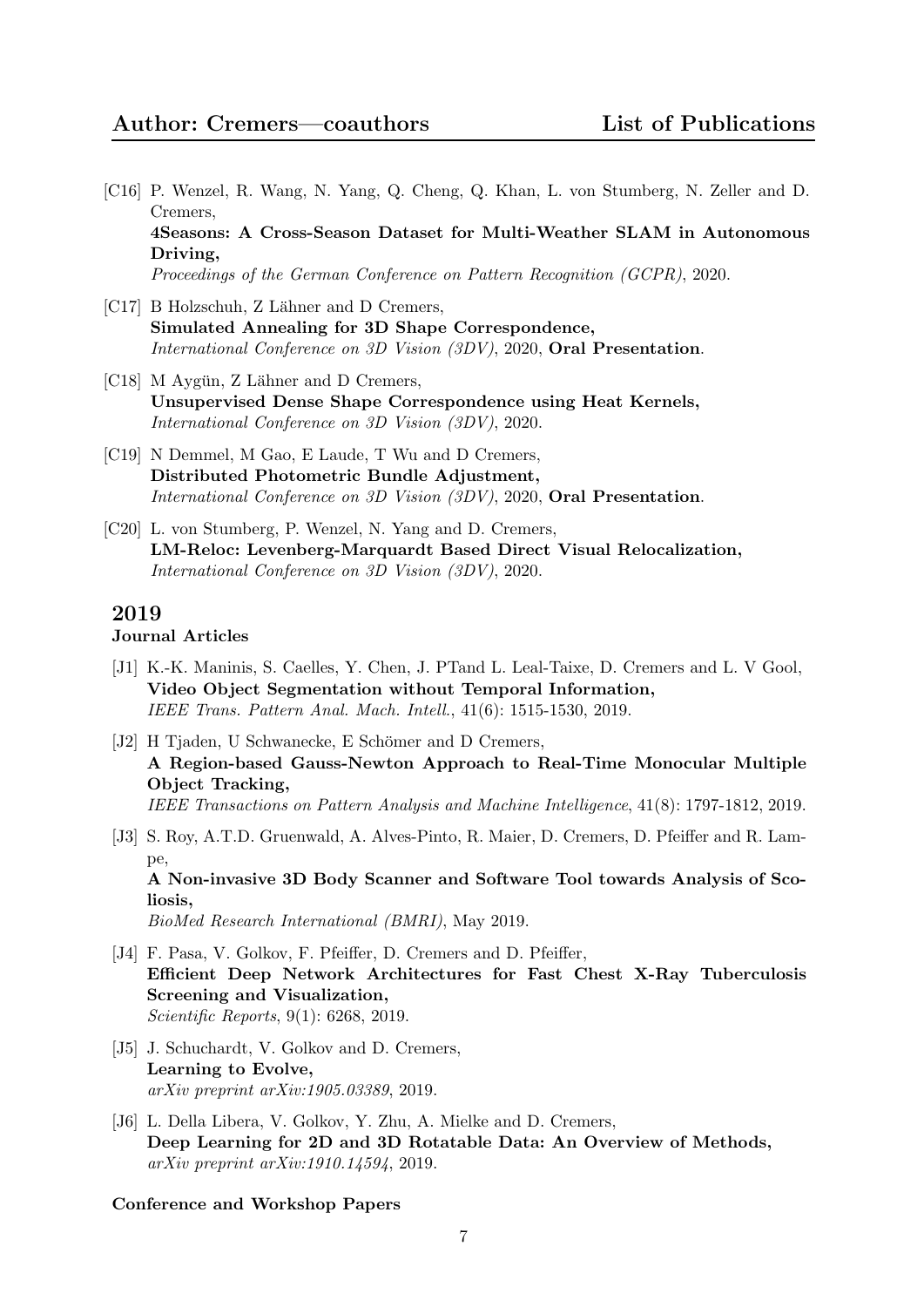- [C16] P. Wenzel, R. Wang, N. Yang, Q. Cheng, Q. Khan, L. von Stumberg, N. Zeller and D. Cremers, 4Seasons: A Cross-Season Dataset for Multi-Weather SLAM in Autonomous Driving, Proceedings of the German Conference on Pattern Recognition (GCPR), 2020.
- [C17] B Holzschuh, Z Lähner and D Cremers, Simulated Annealing for 3D Shape Correspondence, International Conference on 3D Vision (3DV), 2020, Oral Presentation.
- $[C18]$  M Aygün, Z Lähner and D Cremers, Unsupervised Dense Shape Correspondence using Heat Kernels, International Conference on 3D Vision (3DV), 2020.
- [C19] N Demmel, M Gao, E Laude, T Wu and D Cremers, Distributed Photometric Bundle Adjustment, International Conference on 3D Vision (3DV), 2020, Oral Presentation.
- [C20] L. von Stumberg, P. Wenzel, N. Yang and D. Cremers, LM-Reloc: Levenberg-Marquardt Based Direct Visual Relocalization, International Conference on 3D Vision (3DV), 2020.

# Journal Articles

- [J1] K.-K. Maninis, S. Caelles, Y. Chen, J. PTand L. Leal-Taixe, D. Cremers and L. V Gool, Video Object Segmentation without Temporal Information, IEEE Trans. Pattern Anal. Mach. Intell., 41(6): 1515-1530, 2019.
- [J2] H Tjaden, U Schwanecke, E Schömer and D Cremers, A Region-based Gauss-Newton Approach to Real-Time Monocular Multiple Object Tracking, IEEE Transactions on Pattern Analysis and Machine Intelligence, 41(8): 1797-1812, 2019.
- [J3] S. Roy, A.T.D. Gruenwald, A. Alves-Pinto, R. Maier, D. Cremers, D. Pfeiffer and R. Lampe, A Non-invasive 3D Body Scanner and Software Tool towards Analysis of Scoliosis, BioMed Research International (BMRI), May 2019.
- [J4] F. Pasa, V. Golkov, F. Pfeiffer, D. Cremers and D. Pfeiffer, Efficient Deep Network Architectures for Fast Chest X-Ray Tuberculosis Screening and Visualization, Scientific Reports, 9(1): 6268, 2019.
- [J5] J. Schuchardt, V. Golkov and D. Cremers, Learning to Evolve, arXiv preprint arXiv:1905.03389, 2019.
- [J6] L. Della Libera, V. Golkov, Y. Zhu, A. Mielke and D. Cremers, Deep Learning for 2D and 3D Rotatable Data: An Overview of Methods, arXiv preprint arXiv:1910.14594, 2019.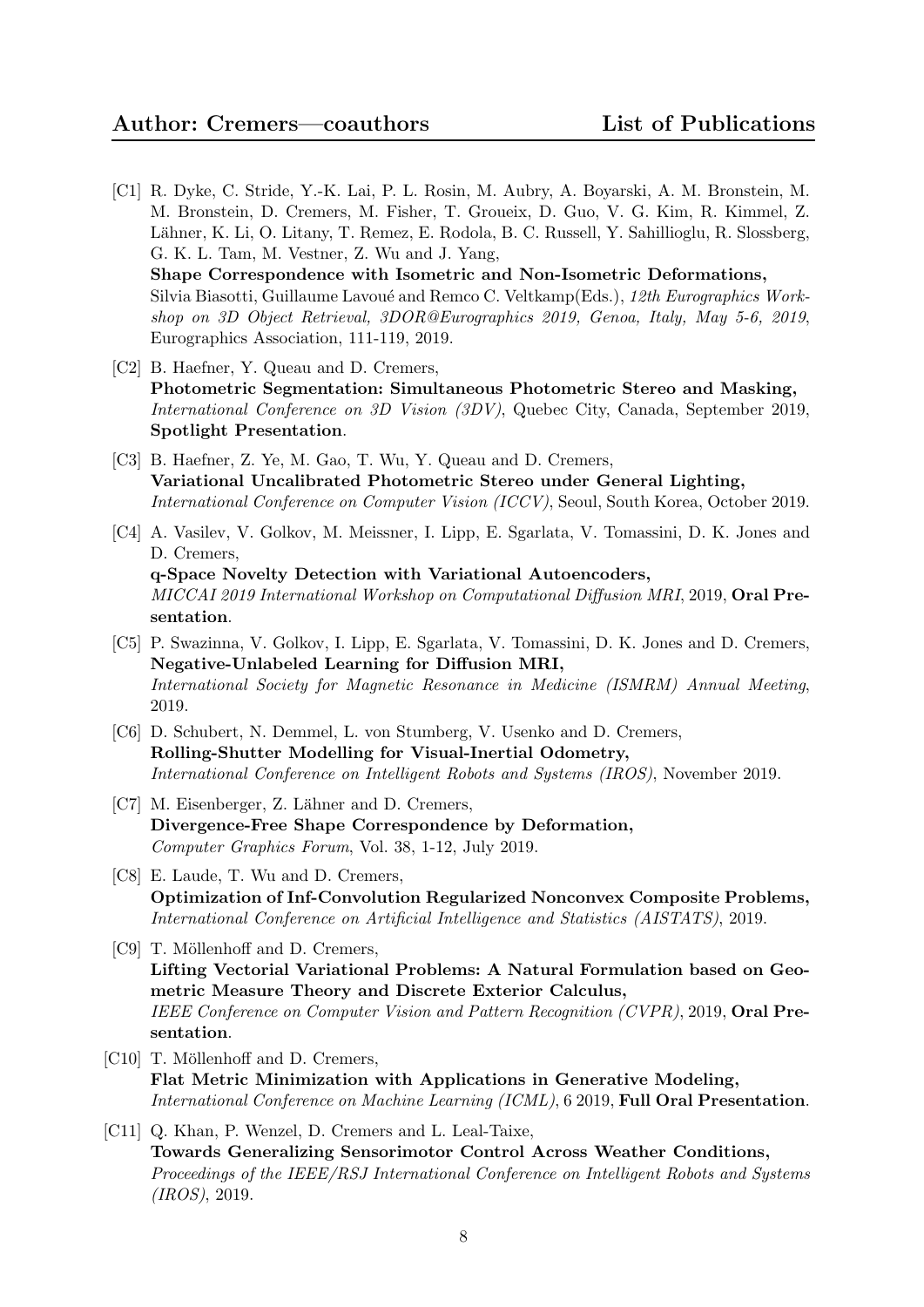- [C1] R. Dyke, C. Stride, Y.-K. Lai, P. L. Rosin, M. Aubry, A. Boyarski, A. M. Bronstein, M. M. Bronstein, D. Cremers, M. Fisher, T. Groueix, D. Guo, V. G. Kim, R. Kimmel, Z. Lähner, K. Li, O. Litany, T. Remez, E. Rodola, B. C. Russell, Y. Sahillioglu, R. Slossberg, G. K. L. Tam, M. Vestner, Z. Wu and J. Yang, Shape Correspondence with Isometric and Non-Isometric Deformations, Silvia Biasotti, Guillaume Lavoué and Remco C. Veltkamp(Eds.), 12th Eurographics Workshop on 3D Object Retrieval, 3DOR@Eurographics 2019, Genoa, Italy, May 5-6, 2019, Eurographics Association, 111-119, 2019.
- [C2] B. Haefner, Y. Queau and D. Cremers, Photometric Segmentation: Simultaneous Photometric Stereo and Masking, International Conference on 3D Vision (3DV), Quebec City, Canada, September 2019, Spotlight Presentation.
- [C3] B. Haefner, Z. Ye, M. Gao, T. Wu, Y. Queau and D. Cremers, Variational Uncalibrated Photometric Stereo under General Lighting, International Conference on Computer Vision (ICCV), Seoul, South Korea, October 2019.
- [C4] A. Vasilev, V. Golkov, M. Meissner, I. Lipp, E. Sgarlata, V. Tomassini, D. K. Jones and D. Cremers, q-Space Novelty Detection with Variational Autoencoders, MICCAI 2019 International Workshop on Computational Diffusion MRI, 2019, Oral Presentation.
- [C5] P. Swazinna, V. Golkov, I. Lipp, E. Sgarlata, V. Tomassini, D. K. Jones and D. Cremers, Negative-Unlabeled Learning for Diffusion MRI, International Society for Magnetic Resonance in Medicine (ISMRM) Annual Meeting, 2019.
- [C6] D. Schubert, N. Demmel, L. von Stumberg, V. Usenko and D. Cremers, Rolling-Shutter Modelling for Visual-Inertial Odometry, International Conference on Intelligent Robots and Systems (IROS), November 2019.
- [C7] M. Eisenberger, Z. Lähner and D. Cremers, Divergence-Free Shape Correspondence by Deformation, Computer Graphics Forum, Vol. 38, 1-12, July 2019.
- [C8] E. Laude, T. Wu and D. Cremers, Optimization of Inf-Convolution Regularized Nonconvex Composite Problems, International Conference on Artificial Intelligence and Statistics (AISTATS), 2019.
- [C9] T. Möllenhoff and D. Cremers, Lifting Vectorial Variational Problems: A Natural Formulation based on Geometric Measure Theory and Discrete Exterior Calculus, IEEE Conference on Computer Vision and Pattern Recognition (CVPR), 2019, Oral Presentation.
- [C10] T. Möllenhoff and D. Cremers, Flat Metric Minimization with Applications in Generative Modeling, International Conference on Machine Learning (ICML), 6 2019, Full Oral Presentation.
- [C11] Q. Khan, P. Wenzel, D. Cremers and L. Leal-Taixe, Towards Generalizing Sensorimotor Control Across Weather Conditions, Proceedings of the IEEE/RSJ International Conference on Intelligent Robots and Systems (IROS), 2019.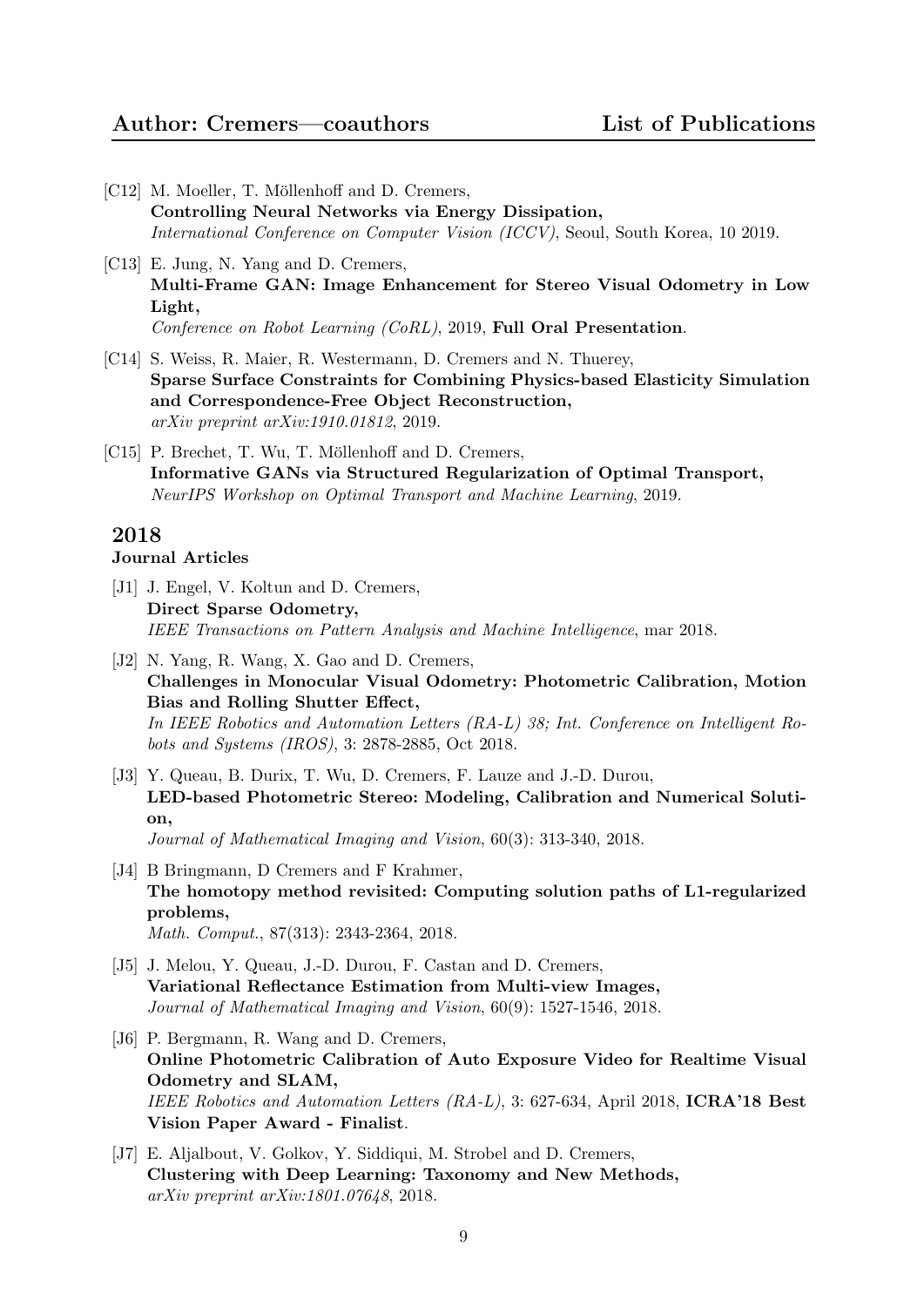- [C12] M. Moeller, T. Möllenhoff and D. Cremers, Controlling Neural Networks via Energy Dissipation, International Conference on Computer Vision (ICCV), Seoul, South Korea, 10 2019.
- [C13] E. Jung, N. Yang and D. Cremers, Multi-Frame GAN: Image Enhancement for Stereo Visual Odometry in Low Light, Conference on Robot Learning (CoRL), 2019, Full Oral Presentation.
- [C14] S. Weiss, R. Maier, R. Westermann, D. Cremers and N. Thuerey, Sparse Surface Constraints for Combining Physics-based Elasticity Simulation and Correspondence-Free Object Reconstruction, arXiv preprint arXiv:1910.01812, 2019.
- [C15] P. Brechet, T. Wu, T. Möllenhoff and D. Cremers, Informative GANs via Structured Regularization of Optimal Transport, NeurIPS Workshop on Optimal Transport and Machine Learning, 2019.

## Journal Articles

- [J1] J. Engel, V. Koltun and D. Cremers, Direct Sparse Odometry, IEEE Transactions on Pattern Analysis and Machine Intelligence, mar 2018.
- [J2] N. Yang, R. Wang, X. Gao and D. Cremers, Challenges in Monocular Visual Odometry: Photometric Calibration, Motion Bias and Rolling Shutter Effect, In IEEE Robotics and Automation Letters (RA-L) 38; Int. Conference on Intelligent Robots and Systems (IROS), 3: 2878-2885, Oct 2018.
- [J3] Y. Queau, B. Durix, T. Wu, D. Cremers, F. Lauze and J.-D. Durou, LED-based Photometric Stereo: Modeling, Calibration and Numerical Solution, Journal of Mathematical Imaging and Vision, 60(3): 313-340, 2018.
- [J4] B Bringmann, D Cremers and F Krahmer, The homotopy method revisited: Computing solution paths of L1-regularized problems, Math. Comput., 87(313): 2343-2364, 2018.
- [J5] J. Melou, Y. Queau, J.-D. Durou, F. Castan and D. Cremers, Variational Reflectance Estimation from Multi-view Images, Journal of Mathematical Imaging and Vision, 60(9): 1527-1546, 2018.
- [J6] P. Bergmann, R. Wang and D. Cremers, Online Photometric Calibration of Auto Exposure Video for Realtime Visual Odometry and SLAM, IEEE Robotics and Automation Letters (RA-L), 3: 627-634, April 2018, ICRA'18 Best Vision Paper Award - Finalist.
- [J7] E. Aljalbout, V. Golkov, Y. Siddiqui, M. Strobel and D. Cremers, Clustering with Deep Learning: Taxonomy and New Methods, arXiv preprint arXiv:1801.07648, 2018.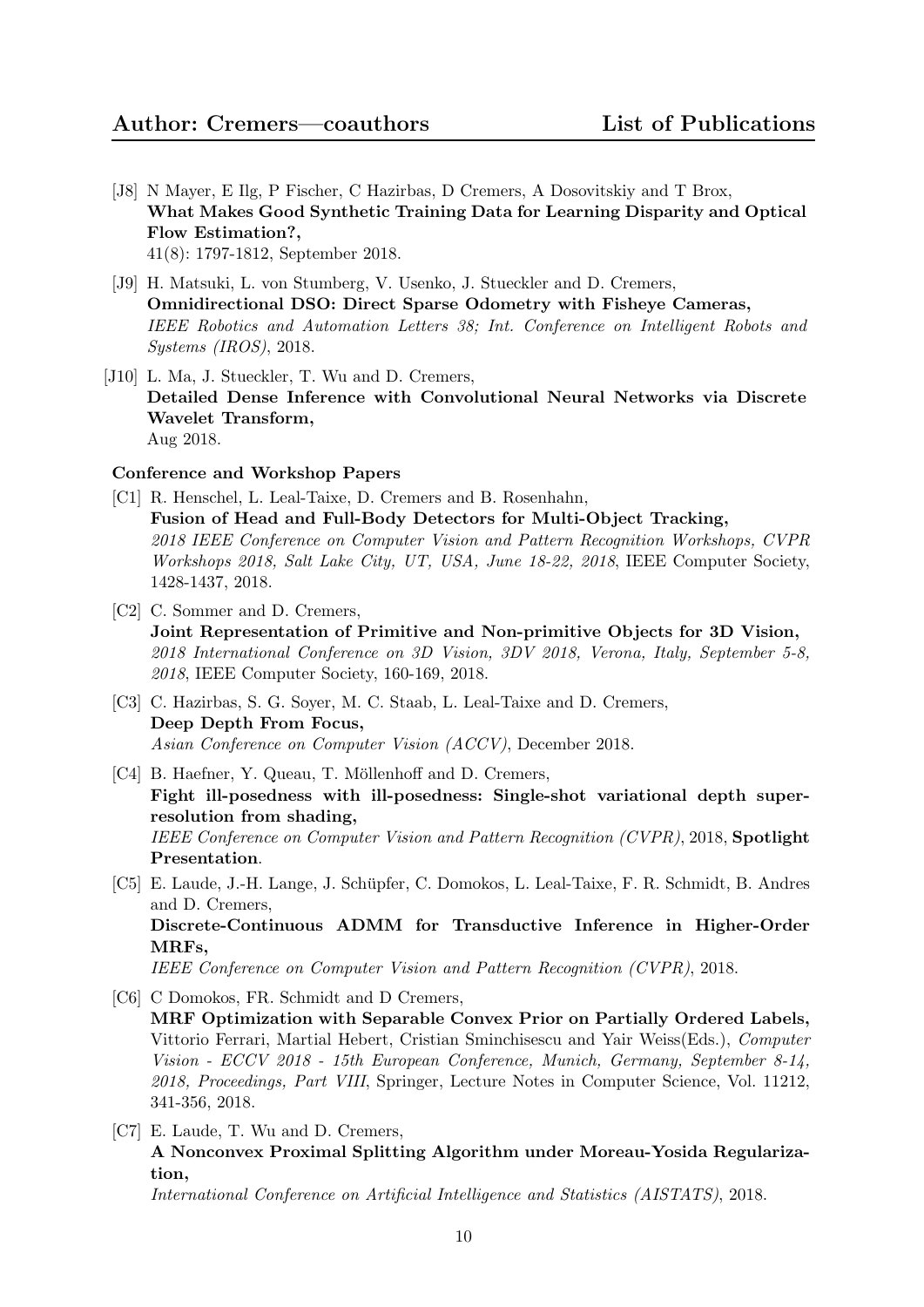- [J8] N Mayer, E Ilg, P Fischer, C Hazirbas, D Cremers, A Dosovitskiy and T Brox, What Makes Good Synthetic Training Data for Learning Disparity and Optical Flow Estimation?, 41(8): 1797-1812, September 2018.
- [J9] H. Matsuki, L. von Stumberg, V. Usenko, J. Stueckler and D. Cremers, Omnidirectional DSO: Direct Sparse Odometry with Fisheye Cameras, IEEE Robotics and Automation Letters 38; Int. Conference on Intelligent Robots and Systems (IROS), 2018.
- [J10] L. Ma, J. Stueckler, T. Wu and D. Cremers, Detailed Dense Inference with Convolutional Neural Networks via Discrete Wavelet Transform, Aug 2018.

#### Conference and Workshop Papers

- [C1] R. Henschel, L. Leal-Taixe, D. Cremers and B. Rosenhahn, Fusion of Head and Full-Body Detectors for Multi-Object Tracking, 2018 IEEE Conference on Computer Vision and Pattern Recognition Workshops, CVPR Workshops 2018, Salt Lake City, UT, USA, June 18-22, 2018, IEEE Computer Society, 1428-1437, 2018.
- [C2] C. Sommer and D. Cremers, Joint Representation of Primitive and Non-primitive Objects for 3D Vision, 2018 International Conference on 3D Vision, 3DV 2018, Verona, Italy, September 5-8, 2018, IEEE Computer Society, 160-169, 2018.
- [C3] C. Hazirbas, S. G. Soyer, M. C. Staab, L. Leal-Taixe and D. Cremers, Deep Depth From Focus, Asian Conference on Computer Vision (ACCV), December 2018.
- [C4] B. Haefner, Y. Queau, T. Möllenhoff and D. Cremers, Fight ill-posedness with ill-posedness: Single-shot variational depth superresolution from shading, IEEE Conference on Computer Vision and Pattern Recognition (CVPR), 2018, Spotlight Presentation.
- [C5] E. Laude, J.-H. Lange, J. Schupfer, C. Domokos, L. Leal-Taixe, F. R. Schmidt, B. Andres ¨ and D. Cremers, Discrete-Continuous ADMM for Transductive Inference in Higher-Order MRFs, IEEE Conference on Computer Vision and Pattern Recognition (CVPR), 2018.
- [C6] C Domokos, FR. Schmidt and D Cremers, MRF Optimization with Separable Convex Prior on Partially Ordered Labels, Vittorio Ferrari, Martial Hebert, Cristian Sminchisescu and Yair Weiss(Eds.), Computer Vision - ECCV 2018 - 15th European Conference, Munich, Germany, September 8-14, 2018, Proceedings, Part VIII, Springer, Lecture Notes in Computer Science, Vol. 11212, 341-356, 2018.
- [C7] E. Laude, T. Wu and D. Cremers, A Nonconvex Proximal Splitting Algorithm under Moreau-Yosida Regularization,

International Conference on Artificial Intelligence and Statistics (AISTATS), 2018.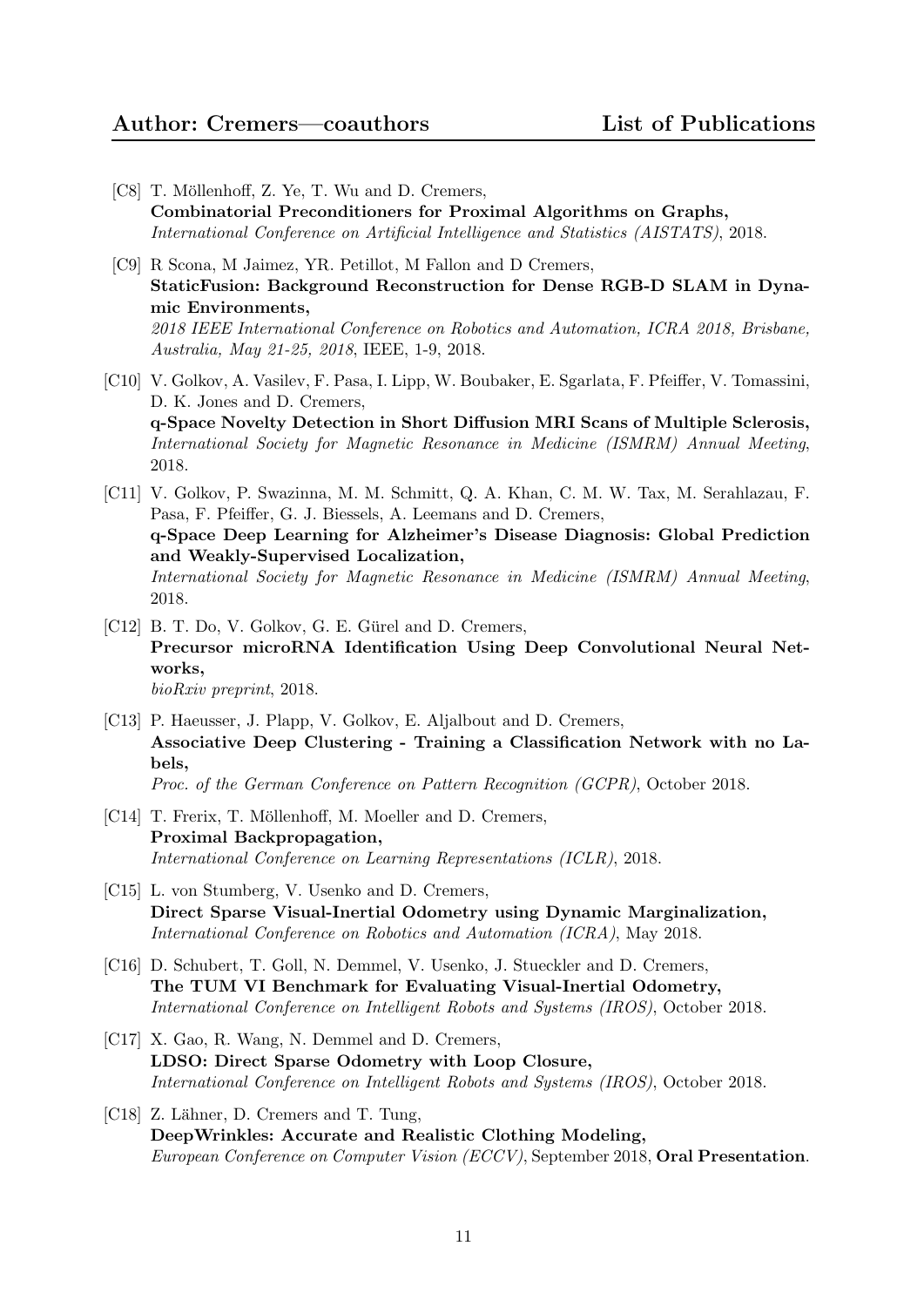- [C8] T. Möllenhoff, Z. Ye, T. Wu and D. Cremers, Combinatorial Preconditioners for Proximal Algorithms on Graphs, International Conference on Artificial Intelligence and Statistics (AISTATS), 2018.
- [C9] R Scona, M Jaimez, YR. Petillot, M Fallon and D Cremers, StaticFusion: Background Reconstruction for Dense RGB-D SLAM in Dynamic Environments, 2018 IEEE International Conference on Robotics and Automation, ICRA 2018, Brisbane, Australia, May 21-25, 2018, IEEE, 1-9, 2018.
- [C10] V. Golkov, A. Vasilev, F. Pasa, I. Lipp, W. Boubaker, E. Sgarlata, F. Pfeiffer, V. Tomassini, D. K. Jones and D. Cremers, q-Space Novelty Detection in Short Diffusion MRI Scans of Multiple Sclerosis, International Society for Magnetic Resonance in Medicine (ISMRM) Annual Meeting, 2018.
- [C11] V. Golkov, P. Swazinna, M. M. Schmitt, Q. A. Khan, C. M. W. Tax, M. Serahlazau, F. Pasa, F. Pfeiffer, G. J. Biessels, A. Leemans and D. Cremers, q-Space Deep Learning for Alzheimer's Disease Diagnosis: Global Prediction and Weakly-Supervised Localization, International Society for Magnetic Resonance in Medicine (ISMRM) Annual Meeting, 2018.
- $[C12]$  B. T. Do, V. Golkov, G. E. Gürel and D. Cremers, Precursor microRNA Identification Using Deep Convolutional Neural Networks, bioRxiv preprint, 2018.
- [C13] P. Haeusser, J. Plapp, V. Golkov, E. Aljalbout and D. Cremers, Associative Deep Clustering - Training a Classification Network with no Labels, Proc. of the German Conference on Pattern Recognition (GCPR), October 2018.
- [C14] T. Frerix, T. Möllenhoff, M. Moeller and D. Cremers, Proximal Backpropagation, International Conference on Learning Representations (ICLR), 2018.
- [C15] L. von Stumberg, V. Usenko and D. Cremers, Direct Sparse Visual-Inertial Odometry using Dynamic Marginalization, International Conference on Robotics and Automation (ICRA), May 2018.
- [C16] D. Schubert, T. Goll, N. Demmel, V. Usenko, J. Stueckler and D. Cremers, The TUM VI Benchmark for Evaluating Visual-Inertial Odometry, International Conference on Intelligent Robots and Systems (IROS), October 2018.
- [C17] X. Gao, R. Wang, N. Demmel and D. Cremers, LDSO: Direct Sparse Odometry with Loop Closure, International Conference on Intelligent Robots and Systems (IROS), October 2018.
- [C18] Z. Lähner, D. Cremers and T. Tung, DeepWrinkles: Accurate and Realistic Clothing Modeling, European Conference on Computer Vision (ECCV), September 2018, Oral Presentation.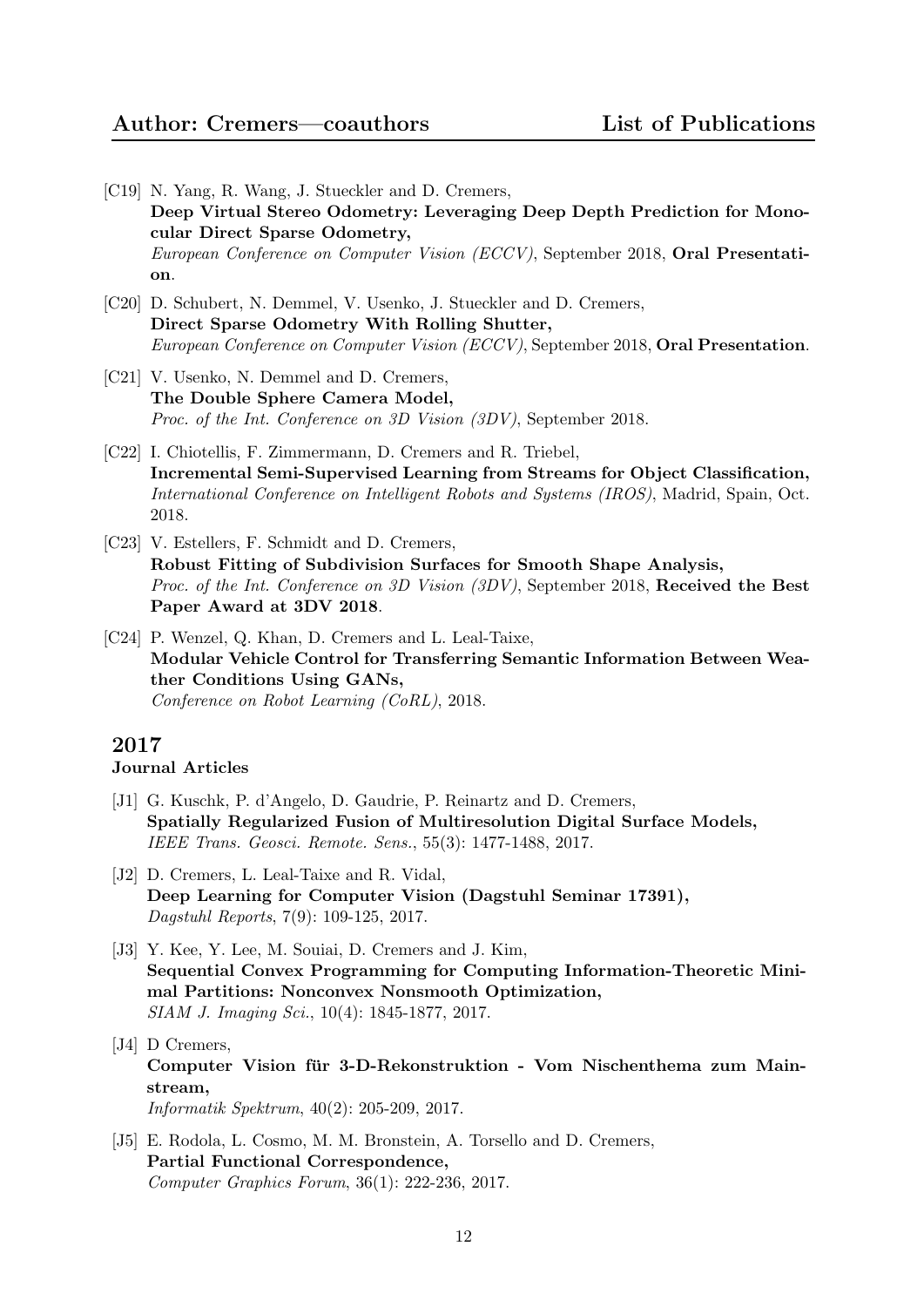- [C19] N. Yang, R. Wang, J. Stueckler and D. Cremers, Deep Virtual Stereo Odometry: Leveraging Deep Depth Prediction for Monocular Direct Sparse Odometry, European Conference on Computer Vision (ECCV), September 2018, Oral Presentation.
- [C20] D. Schubert, N. Demmel, V. Usenko, J. Stueckler and D. Cremers, Direct Sparse Odometry With Rolling Shutter, European Conference on Computer Vision (ECCV), September 2018, Oral Presentation.
- [C21] V. Usenko, N. Demmel and D. Cremers, The Double Sphere Camera Model, Proc. of the Int. Conference on 3D Vision (3DV), September 2018.
- [C22] I. Chiotellis, F. Zimmermann, D. Cremers and R. Triebel, Incremental Semi-Supervised Learning from Streams for Object Classification, International Conference on Intelligent Robots and Systems (IROS), Madrid, Spain, Oct. 2018.
- [C23] V. Estellers, F. Schmidt and D. Cremers, Robust Fitting of Subdivision Surfaces for Smooth Shape Analysis, *Proc. of the Int. Conference on 3D Vision (3DV)*, September 2018, Received the Best Paper Award at 3DV 2018.
- [C24] P. Wenzel, Q. Khan, D. Cremers and L. Leal-Taixe, Modular Vehicle Control for Transferring Semantic Information Between Weather Conditions Using GANs, Conference on Robot Learning (CoRL), 2018.

## Journal Articles

- [J1] G. Kuschk, P. d'Angelo, D. Gaudrie, P. Reinartz and D. Cremers, Spatially Regularized Fusion of Multiresolution Digital Surface Models, IEEE Trans. Geosci. Remote. Sens., 55(3): 1477-1488, 2017.
- [J2] D. Cremers, L. Leal-Taixe and R. Vidal, Deep Learning for Computer Vision (Dagstuhl Seminar 17391), Dagstuhl Reports, 7(9): 109-125, 2017.
- [J3] Y. Kee, Y. Lee, M. Souiai, D. Cremers and J. Kim, Sequential Convex Programming for Computing Information-Theoretic Minimal Partitions: Nonconvex Nonsmooth Optimization, SIAM J. Imaging Sci., 10(4): 1845-1877, 2017.
- [J4] D Cremers, Computer Vision für 3-D-Rekonstruktion - Vom Nischenthema zum Mainstream, Informatik Spektrum, 40(2): 205-209, 2017.
- [J5] E. Rodola, L. Cosmo, M. M. Bronstein, A. Torsello and D. Cremers, Partial Functional Correspondence, Computer Graphics Forum, 36(1): 222-236, 2017.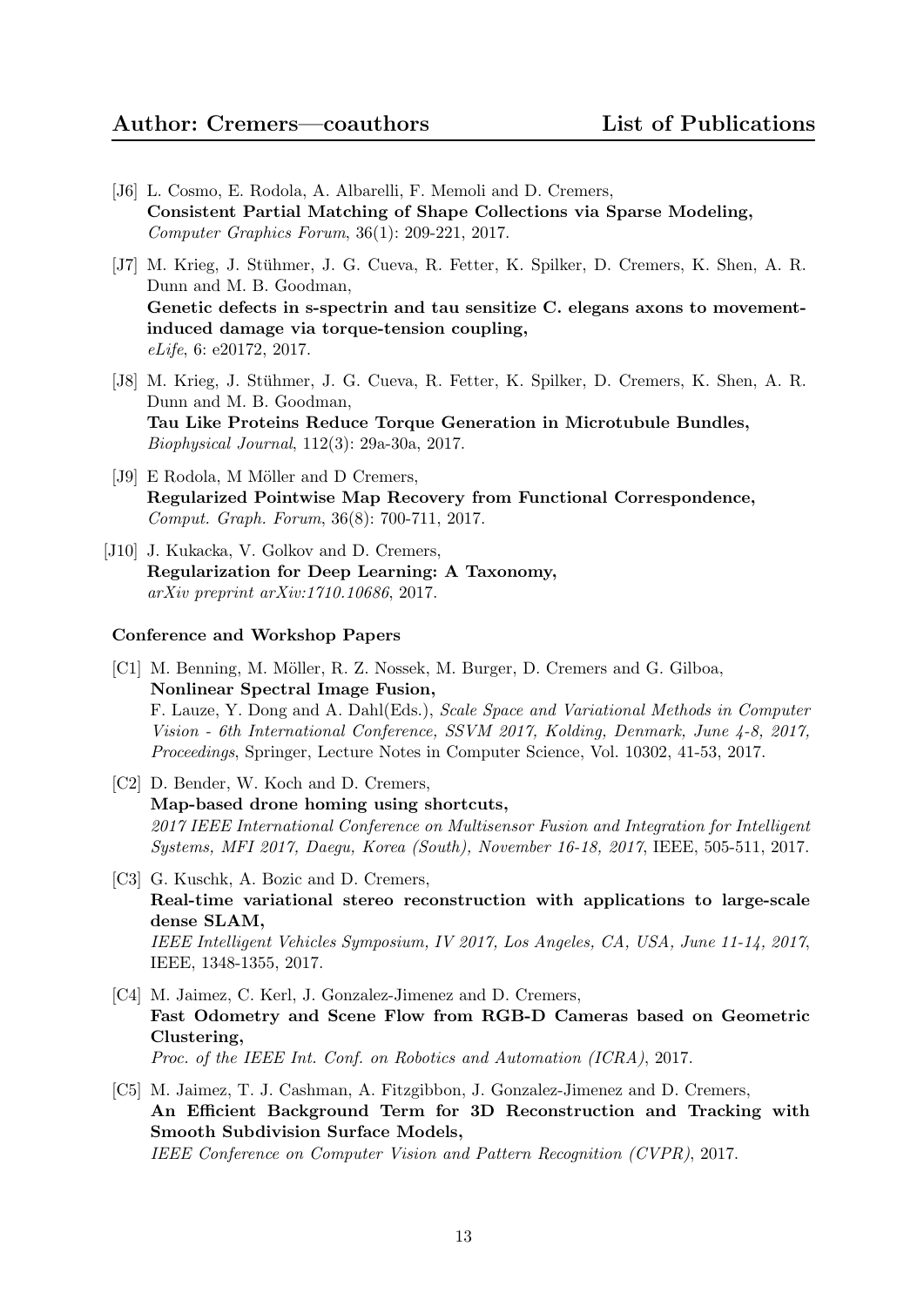- [J6] L. Cosmo, E. Rodola, A. Albarelli, F. Memoli and D. Cremers, Consistent Partial Matching of Shape Collections via Sparse Modeling, Computer Graphics Forum, 36(1): 209-221, 2017.
- [J7] M. Krieg, J. Stuhmer, J. G. Cueva, R. Fetter, K. Spilker, D. Cremers, K. Shen, A. R. ¨ Dunn and M. B. Goodman, Genetic defects in s-spectrin and tau sensitize C. elegans axons to movementinduced damage via torque-tension coupling, eLife, 6: e20172, 2017.
- [J8] M. Krieg, J. Stühmer, J. G. Cueva, R. Fetter, K. Spilker, D. Cremers, K. Shen, A. R. Dunn and M. B. Goodman, Tau Like Proteins Reduce Torque Generation in Microtubule Bundles, Biophysical Journal, 112(3): 29a-30a, 2017.
- [J9] E Rodola, M Möller and D Cremers, Regularized Pointwise Map Recovery from Functional Correspondence, Comput. Graph. Forum, 36(8): 700-711, 2017.
- [J10] J. Kukacka, V. Golkov and D. Cremers, Regularization for Deep Learning: A Taxonomy, arXiv preprint arXiv:1710.10686, 2017.

- [C1] M. Benning, M. Möller, R. Z. Nossek, M. Burger, D. Cremers and G. Gilboa, Nonlinear Spectral Image Fusion, F. Lauze, Y. Dong and A. Dahl(Eds.), Scale Space and Variational Methods in Computer Vision - 6th International Conference, SSVM 2017, Kolding, Denmark, June 4-8, 2017, Proceedings, Springer, Lecture Notes in Computer Science, Vol. 10302, 41-53, 2017.
- [C2] D. Bender, W. Koch and D. Cremers, Map-based drone homing using shortcuts, 2017 IEEE International Conference on Multisensor Fusion and Integration for Intelligent Systems, MFI 2017, Daegu, Korea (South), November 16-18, 2017, IEEE, 505-511, 2017.
- [C3] G. Kuschk, A. Bozic and D. Cremers, Real-time variational stereo reconstruction with applications to large-scale dense SLAM, IEEE Intelligent Vehicles Symposium, IV 2017, Los Angeles, CA, USA, June 11-14, 2017, IEEE, 1348-1355, 2017.
- [C4] M. Jaimez, C. Kerl, J. Gonzalez-Jimenez and D. Cremers, Fast Odometry and Scene Flow from RGB-D Cameras based on Geometric Clustering, Proc. of the IEEE Int. Conf. on Robotics and Automation (ICRA), 2017.
- [C5] M. Jaimez, T. J. Cashman, A. Fitzgibbon, J. Gonzalez-Jimenez and D. Cremers, An Efficient Background Term for 3D Reconstruction and Tracking with Smooth Subdivision Surface Models, IEEE Conference on Computer Vision and Pattern Recognition (CVPR), 2017.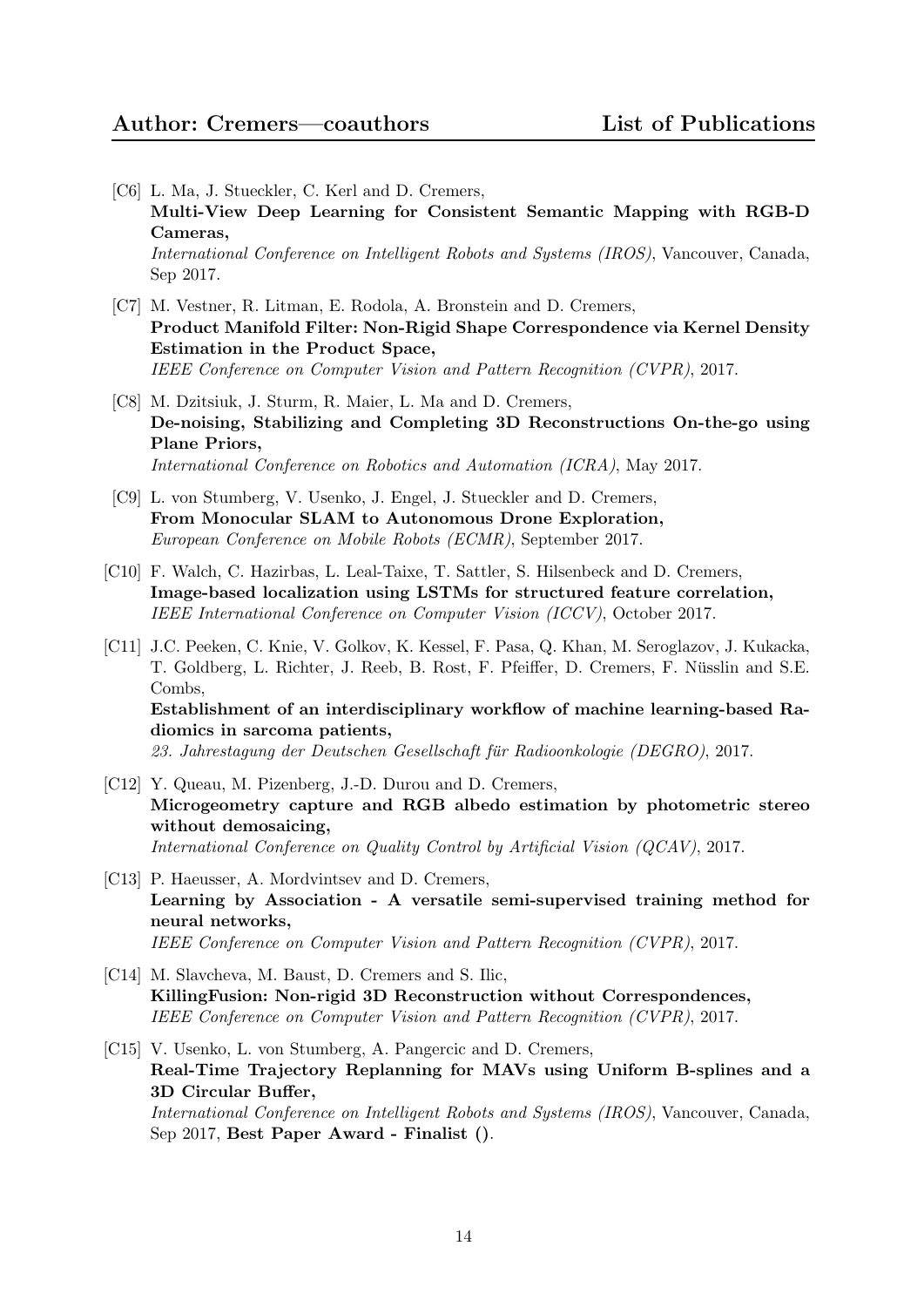- [C6] L. Ma, J. Stueckler, C. Kerl and D. Cremers, Multi-View Deep Learning for Consistent Semantic Mapping with RGB-D Cameras, International Conference on Intelligent Robots and Systems (IROS), Vancouver, Canada, Sep 2017.
- [C7] M. Vestner, R. Litman, E. Rodola, A. Bronstein and D. Cremers, Product Manifold Filter: Non-Rigid Shape Correspondence via Kernel Density Estimation in the Product Space, IEEE Conference on Computer Vision and Pattern Recognition (CVPR), 2017.
- [C8] M. Dzitsiuk, J. Sturm, R. Maier, L. Ma and D. Cremers, De-noising, Stabilizing and Completing 3D Reconstructions On-the-go using Plane Priors, International Conference on Robotics and Automation (ICRA), May 2017.
- [C9] L. von Stumberg, V. Usenko, J. Engel, J. Stueckler and D. Cremers, From Monocular SLAM to Autonomous Drone Exploration, European Conference on Mobile Robots (ECMR), September 2017.
- [C10] F. Walch, C. Hazirbas, L. Leal-Taixe, T. Sattler, S. Hilsenbeck and D. Cremers, Image-based localization using LSTMs for structured feature correlation, IEEE International Conference on Computer Vision (ICCV), October 2017.
- [C11] J.C. Peeken, C. Knie, V. Golkov, K. Kessel, F. Pasa, Q. Khan, M. Seroglazov, J. Kukacka, T. Goldberg, L. Richter, J. Reeb, B. Rost, F. Pfeiffer, D. Cremers, F. Nusslin and S.E. ¨ Combs, Establishment of an interdisciplinary workflow of machine learning-based Radiomics in sarcoma patients,

23. Jahrestagung der Deutschen Gesellschaft für Radioonkologie (DEGRO), 2017.

- [C12] Y. Queau, M. Pizenberg, J.-D. Durou and D. Cremers, Microgeometry capture and RGB albedo estimation by photometric stereo without demosaicing, International Conference on Quality Control by Artificial Vision (QCAV), 2017.
- [C13] P. Haeusser, A. Mordvintsev and D. Cremers, Learning by Association - A versatile semi-supervised training method for neural networks, IEEE Conference on Computer Vision and Pattern Recognition (CVPR), 2017.
- [C14] M. Slavcheva, M. Baust, D. Cremers and S. Ilic, KillingFusion: Non-rigid 3D Reconstruction without Correspondences, IEEE Conference on Computer Vision and Pattern Recognition (CVPR), 2017.
- [C15] V. Usenko, L. von Stumberg, A. Pangercic and D. Cremers, Real-Time Trajectory Replanning for MAVs using Uniform B-splines and a 3D Circular Buffer, International Conference on Intelligent Robots and Systems (IROS), Vancouver, Canada, Sep 2017, Best Paper Award - Finalist ().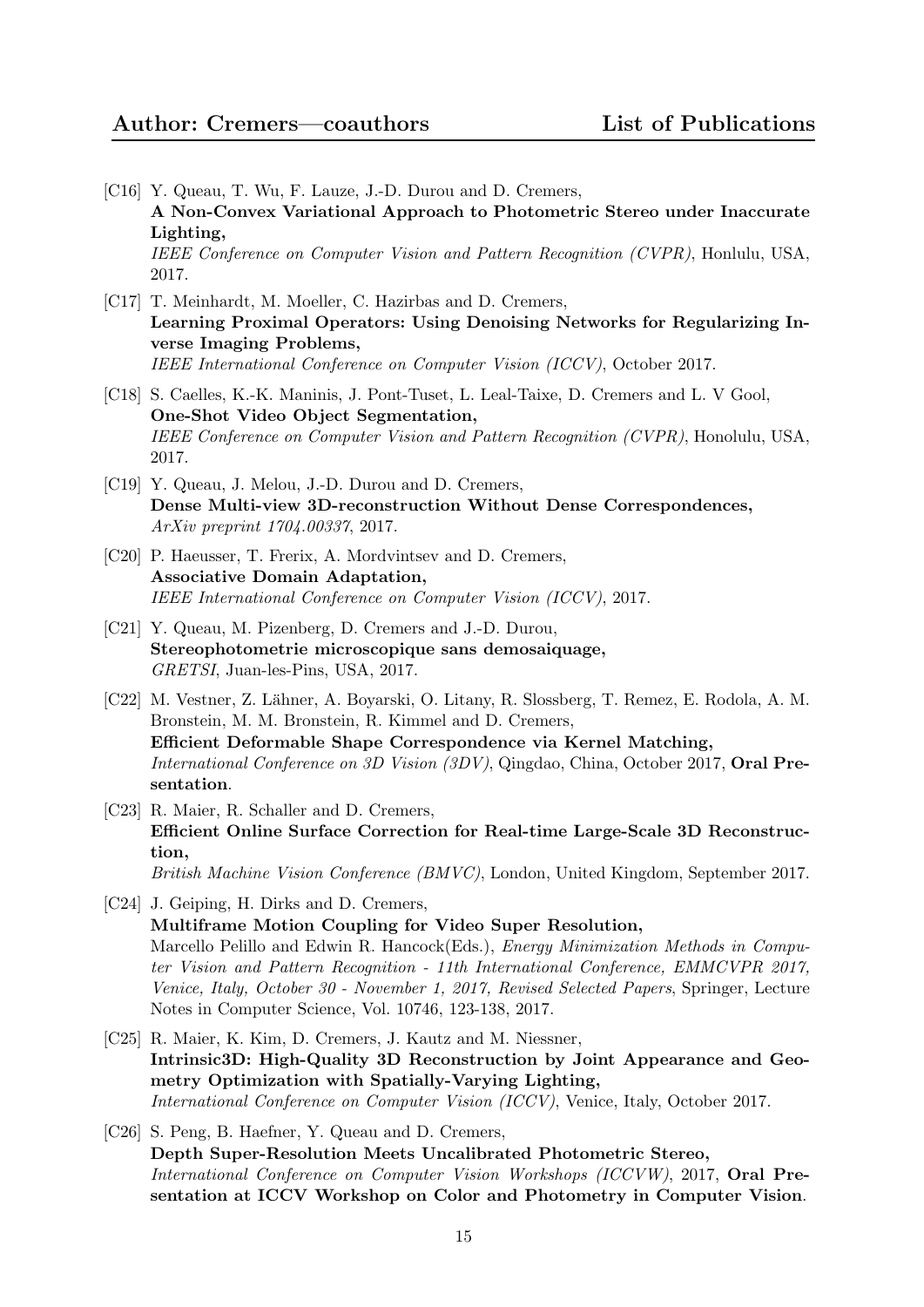- [C16] Y. Queau, T. Wu, F. Lauze, J.-D. Durou and D. Cremers, A Non-Convex Variational Approach to Photometric Stereo under Inaccurate Lighting, IEEE Conference on Computer Vision and Pattern Recognition (CVPR), Honlulu, USA, 2017.
- [C17] T. Meinhardt, M. Moeller, C. Hazirbas and D. Cremers, Learning Proximal Operators: Using Denoising Networks for Regularizing Inverse Imaging Problems, IEEE International Conference on Computer Vision (ICCV), October 2017.
- [C18] S. Caelles, K.-K. Maninis, J. Pont-Tuset, L. Leal-Taixe, D. Cremers and L. V Gool, One-Shot Video Object Segmentation, IEEE Conference on Computer Vision and Pattern Recognition (CVPR), Honolulu, USA, 2017.
- [C19] Y. Queau, J. Melou, J.-D. Durou and D. Cremers, Dense Multi-view 3D-reconstruction Without Dense Correspondences, ArXiv preprint 1704.00337, 2017.
- [C20] P. Haeusser, T. Frerix, A. Mordvintsev and D. Cremers, Associative Domain Adaptation, IEEE International Conference on Computer Vision (ICCV), 2017.
- [C21] Y. Queau, M. Pizenberg, D. Cremers and J.-D. Durou, Stereophotometrie microscopique sans demosaiquage, GRETSI, Juan-les-Pins, USA, 2017.
- [C22] M. Vestner, Z. L¨ahner, A. Boyarski, O. Litany, R. Slossberg, T. Remez, E. Rodola, A. M. Bronstein, M. M. Bronstein, R. Kimmel and D. Cremers, Efficient Deformable Shape Correspondence via Kernel Matching, International Conference on 3D Vision (3DV), Qingdao, China, October 2017, Oral Presentation.
- [C23] R. Maier, R. Schaller and D. Cremers, Efficient Online Surface Correction for Real-time Large-Scale 3D Reconstruction, British Machine Vision Conference (BMVC), London, United Kingdom, September 2017.
- [C24] J. Geiping, H. Dirks and D. Cremers, Multiframe Motion Coupling for Video Super Resolution, Marcello Pelillo and Edwin R. Hancock(Eds.), *Energy Minimization Methods in Compu*ter Vision and Pattern Recognition - 11th International Conference, EMMCVPR 2017, Venice, Italy, October 30 - November 1, 2017, Revised Selected Papers, Springer, Lecture Notes in Computer Science, Vol. 10746, 123-138, 2017.
- [C25] R. Maier, K. Kim, D. Cremers, J. Kautz and M. Niessner, Intrinsic3D: High-Quality 3D Reconstruction by Joint Appearance and Geometry Optimization with Spatially-Varying Lighting, International Conference on Computer Vision (ICCV), Venice, Italy, October 2017.
- [C26] S. Peng, B. Haefner, Y. Queau and D. Cremers, Depth Super-Resolution Meets Uncalibrated Photometric Stereo, International Conference on Computer Vision Workshops (ICCVW), 2017, Oral Presentation at ICCV Workshop on Color and Photometry in Computer Vision.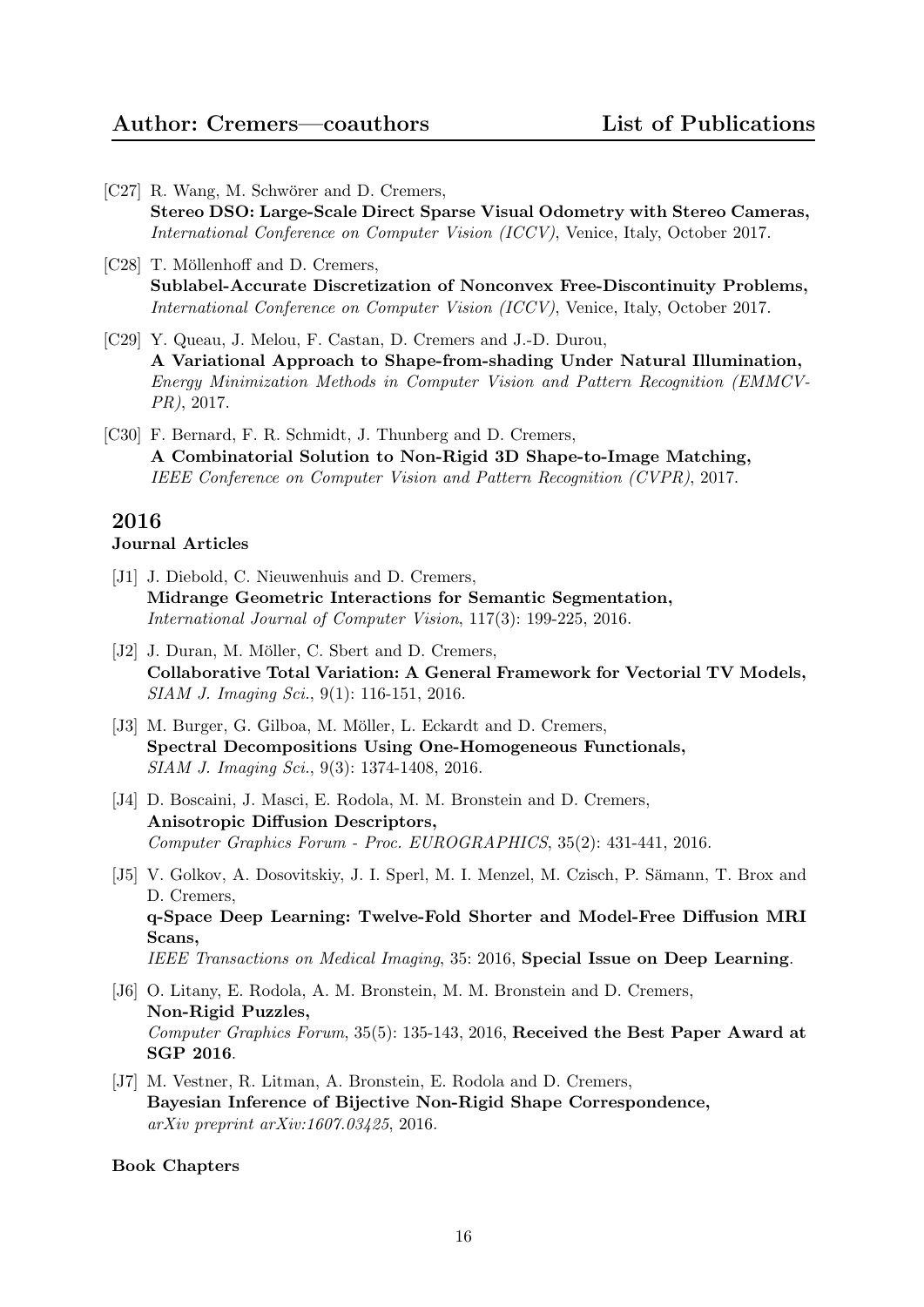- [C27] R. Wang, M. Schwörer and D. Cremers, Stereo DSO: Large-Scale Direct Sparse Visual Odometry with Stereo Cameras, International Conference on Computer Vision (ICCV), Venice, Italy, October 2017.
- [C28] T. Möllenhoff and D. Cremers, Sublabel-Accurate Discretization of Nonconvex Free-Discontinuity Problems, International Conference on Computer Vision (ICCV), Venice, Italy, October 2017.
- [C29] Y. Queau, J. Melou, F. Castan, D. Cremers and J.-D. Durou, A Variational Approach to Shape-from-shading Under Natural Illumination, Energy Minimization Methods in Computer Vision and Pattern Recognition (EMMCV-PR), 2017.
- [C30] F. Bernard, F. R. Schmidt, J. Thunberg and D. Cremers, A Combinatorial Solution to Non-Rigid 3D Shape-to-Image Matching, IEEE Conference on Computer Vision and Pattern Recognition (CVPR), 2017.

## Journal Articles

- [J1] J. Diebold, C. Nieuwenhuis and D. Cremers, Midrange Geometric Interactions for Semantic Segmentation, International Journal of Computer Vision, 117(3): 199-225, 2016.
- [J2] J. Duran, M. Möller, C. Sbert and D. Cremers, Collaborative Total Variation: A General Framework for Vectorial TV Models, SIAM J. Imaging Sci., 9(1): 116-151, 2016.
- [J3] M. Burger, G. Gilboa, M. Möller, L. Eckardt and D. Cremers, Spectral Decompositions Using One-Homogeneous Functionals, SIAM J. Imaging Sci., 9(3): 1374-1408, 2016.
- [J4] D. Boscaini, J. Masci, E. Rodola, M. M. Bronstein and D. Cremers, Anisotropic Diffusion Descriptors, Computer Graphics Forum - Proc. EUROGRAPHICS, 35(2): 431-441, 2016.
- [J5] V. Golkov, A. Dosovitskiy, J. I. Sperl, M. I. Menzel, M. Czisch, P. Sämann, T. Brox and D. Cremers, q-Space Deep Learning: Twelve-Fold Shorter and Model-Free Diffusion MRI Scans, IEEE Transactions on Medical Imaging, 35: 2016, Special Issue on Deep Learning.
- [J6] O. Litany, E. Rodola, A. M. Bronstein, M. M. Bronstein and D. Cremers, Non-Rigid Puzzles, Computer Graphics Forum, 35(5): 135-143, 2016, Received the Best Paper Award at SGP 2016.
- [J7] M. Vestner, R. Litman, A. Bronstein, E. Rodola and D. Cremers, Bayesian Inference of Bijective Non-Rigid Shape Correspondence, arXiv preprint arXiv:1607.03425, 2016.

#### Book Chapters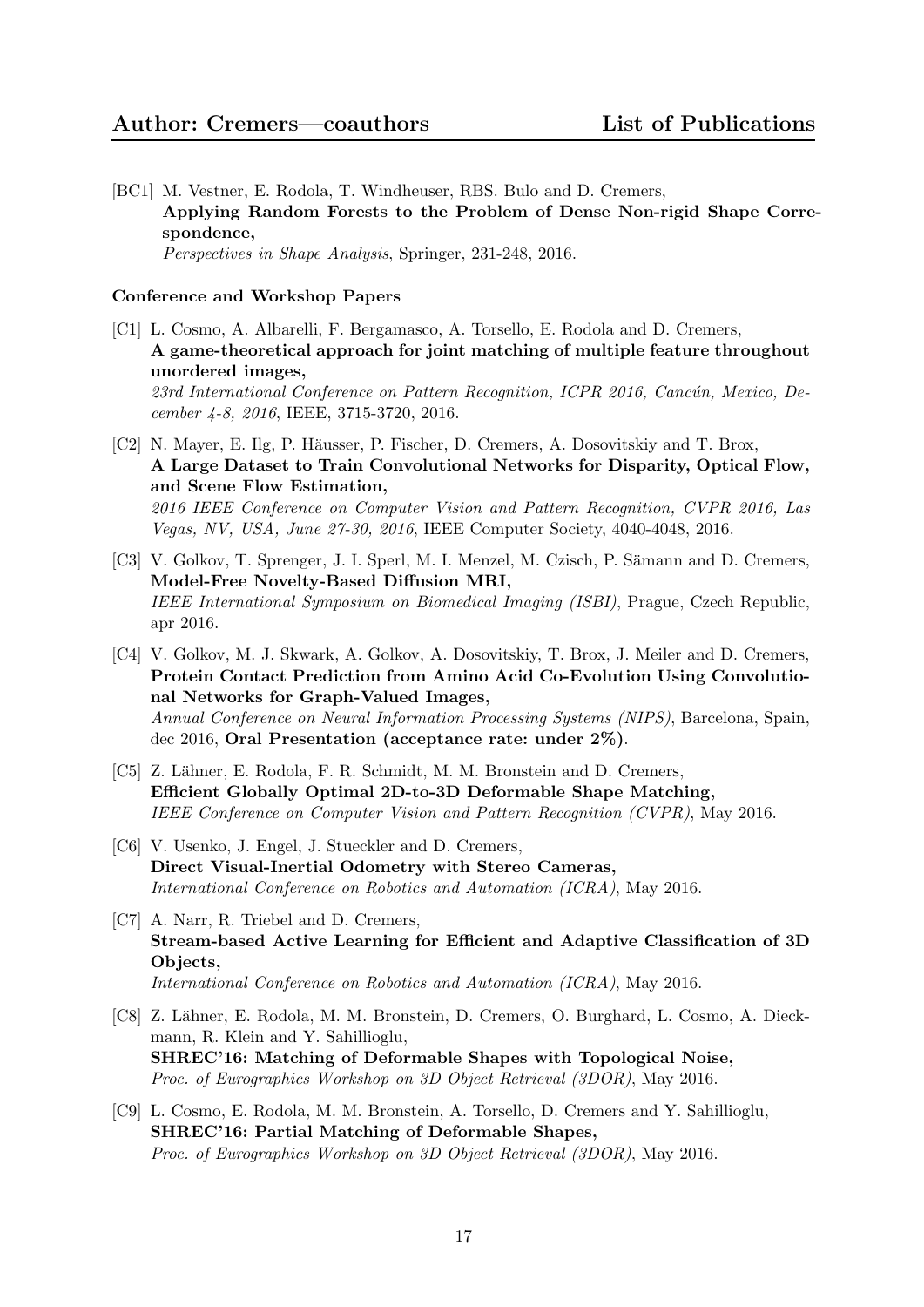[BC1] M. Vestner, E. Rodola, T. Windheuser, RBS. Bulo and D. Cremers, Applying Random Forests to the Problem of Dense Non-rigid Shape Correspondence, Perspectives in Shape Analysis, Springer, 231-248, 2016.

- [C1] L. Cosmo, A. Albarelli, F. Bergamasco, A. Torsello, E. Rodola and D. Cremers, A game-theoretical approach for joint matching of multiple feature throughout unordered images, 23rd International Conference on Pattern Recognition, ICPR 2016, Cancún, Mexico, December 4-8, 2016, IEEE, 3715-3720, 2016.
- [C2] N. Mayer, E. Ilg, P. Häusser, P. Fischer, D. Cremers, A. Dosovitskiy and T. Brox, A Large Dataset to Train Convolutional Networks for Disparity, Optical Flow, and Scene Flow Estimation, 2016 IEEE Conference on Computer Vision and Pattern Recognition, CVPR 2016, Las Vegas, NV, USA, June 27-30, 2016, IEEE Computer Society, 4040-4048, 2016.
- [C3] V. Golkov, T. Sprenger, J. I. Sperl, M. I. Menzel, M. Czisch, P. Sämann and D. Cremers, Model-Free Novelty-Based Diffusion MRI, IEEE International Symposium on Biomedical Imaging (ISBI), Prague, Czech Republic, apr 2016.
- [C4] V. Golkov, M. J. Skwark, A. Golkov, A. Dosovitskiy, T. Brox, J. Meiler and D. Cremers, Protein Contact Prediction from Amino Acid Co-Evolution Using Convolutional Networks for Graph-Valued Images, Annual Conference on Neural Information Processing Systems (NIPS), Barcelona, Spain, dec 2016, Oral Presentation (acceptance rate: under 2%).
- [C5] Z. Lähner, E. Rodola, F. R. Schmidt, M. M. Bronstein and D. Cremers, Efficient Globally Optimal 2D-to-3D Deformable Shape Matching, IEEE Conference on Computer Vision and Pattern Recognition (CVPR), May 2016.
- [C6] V. Usenko, J. Engel, J. Stueckler and D. Cremers, Direct Visual-Inertial Odometry with Stereo Cameras, International Conference on Robotics and Automation (ICRA), May 2016.
- [C7] A. Narr, R. Triebel and D. Cremers, Stream-based Active Learning for Efficient and Adaptive Classification of 3D Objects, International Conference on Robotics and Automation (ICRA), May 2016.
- [C8] Z. Lähner, E. Rodola, M. M. Bronstein, D. Cremers, O. Burghard, L. Cosmo, A. Dieckmann, R. Klein and Y. Sahillioglu, SHREC'16: Matching of Deformable Shapes with Topological Noise, Proc. of Eurographics Workshop on 3D Object Retrieval (3DOR), May 2016.
- [C9] L. Cosmo, E. Rodola, M. M. Bronstein, A. Torsello, D. Cremers and Y. Sahillioglu, SHREC'16: Partial Matching of Deformable Shapes, Proc. of Eurographics Workshop on 3D Object Retrieval (3DOR), May 2016.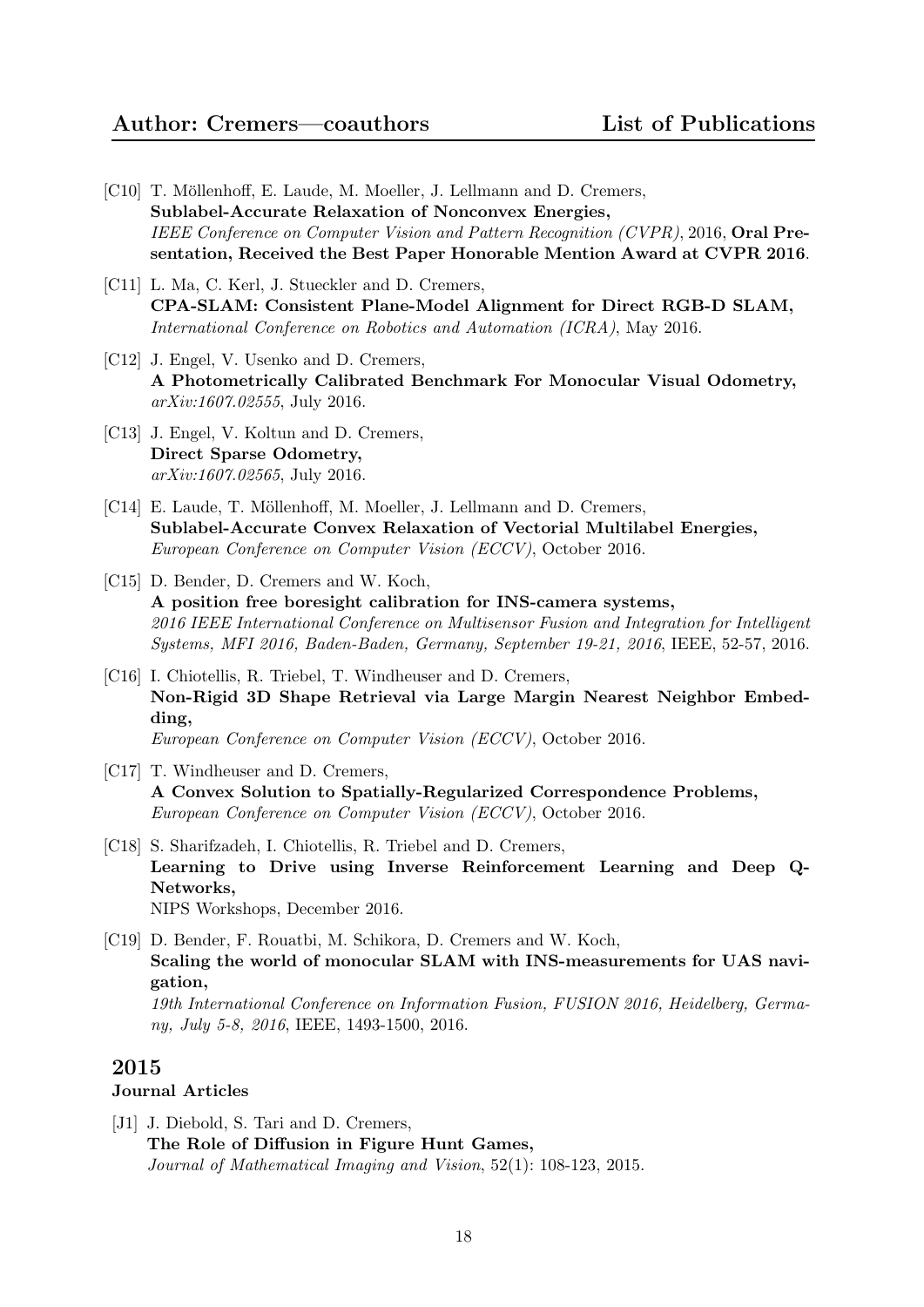- [C10] T. Möllenhoff, E. Laude, M. Moeller, J. Lellmann and D. Cremers, Sublabel-Accurate Relaxation of Nonconvex Energies, IEEE Conference on Computer Vision and Pattern Recognition (CVPR), 2016, Oral Presentation, Received the Best Paper Honorable Mention Award at CVPR 2016.
- [C11] L. Ma, C. Kerl, J. Stueckler and D. Cremers, CPA-SLAM: Consistent Plane-Model Alignment for Direct RGB-D SLAM, International Conference on Robotics and Automation (ICRA), May 2016.
- [C12] J. Engel, V. Usenko and D. Cremers, A Photometrically Calibrated Benchmark For Monocular Visual Odometry, arXiv:1607.02555, July 2016.
- [C13] J. Engel, V. Koltun and D. Cremers, Direct Sparse Odometry, arXiv:1607.02565, July 2016.
- [C14] E. Laude, T. Möllenhoff, M. Moeller, J. Lellmann and D. Cremers, Sublabel-Accurate Convex Relaxation of Vectorial Multilabel Energies, European Conference on Computer Vision (ECCV), October 2016.
- [C15] D. Bender, D. Cremers and W. Koch, A position free boresight calibration for INS-camera systems, 2016 IEEE International Conference on Multisensor Fusion and Integration for Intelligent Systems, MFI 2016, Baden-Baden, Germany, September 19-21, 2016, IEEE, 52-57, 2016.
- [C16] I. Chiotellis, R. Triebel, T. Windheuser and D. Cremers, Non-Rigid 3D Shape Retrieval via Large Margin Nearest Neighbor Embedding, European Conference on Computer Vision (ECCV), October 2016.
- [C17] T. Windheuser and D. Cremers,
- A Convex Solution to Spatially-Regularized Correspondence Problems, European Conference on Computer Vision (ECCV), October 2016.
- [C18] S. Sharifzadeh, I. Chiotellis, R. Triebel and D. Cremers, Learning to Drive using Inverse Reinforcement Learning and Deep Q-Networks, NIPS Workshops, December 2016.
- [C19] D. Bender, F. Rouatbi, M. Schikora, D. Cremers and W. Koch, Scaling the world of monocular SLAM with INS-measurements for UAS navigation, 19th International Conference on Information Fusion, FUSION 2016, Heidelberg, Germany, July 5-8, 2016, IEEE, 1493-1500, 2016.

# Journal Articles

[J1] J. Diebold, S. Tari and D. Cremers, The Role of Diffusion in Figure Hunt Games, Journal of Mathematical Imaging and Vision, 52(1): 108-123, 2015.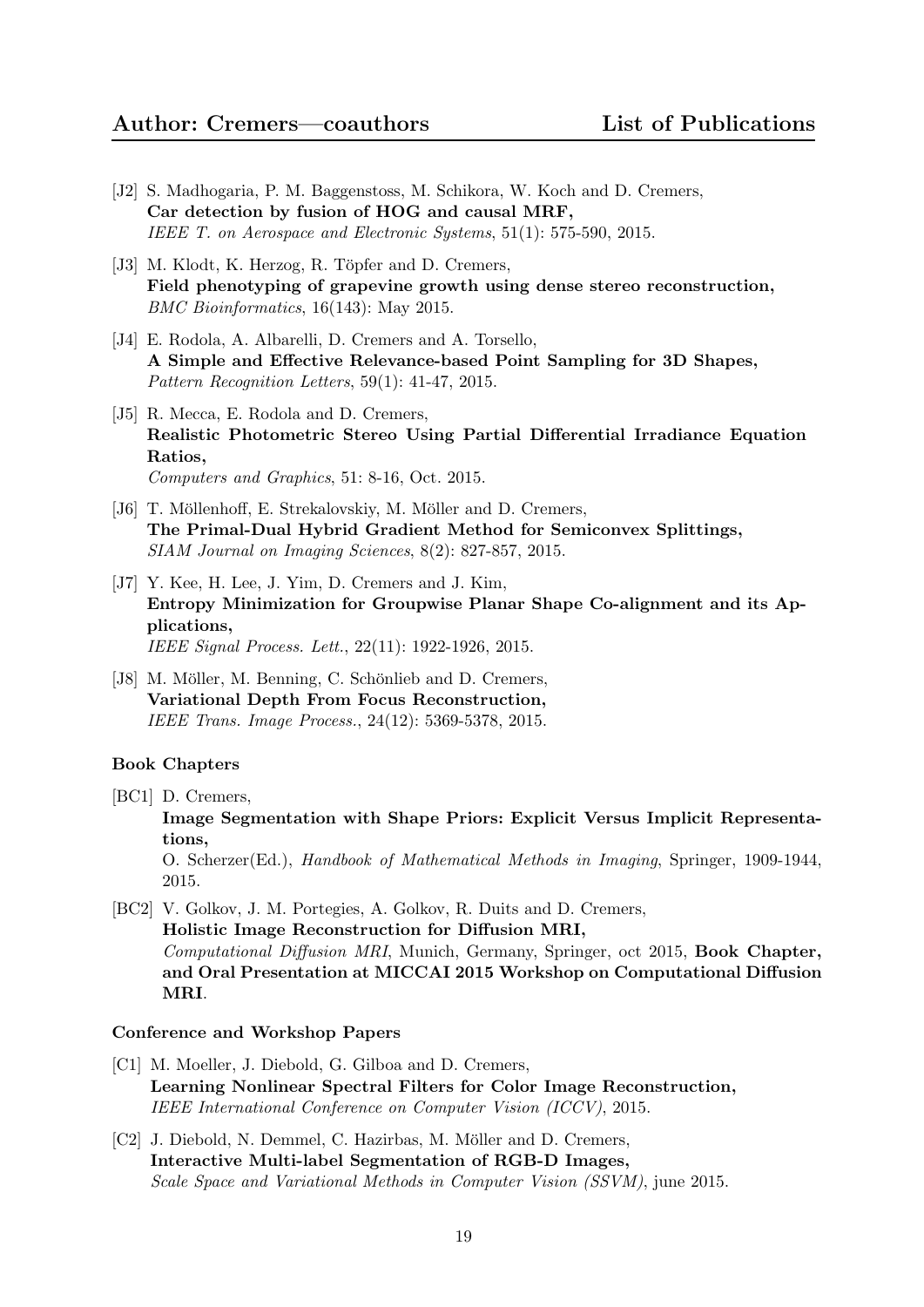- [J2] S. Madhogaria, P. M. Baggenstoss, M. Schikora, W. Koch and D. Cremers, Car detection by fusion of HOG and causal MRF, IEEE T. on Aerospace and Electronic Systems, 51(1): 575-590, 2015.
- [J3] M. Klodt, K. Herzog, R. Töpfer and D. Cremers, Field phenotyping of grapevine growth using dense stereo reconstruction, BMC Bioinformatics, 16(143): May 2015.
- [J4] E. Rodola, A. Albarelli, D. Cremers and A. Torsello, A Simple and Effective Relevance-based Point Sampling for 3D Shapes, Pattern Recognition Letters, 59(1): 41-47, 2015.
- [J5] R. Mecca, E. Rodola and D. Cremers, Realistic Photometric Stereo Using Partial Differential Irradiance Equation Ratios, Computers and Graphics, 51: 8-16, Oct. 2015.
- [J6] T. Möllenhoff, E. Strekalovskiy, M. Möller and D. Cremers, The Primal-Dual Hybrid Gradient Method for Semiconvex Splittings, SIAM Journal on Imaging Sciences, 8(2): 827-857, 2015.
- [J7] Y. Kee, H. Lee, J. Yim, D. Cremers and J. Kim, Entropy Minimization for Groupwise Planar Shape Co-alignment and its Applications, IEEE Signal Process. Lett., 22(11): 1922-1926, 2015.
- [J8] M. Möller, M. Benning, C. Schönlieb and D. Cremers, Variational Depth From Focus Reconstruction, IEEE Trans. Image Process., 24(12): 5369-5378, 2015.

#### Book Chapters

[BC1] D. Cremers,

Image Segmentation with Shape Priors: Explicit Versus Implicit Representations,

O. Scherzer(Ed.), Handbook of Mathematical Methods in Imaging, Springer, 1909-1944, 2015.

[BC2] V. Golkov, J. M. Portegies, A. Golkov, R. Duits and D. Cremers, Holistic Image Reconstruction for Diffusion MRI, Computational Diffusion MRI, Munich, Germany, Springer, oct 2015, Book Chapter, and Oral Presentation at MICCAI 2015 Workshop on Computational Diffusion MRI.

- [C1] M. Moeller, J. Diebold, G. Gilboa and D. Cremers, Learning Nonlinear Spectral Filters for Color Image Reconstruction, IEEE International Conference on Computer Vision (ICCV), 2015.
- [C2] J. Diebold, N. Demmel, C. Hazirbas, M. Möller and D. Cremers, Interactive Multi-label Segmentation of RGB-D Images, Scale Space and Variational Methods in Computer Vision (SSVM), june 2015.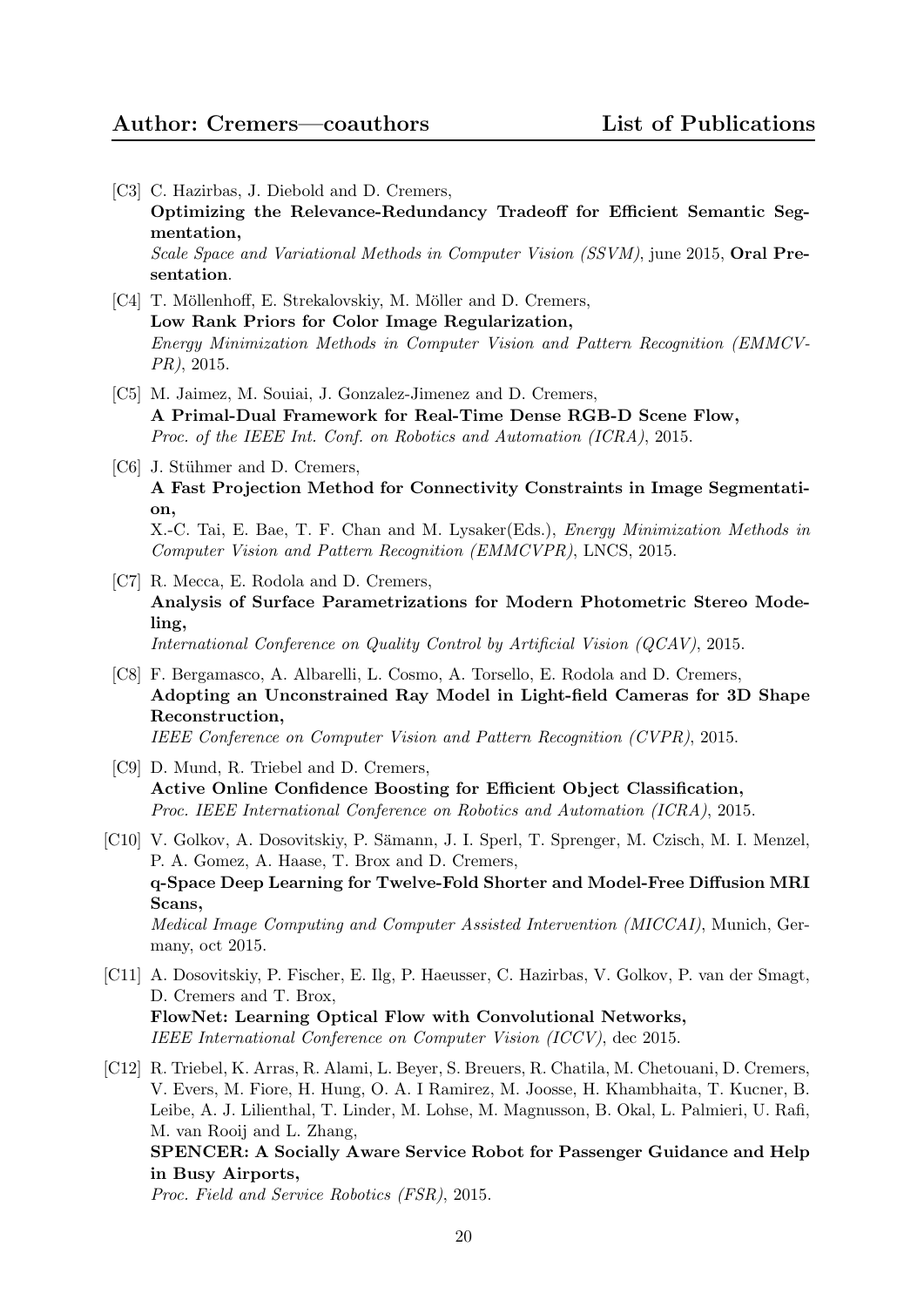- [C3] C. Hazirbas, J. Diebold and D. Cremers, Optimizing the Relevance-Redundancy Tradeoff for Efficient Semantic Segmentation, Scale Space and Variational Methods in Computer Vision (SSVM), june 2015, Oral Presentation.
- [C4] T. Möllenhoff, E. Strekalovskiy, M. Möller and D. Cremers, Low Rank Priors for Color Image Regularization, Energy Minimization Methods in Computer Vision and Pattern Recognition (EMMCV-PR), 2015.
- [C5] M. Jaimez, M. Souiai, J. Gonzalez-Jimenez and D. Cremers, A Primal-Dual Framework for Real-Time Dense RGB-D Scene Flow, Proc. of the IEEE Int. Conf. on Robotics and Automation (ICRA), 2015.
- [C6] J. Stühmer and D. Cremers, A Fast Projection Method for Connectivity Constraints in Image Segmentation, X.-C. Tai, E. Bae, T. F. Chan and M. Lysaker(Eds.), Energy Minimization Methods in Computer Vision and Pattern Recognition (EMMCVPR), LNCS, 2015.
- [C7] R. Mecca, E. Rodola and D. Cremers, Analysis of Surface Parametrizations for Modern Photometric Stereo Modeling, International Conference on Quality Control by Artificial Vision (QCAV), 2015.
- [C8] F. Bergamasco, A. Albarelli, L. Cosmo, A. Torsello, E. Rodola and D. Cremers, Adopting an Unconstrained Ray Model in Light-field Cameras for 3D Shape Reconstruction, IEEE Conference on Computer Vision and Pattern Recognition (CVPR), 2015.
- [C9] D. Mund, R. Triebel and D. Cremers, Active Online Confidence Boosting for Efficient Object Classification, Proc. IEEE International Conference on Robotics and Automation (ICRA), 2015.
- [C10] V. Golkov, A. Dosovitskiy, P. Sämann, J. I. Sperl, T. Sprenger, M. Czisch, M. I. Menzel, P. A. Gomez, A. Haase, T. Brox and D. Cremers, q-Space Deep Learning for Twelve-Fold Shorter and Model-Free Diffusion MRI Scans, Medical Image Computing and Computer Assisted Intervention (MICCAI), Munich, Germany, oct 2015.
- [C11] A. Dosovitskiy, P. Fischer, E. Ilg, P. Haeusser, C. Hazirbas, V. Golkov, P. van der Smagt, D. Cremers and T. Brox, FlowNet: Learning Optical Flow with Convolutional Networks, IEEE International Conference on Computer Vision (ICCV), dec 2015.
- [C12] R. Triebel, K. Arras, R. Alami, L. Beyer, S. Breuers, R. Chatila, M. Chetouani, D. Cremers, V. Evers, M. Fiore, H. Hung, O. A. I Ramirez, M. Joosse, H. Khambhaita, T. Kucner, B. Leibe, A. J. Lilienthal, T. Linder, M. Lohse, M. Magnusson, B. Okal, L. Palmieri, U. Rafi, M. van Rooij and L. Zhang, SPENCER: A Socially Aware Service Robot for Passenger Guidance and Help in Busy Airports,

Proc. Field and Service Robotics (FSR), 2015.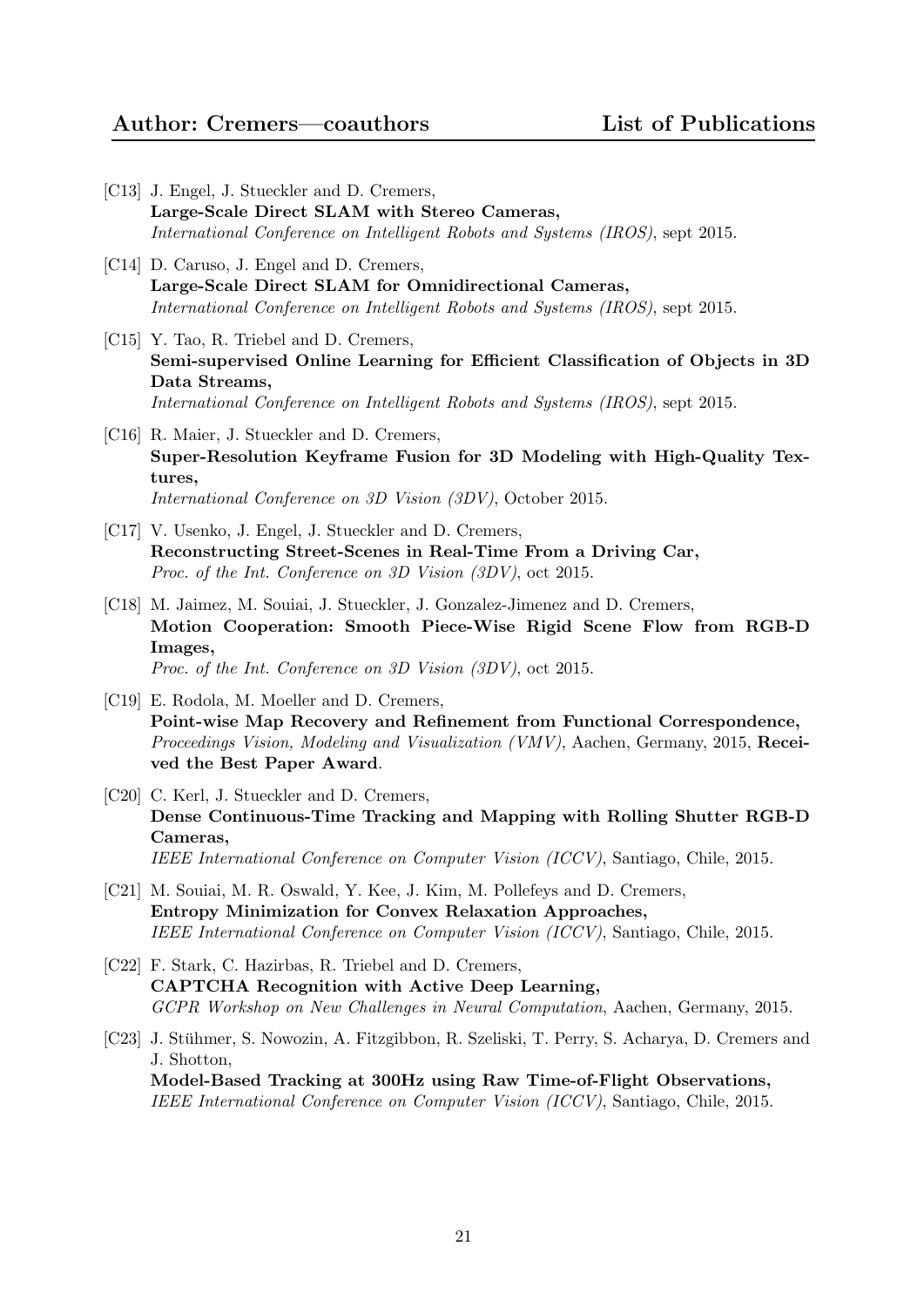- [C13] J. Engel, J. Stueckler and D. Cremers, Large-Scale Direct SLAM with Stereo Cameras, International Conference on Intelligent Robots and Systems (IROS), sept 2015.
- [C14] D. Caruso, J. Engel and D. Cremers, Large-Scale Direct SLAM for Omnidirectional Cameras, International Conference on Intelligent Robots and Systems (IROS), sept 2015.
- [C15] Y. Tao, R. Triebel and D. Cremers, Semi-supervised Online Learning for Efficient Classification of Objects in 3D Data Streams, International Conference on Intelligent Robots and Systems (IROS), sept 2015.
- [C16] R. Maier, J. Stueckler and D. Cremers, Super-Resolution Keyframe Fusion for 3D Modeling with High-Quality Textures, International Conference on 3D Vision (3DV), October 2015.
- [C17] V. Usenko, J. Engel, J. Stueckler and D. Cremers, Reconstructing Street-Scenes in Real-Time From a Driving Car, Proc. of the Int. Conference on 3D Vision (3DV), oct 2015.
- [C18] M. Jaimez, M. Souiai, J. Stueckler, J. Gonzalez-Jimenez and D. Cremers, Motion Cooperation: Smooth Piece-Wise Rigid Scene Flow from RGB-D Images, Proc. of the Int. Conference on 3D Vision (3DV), oct 2015.
- [C19] E. Rodola, M. Moeller and D. Cremers, Point-wise Map Recovery and Refinement from Functional Correspondence, Proceedings Vision, Modeling and Visualization (VMV), Aachen, Germany, 2015, Received the Best Paper Award.
- [C20] C. Kerl, J. Stueckler and D. Cremers, Dense Continuous-Time Tracking and Mapping with Rolling Shutter RGB-D Cameras, IEEE International Conference on Computer Vision (ICCV), Santiago, Chile, 2015.
- [C21] M. Souiai, M. R. Oswald, Y. Kee, J. Kim, M. Pollefeys and D. Cremers, Entropy Minimization for Convex Relaxation Approaches, IEEE International Conference on Computer Vision (ICCV), Santiago, Chile, 2015.
- [C22] F. Stark, C. Hazirbas, R. Triebel and D. Cremers, CAPTCHA Recognition with Active Deep Learning, GCPR Workshop on New Challenges in Neural Computation, Aachen, Germany, 2015.
- [C23] J. Stuhmer, S. Nowozin, A. Fitzgibbon, R. Szeliski, T. Perry, S. Acharya, D. Cremers and ¨ J. Shotton, Model-Based Tracking at 300Hz using Raw Time-of-Flight Observations, IEEE International Conference on Computer Vision (ICCV), Santiago, Chile, 2015.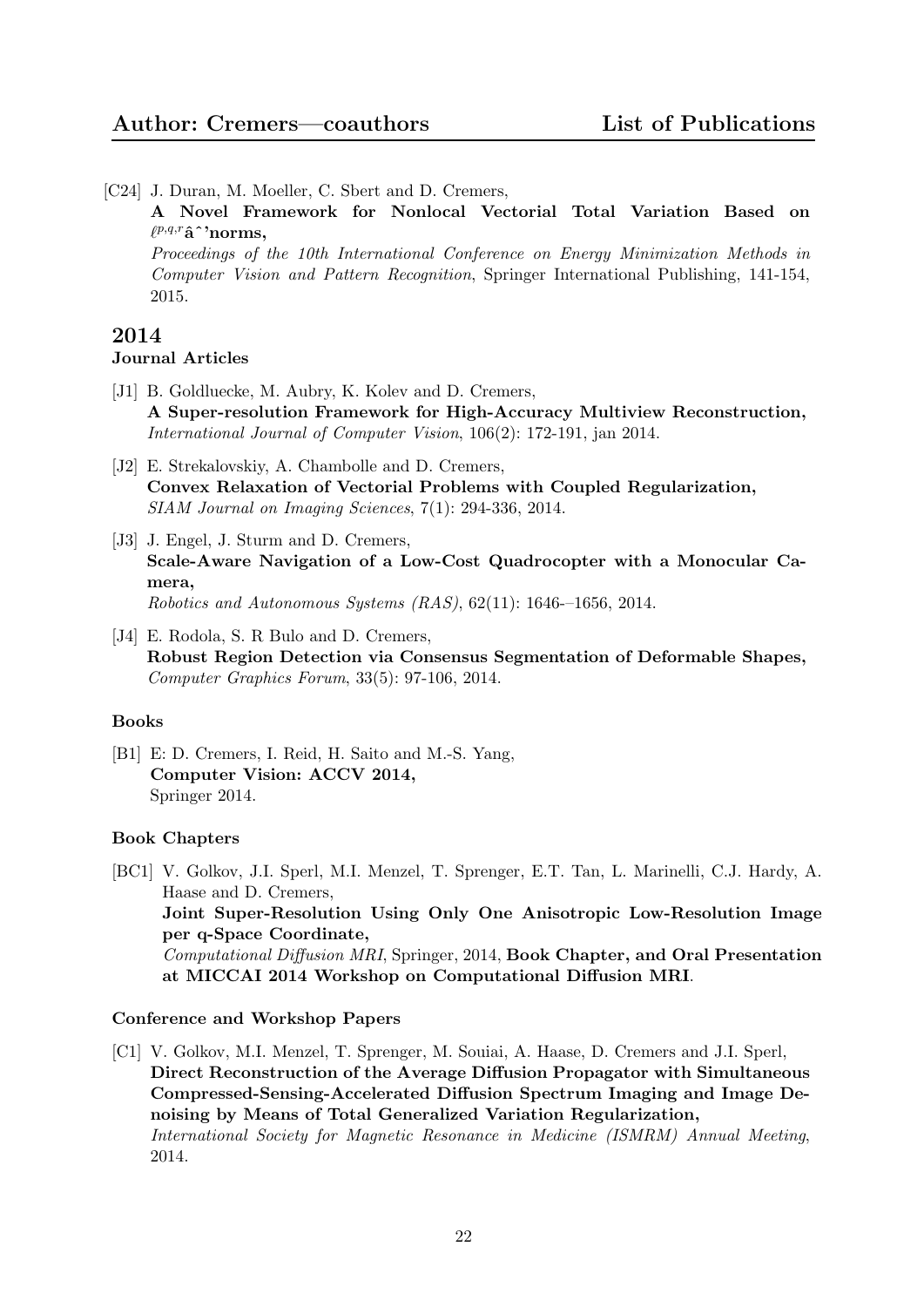- [C24] J. Duran, M. Moeller, C. Sbert and D. Cremers,
	- A Novel Framework for Nonlocal Vectorial Total Variation Based on  $\ell^{p,q,r} \hat{\mathbf{a}}^{\,\boldsymbol{\cdot}} \text{norms},$

Proceedings of the 10th International Conference on Energy Minimization Methods in Computer Vision and Pattern Recognition, Springer International Publishing, 141-154, 2015.

### 2014 Journal Articles

- [J1] B. Goldluecke, M. Aubry, K. Kolev and D. Cremers, A Super-resolution Framework for High-Accuracy Multiview Reconstruction, International Journal of Computer Vision, 106(2): 172-191, jan 2014.
- [J2] E. Strekalovskiy, A. Chambolle and D. Cremers, Convex Relaxation of Vectorial Problems with Coupled Regularization, SIAM Journal on Imaging Sciences, 7(1): 294-336, 2014.
- [J3] J. Engel, J. Sturm and D. Cremers, Scale-Aware Navigation of a Low-Cost Quadrocopter with a Monocular Camera, Robotics and Autonomous Systems (RAS), 62(11): 1646-–1656, 2014.
- [J4] E. Rodola, S. R Bulo and D. Cremers, Robust Region Detection via Consensus Segmentation of Deformable Shapes, Computer Graphics Forum, 33(5): 97-106, 2014.

#### Books

[B1] E: D. Cremers, I. Reid, H. Saito and M.-S. Yang, Computer Vision: ACCV 2014, Springer 2014.

#### Book Chapters

[BC1] V. Golkov, J.I. Sperl, M.I. Menzel, T. Sprenger, E.T. Tan, L. Marinelli, C.J. Hardy, A. Haase and D. Cremers, Joint Super-Resolution Using Only One Anisotropic Low-Resolution Image per q-Space Coordinate, Computational Diffusion MRI, Springer, 2014, Book Chapter, and Oral Presentation at MICCAI 2014 Workshop on Computational Diffusion MRI.

#### Conference and Workshop Papers

[C1] V. Golkov, M.I. Menzel, T. Sprenger, M. Souiai, A. Haase, D. Cremers and J.I. Sperl, Direct Reconstruction of the Average Diffusion Propagator with Simultaneous Compressed-Sensing-Accelerated Diffusion Spectrum Imaging and Image Denoising by Means of Total Generalized Variation Regularization, International Society for Magnetic Resonance in Medicine (ISMRM) Annual Meeting, 2014.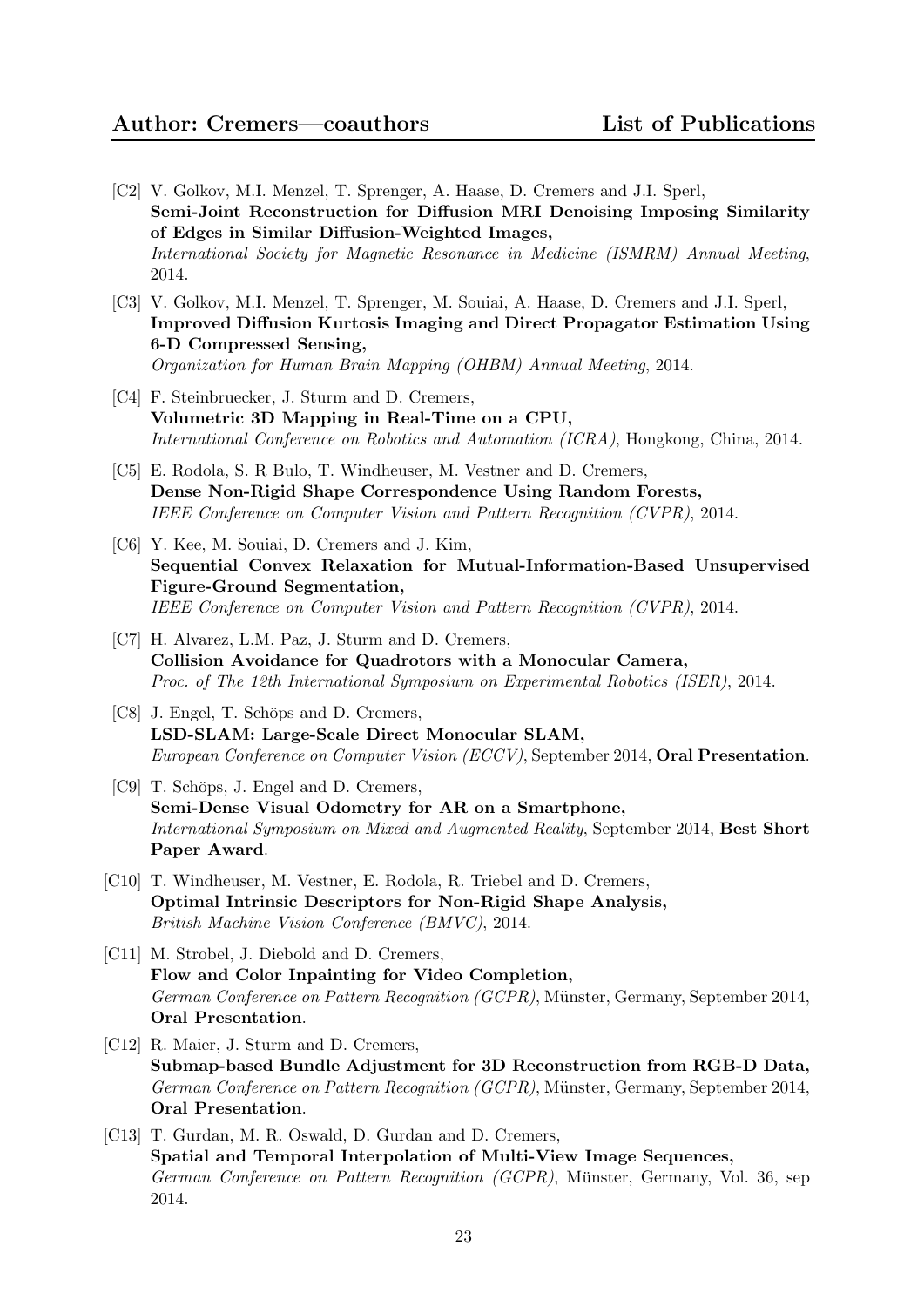- [C2] V. Golkov, M.I. Menzel, T. Sprenger, A. Haase, D. Cremers and J.I. Sperl, Semi-Joint Reconstruction for Diffusion MRI Denoising Imposing Similarity of Edges in Similar Diffusion-Weighted Images, International Society for Magnetic Resonance in Medicine (ISMRM) Annual Meeting, 2014.
- [C3] V. Golkov, M.I. Menzel, T. Sprenger, M. Souiai, A. Haase, D. Cremers and J.I. Sperl, Improved Diffusion Kurtosis Imaging and Direct Propagator Estimation Using 6-D Compressed Sensing, Organization for Human Brain Mapping (OHBM) Annual Meeting, 2014.
- [C4] F. Steinbruecker, J. Sturm and D. Cremers, Volumetric 3D Mapping in Real-Time on a CPU, International Conference on Robotics and Automation (ICRA), Hongkong, China, 2014.
- [C5] E. Rodola, S. R Bulo, T. Windheuser, M. Vestner and D. Cremers, Dense Non-Rigid Shape Correspondence Using Random Forests, IEEE Conference on Computer Vision and Pattern Recognition (CVPR), 2014.
- [C6] Y. Kee, M. Souiai, D. Cremers and J. Kim, Sequential Convex Relaxation for Mutual-Information-Based Unsupervised Figure-Ground Segmentation, IEEE Conference on Computer Vision and Pattern Recognition (CVPR), 2014.
- [C7] H. Alvarez, L.M. Paz, J. Sturm and D. Cremers, Collision Avoidance for Quadrotors with a Monocular Camera, Proc. of The 12th International Symposium on Experimental Robotics (ISER), 2014.
- [C8] J. Engel, T. Schöps and D. Cremers, LSD-SLAM: Large-Scale Direct Monocular SLAM, European Conference on Computer Vision (ECCV), September 2014, Oral Presentation.
- [C9] T. Schöps, J. Engel and D. Cremers, Semi-Dense Visual Odometry for AR on a Smartphone, International Symposium on Mixed and Augmented Reality, September 2014, Best Short Paper Award.
- [C10] T. Windheuser, M. Vestner, E. Rodola, R. Triebel and D. Cremers, Optimal Intrinsic Descriptors for Non-Rigid Shape Analysis, British Machine Vision Conference (BMVC), 2014.
- [C11] M. Strobel, J. Diebold and D. Cremers, Flow and Color Inpainting for Video Completion, German Conference on Pattern Recognition (GCPR), Münster, Germany, September 2014, Oral Presentation.
- [C12] R. Maier, J. Sturm and D. Cremers, Submap-based Bundle Adjustment for 3D Reconstruction from RGB-D Data, German Conference on Pattern Recognition (GCPR), Münster, Germany, September 2014, Oral Presentation.
- [C13] T. Gurdan, M. R. Oswald, D. Gurdan and D. Cremers, Spatial and Temporal Interpolation of Multi-View Image Sequences, German Conference on Pattern Recognition (GCPR), Münster, Germany, Vol. 36, sep 2014.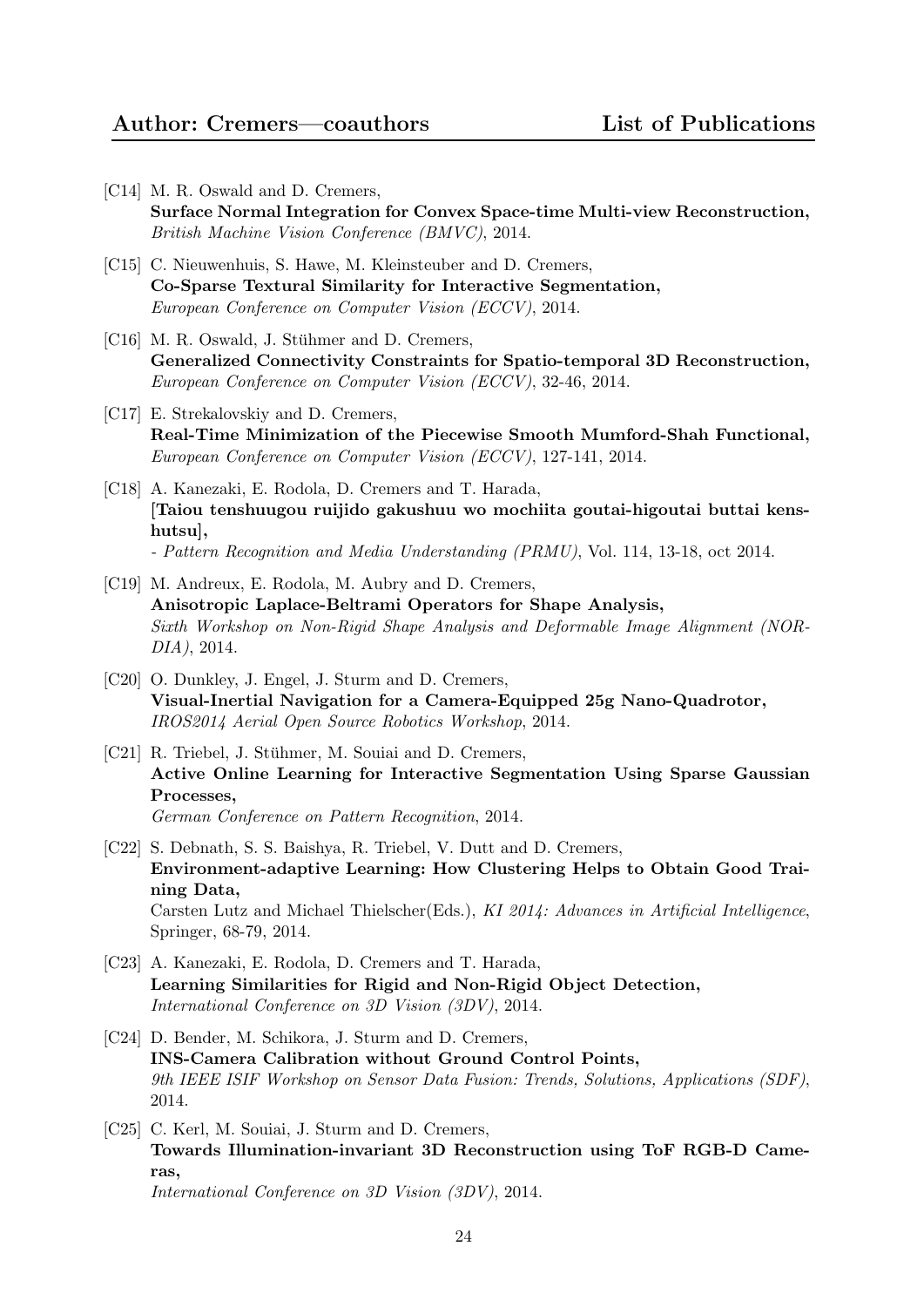- [C14] M. R. Oswald and D. Cremers, Surface Normal Integration for Convex Space-time Multi-view Reconstruction, British Machine Vision Conference (BMVC), 2014.
- [C15] C. Nieuwenhuis, S. Hawe, M. Kleinsteuber and D. Cremers, Co-Sparse Textural Similarity for Interactive Segmentation, European Conference on Computer Vision (ECCV), 2014.
- [C16] M. R. Oswald, J. Stühmer and D. Cremers, Generalized Connectivity Constraints for Spatio-temporal 3D Reconstruction, European Conference on Computer Vision (ECCV), 32-46, 2014.
- [C17] E. Strekalovskiy and D. Cremers, Real-Time Minimization of the Piecewise Smooth Mumford-Shah Functional, European Conference on Computer Vision (ECCV), 127-141, 2014.
- [C18] A. Kanezaki, E. Rodola, D. Cremers and T. Harada, [Taiou tenshuugou ruijido gakushuu wo mochiita goutai-higoutai buttai kenshutsu], - Pattern Recognition and Media Understanding (PRMU), Vol. 114, 13-18, oct 2014.
- [C19] M. Andreux, E. Rodola, M. Aubry and D. Cremers, Anisotropic Laplace-Beltrami Operators for Shape Analysis, Sixth Workshop on Non-Rigid Shape Analysis and Deformable Image Alignment (NOR-DIA), 2014.
- [C20] O. Dunkley, J. Engel, J. Sturm and D. Cremers, Visual-Inertial Navigation for a Camera-Equipped 25g Nano-Quadrotor, IROS2014 Aerial Open Source Robotics Workshop, 2014.
- [C21] R. Triebel, J. Stühmer, M. Souiai and D. Cremers, Active Online Learning for Interactive Segmentation Using Sparse Gaussian Processes, German Conference on Pattern Recognition, 2014.
- [C22] S. Debnath, S. S. Baishya, R. Triebel, V. Dutt and D. Cremers, Environment-adaptive Learning: How Clustering Helps to Obtain Good Training Data, Carsten Lutz and Michael Thielscher(Eds.), KI 2014: Advances in Artificial Intelligence, Springer, 68-79, 2014.
- [C23] A. Kanezaki, E. Rodola, D. Cremers and T. Harada, Learning Similarities for Rigid and Non-Rigid Object Detection, International Conference on 3D Vision (3DV), 2014.
- [C24] D. Bender, M. Schikora, J. Sturm and D. Cremers, INS-Camera Calibration without Ground Control Points, 9th IEEE ISIF Workshop on Sensor Data Fusion: Trends, Solutions, Applications (SDF), 2014.
- [C25] C. Kerl, M. Souiai, J. Sturm and D. Cremers, Towards Illumination-invariant 3D Reconstruction using ToF RGB-D Cameras, International Conference on 3D Vision (3DV), 2014.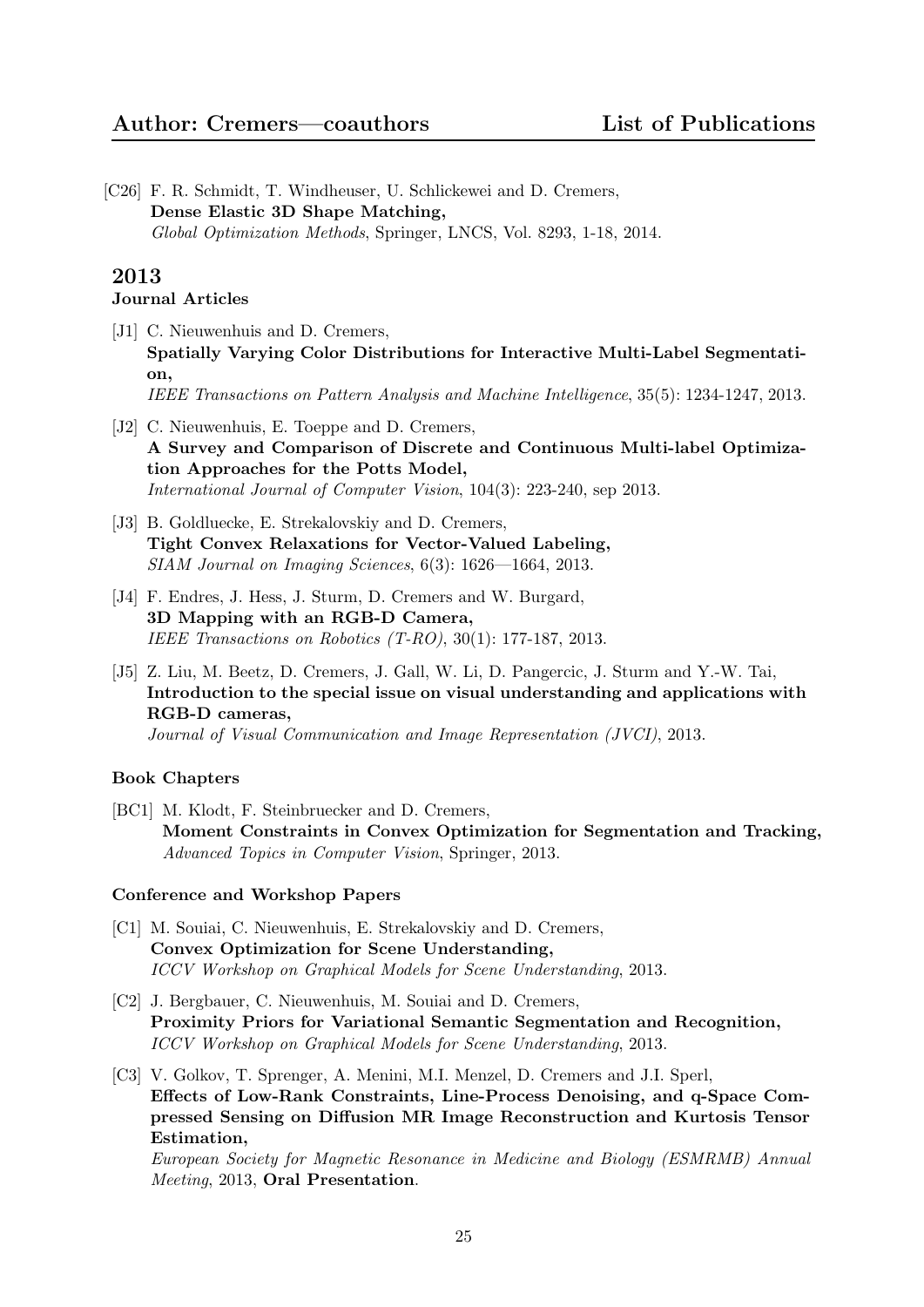[C26] F. R. Schmidt, T. Windheuser, U. Schlickewei and D. Cremers, Dense Elastic 3D Shape Matching, Global Optimization Methods, Springer, LNCS, Vol. 8293, 1-18, 2014.

# 2013

# Journal Articles

- [J1] C. Nieuwenhuis and D. Cremers, Spatially Varying Color Distributions for Interactive Multi-Label Segmentation, IEEE Transactions on Pattern Analysis and Machine Intelligence, 35(5): 1234-1247, 2013.
- [J2] C. Nieuwenhuis, E. Toeppe and D. Cremers, A Survey and Comparison of Discrete and Continuous Multi-label Optimization Approaches for the Potts Model, International Journal of Computer Vision, 104(3): 223-240, sep 2013.
- [J3] B. Goldluecke, E. Strekalovskiy and D. Cremers, Tight Convex Relaxations for Vector-Valued Labeling, SIAM Journal on Imaging Sciences, 6(3): 1626—1664, 2013.
- [J4] F. Endres, J. Hess, J. Sturm, D. Cremers and W. Burgard, 3D Mapping with an RGB-D Camera, IEEE Transactions on Robotics (T-RO), 30(1): 177-187, 2013.
- [J5] Z. Liu, M. Beetz, D. Cremers, J. Gall, W. Li, D. Pangercic, J. Sturm and Y.-W. Tai, Introduction to the special issue on visual understanding and applications with RGB-D cameras,

Journal of Visual Communication and Image Representation (JVCI), 2013.

## Book Chapters

[BC1] M. Klodt, F. Steinbruecker and D. Cremers, Moment Constraints in Convex Optimization for Segmentation and Tracking, Advanced Topics in Computer Vision, Springer, 2013.

## Conference and Workshop Papers

- [C1] M. Souiai, C. Nieuwenhuis, E. Strekalovskiy and D. Cremers, Convex Optimization for Scene Understanding, ICCV Workshop on Graphical Models for Scene Understanding, 2013.
- [C2] J. Bergbauer, C. Nieuwenhuis, M. Souiai and D. Cremers, Proximity Priors for Variational Semantic Segmentation and Recognition, ICCV Workshop on Graphical Models for Scene Understanding, 2013.
- [C3] V. Golkov, T. Sprenger, A. Menini, M.I. Menzel, D. Cremers and J.I. Sperl, Effects of Low-Rank Constraints, Line-Process Denoising, and q-Space Compressed Sensing on Diffusion MR Image Reconstruction and Kurtosis Tensor Estimation,

European Society for Magnetic Resonance in Medicine and Biology (ESMRMB) Annual Meeting, 2013, Oral Presentation.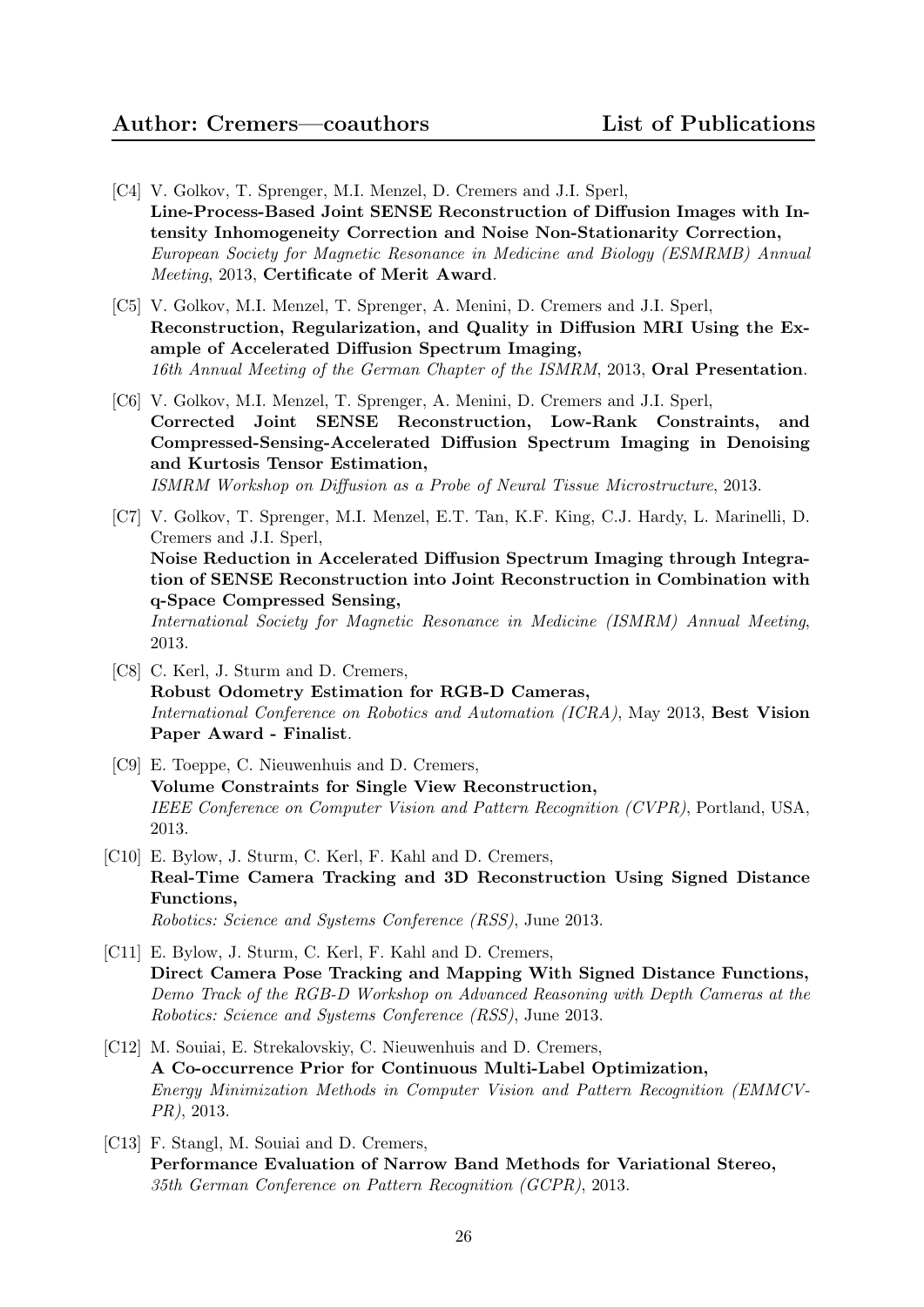- [C4] V. Golkov, T. Sprenger, M.I. Menzel, D. Cremers and J.I. Sperl, Line-Process-Based Joint SENSE Reconstruction of Diffusion Images with Intensity Inhomogeneity Correction and Noise Non-Stationarity Correction, European Society for Magnetic Resonance in Medicine and Biology (ESMRMB) Annual Meeting, 2013, Certificate of Merit Award.
- [C5] V. Golkov, M.I. Menzel, T. Sprenger, A. Menini, D. Cremers and J.I. Sperl, Reconstruction, Regularization, and Quality in Diffusion MRI Using the Example of Accelerated Diffusion Spectrum Imaging, 16th Annual Meeting of the German Chapter of the ISMRM, 2013, Oral Presentation.
- [C6] V. Golkov, M.I. Menzel, T. Sprenger, A. Menini, D. Cremers and J.I. Sperl, Corrected Joint SENSE Reconstruction, Low-Rank Constraints, and Compressed-Sensing-Accelerated Diffusion Spectrum Imaging in Denoising and Kurtosis Tensor Estimation, ISMRM Workshop on Diffusion as a Probe of Neural Tissue Microstructure, 2013.
- [C7] V. Golkov, T. Sprenger, M.I. Menzel, E.T. Tan, K.F. King, C.J. Hardy, L. Marinelli, D. Cremers and J.I. Sperl, Noise Reduction in Accelerated Diffusion Spectrum Imaging through Integration of SENSE Reconstruction into Joint Reconstruction in Combination with q-Space Compressed Sensing, International Society for Magnetic Resonance in Medicine (ISMRM) Annual Meeting, 2013.
- [C8] C. Kerl, J. Sturm and D. Cremers, Robust Odometry Estimation for RGB-D Cameras, International Conference on Robotics and Automation (ICRA), May 2013, Best Vision Paper Award - Finalist.
- [C9] E. Toeppe, C. Nieuwenhuis and D. Cremers, Volume Constraints for Single View Reconstruction, IEEE Conference on Computer Vision and Pattern Recognition (CVPR), Portland, USA, 2013.
- [C10] E. Bylow, J. Sturm, C. Kerl, F. Kahl and D. Cremers, Real-Time Camera Tracking and 3D Reconstruction Using Signed Distance Functions, Robotics: Science and Systems Conference (RSS), June 2013.
- [C11] E. Bylow, J. Sturm, C. Kerl, F. Kahl and D. Cremers, Direct Camera Pose Tracking and Mapping With Signed Distance Functions, Demo Track of the RGB-D Workshop on Advanced Reasoning with Depth Cameras at the Robotics: Science and Systems Conference (RSS), June 2013.
- [C12] M. Souiai, E. Strekalovskiy, C. Nieuwenhuis and D. Cremers, A Co-occurrence Prior for Continuous Multi-Label Optimization, Energy Minimization Methods in Computer Vision and Pattern Recognition (EMMCV-PR), 2013.
- [C13] F. Stangl, M. Souiai and D. Cremers, Performance Evaluation of Narrow Band Methods for Variational Stereo, 35th German Conference on Pattern Recognition (GCPR), 2013.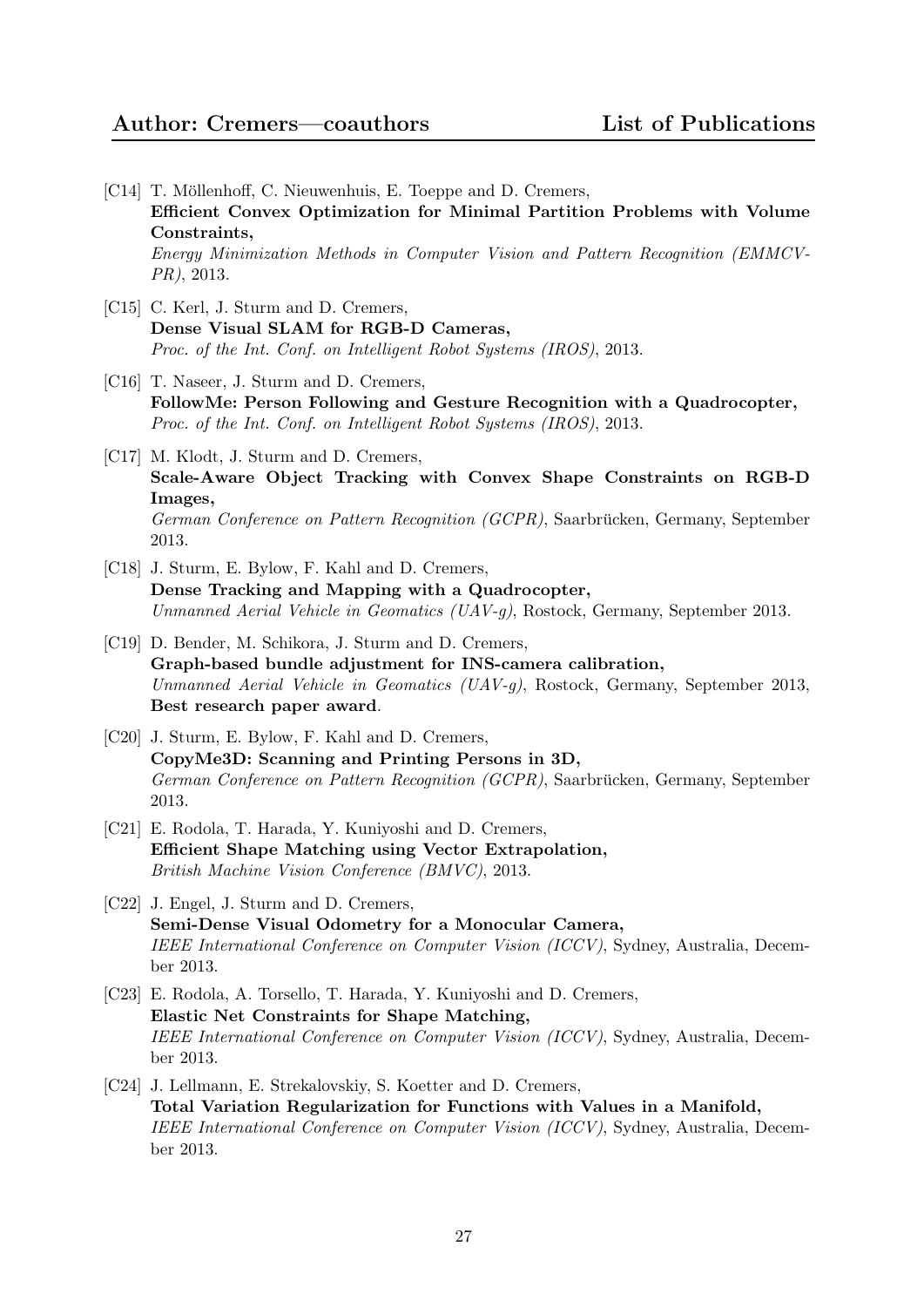- [C14] T. Möllenhoff, C. Nieuwenhuis, E. Toeppe and D. Cremers, Efficient Convex Optimization for Minimal Partition Problems with Volume Constraints, Energy Minimization Methods in Computer Vision and Pattern Recognition (EMMCV-PR), 2013.
- [C15] C. Kerl, J. Sturm and D. Cremers, Dense Visual SLAM for RGB-D Cameras, Proc. of the Int. Conf. on Intelligent Robot Systems (IROS), 2013.
- [C16] T. Naseer, J. Sturm and D. Cremers, FollowMe: Person Following and Gesture Recognition with a Quadrocopter, Proc. of the Int. Conf. on Intelligent Robot Systems (IROS), 2013.
- [C17] M. Klodt, J. Sturm and D. Cremers, Scale-Aware Object Tracking with Convex Shape Constraints on RGB-D Images, German Conference on Pattern Recognition (GCPR), Saarbrücken, Germany, September 2013.
- [C18] J. Sturm, E. Bylow, F. Kahl and D. Cremers, Dense Tracking and Mapping with a Quadrocopter, Unmanned Aerial Vehicle in Geomatics (UAV-g), Rostock, Germany, September 2013.
- [C19] D. Bender, M. Schikora, J. Sturm and D. Cremers, Graph-based bundle adjustment for INS-camera calibration, Unmanned Aerial Vehicle in Geomatics (UAV-g), Rostock, Germany, September 2013, Best research paper award.
- [C20] J. Sturm, E. Bylow, F. Kahl and D. Cremers, CopyMe3D: Scanning and Printing Persons in 3D, German Conference on Pattern Recognition (GCPR), Saarbrücken, Germany, September 2013.
- [C21] E. Rodola, T. Harada, Y. Kuniyoshi and D. Cremers, Efficient Shape Matching using Vector Extrapolation, British Machine Vision Conference (BMVC), 2013.
- [C22] J. Engel, J. Sturm and D. Cremers, Semi-Dense Visual Odometry for a Monocular Camera, IEEE International Conference on Computer Vision (ICCV), Sydney, Australia, December 2013.
- [C23] E. Rodola, A. Torsello, T. Harada, Y. Kuniyoshi and D. Cremers, Elastic Net Constraints for Shape Matching, IEEE International Conference on Computer Vision (ICCV), Sydney, Australia, December 2013.
- [C24] J. Lellmann, E. Strekalovskiy, S. Koetter and D. Cremers, Total Variation Regularization for Functions with Values in a Manifold, IEEE International Conference on Computer Vision (ICCV), Sydney, Australia, December 2013.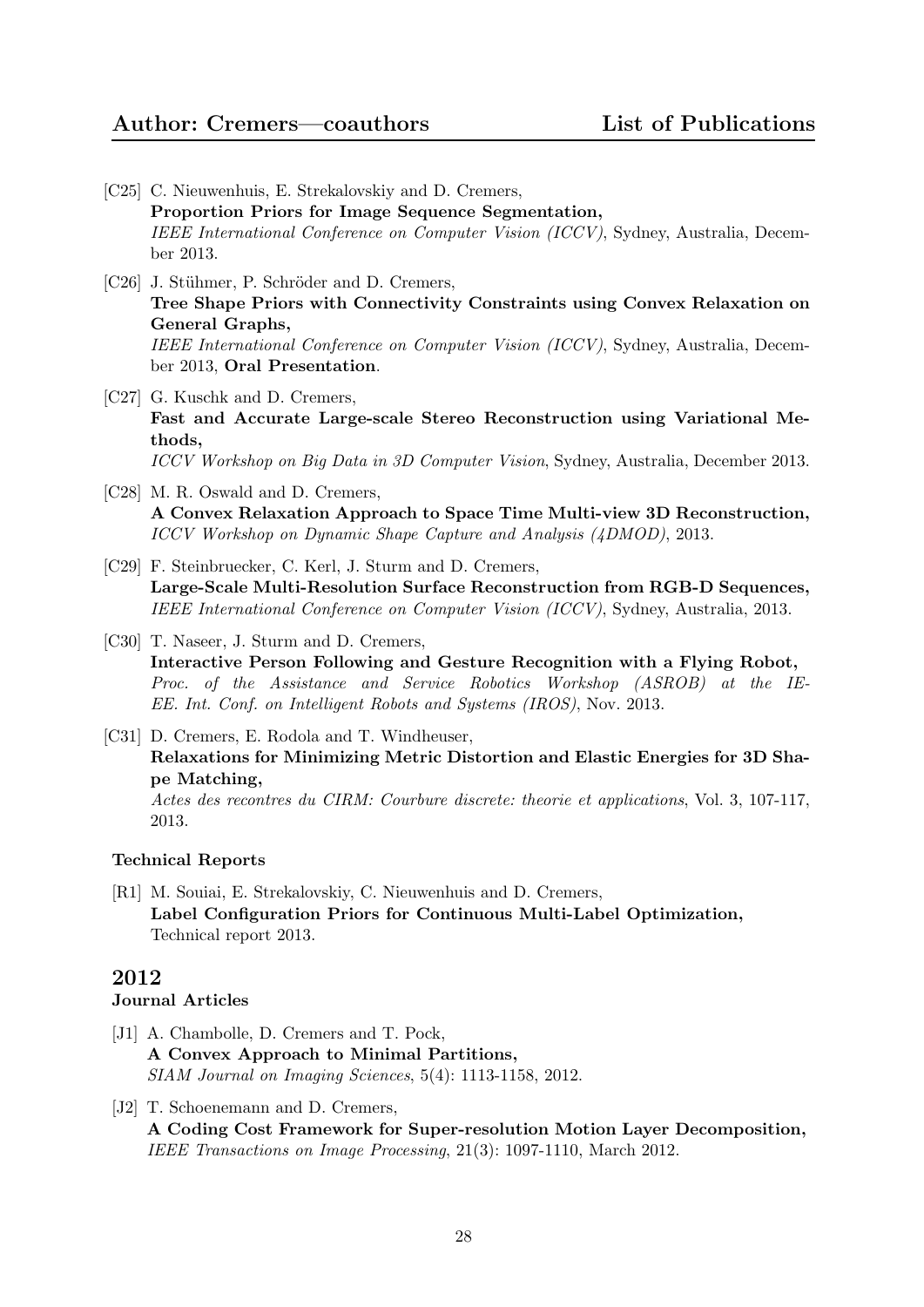- [C25] C. Nieuwenhuis, E. Strekalovskiy and D. Cremers, Proportion Priors for Image Sequence Segmentation, IEEE International Conference on Computer Vision (ICCV), Sydney, Australia, December 2013.
- [C26] J. Stühmer, P. Schröder and D. Cremers, Tree Shape Priors with Connectivity Constraints using Convex Relaxation on General Graphs, IEEE International Conference on Computer Vision (ICCV), Sydney, Australia, December 2013, Oral Presentation.
- [C27] G. Kuschk and D. Cremers, Fast and Accurate Large-scale Stereo Reconstruction using Variational Methods, ICCV Workshop on Big Data in 3D Computer Vision, Sydney, Australia, December 2013.
- [C28] M. R. Oswald and D. Cremers, A Convex Relaxation Approach to Space Time Multi-view 3D Reconstruction, ICCV Workshop on Dynamic Shape Capture and Analysis (4DMOD), 2013.
- [C29] F. Steinbruecker, C. Kerl, J. Sturm and D. Cremers, Large-Scale Multi-Resolution Surface Reconstruction from RGB-D Sequences, IEEE International Conference on Computer Vision (ICCV), Sydney, Australia, 2013.
- [C30] T. Naseer, J. Sturm and D. Cremers, Interactive Person Following and Gesture Recognition with a Flying Robot, Proc. of the Assistance and Service Robotics Workshop (ASROB) at the IE-EE. Int. Conf. on Intelligent Robots and Systems (IROS), Nov. 2013.
- [C31] D. Cremers, E. Rodola and T. Windheuser, Relaxations for Minimizing Metric Distortion and Elastic Energies for 3D Shape Matching, Actes des recontres du CIRM: Courbure discrete: theorie et applications, Vol. 3, 107-117, 2013.

# Technical Reports

[R1] M. Souiai, E. Strekalovskiy, C. Nieuwenhuis and D. Cremers, Label Configuration Priors for Continuous Multi-Label Optimization, Technical report 2013.

# 2012

## Journal Articles

- [J1] A. Chambolle, D. Cremers and T. Pock, A Convex Approach to Minimal Partitions, SIAM Journal on Imaging Sciences, 5(4): 1113-1158, 2012.
- [J2] T. Schoenemann and D. Cremers, A Coding Cost Framework for Super-resolution Motion Layer Decomposition, IEEE Transactions on Image Processing, 21(3): 1097-1110, March 2012.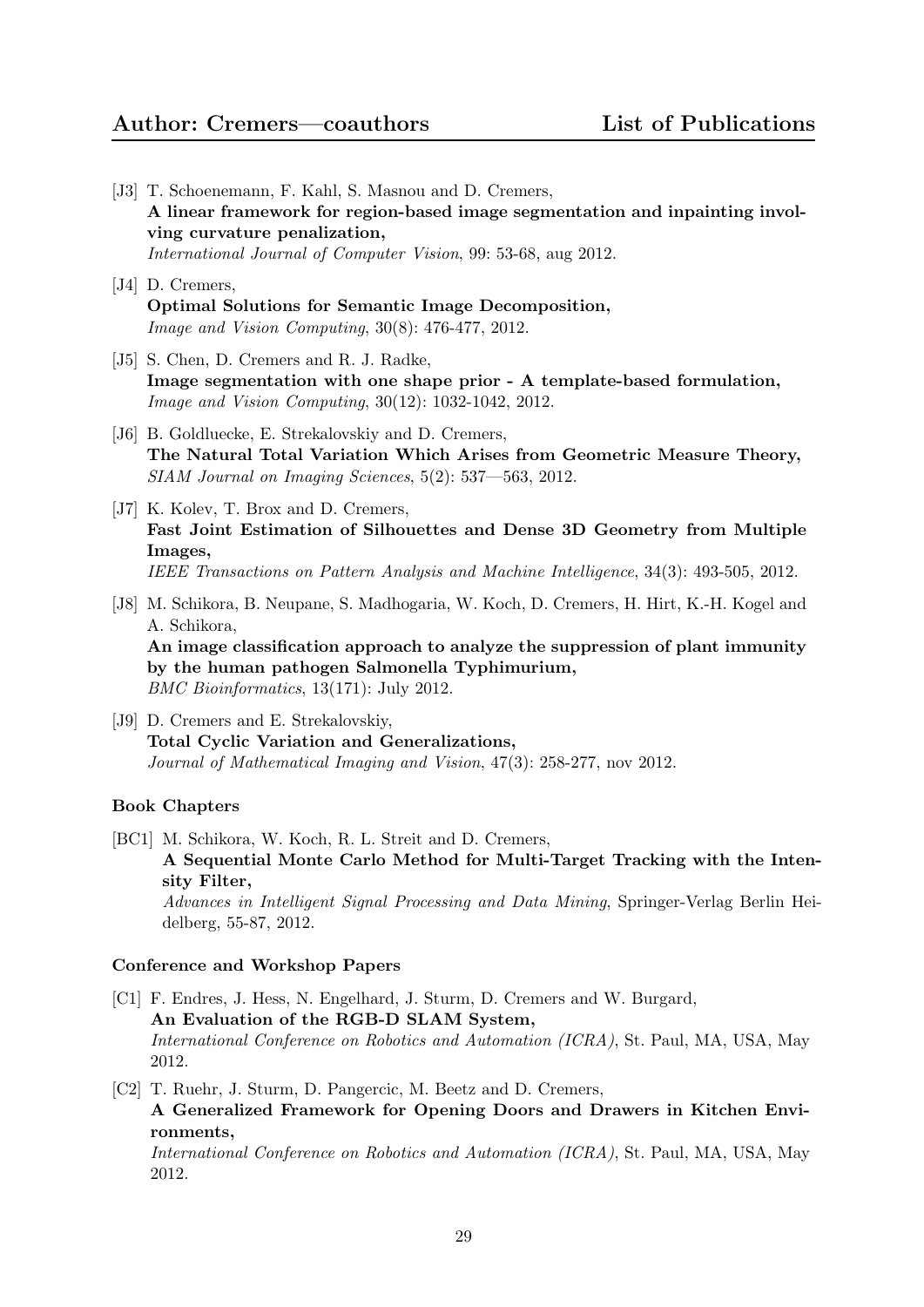# Author: Cremers—coauthors List of Publications

- [J3] T. Schoenemann, F. Kahl, S. Masnou and D. Cremers, A linear framework for region-based image segmentation and inpainting involving curvature penalization, International Journal of Computer Vision, 99: 53-68, aug 2012.
- [J4] D. Cremers, Optimal Solutions for Semantic Image Decomposition, Image and Vision Computing, 30(8): 476-477, 2012.
- [J5] S. Chen, D. Cremers and R. J. Radke, Image segmentation with one shape prior - A template-based formulation, Image and Vision Computing, 30(12): 1032-1042, 2012.
- [J6] B. Goldluecke, E. Strekalovskiy and D. Cremers, The Natural Total Variation Which Arises from Geometric Measure Theory, SIAM Journal on Imaging Sciences, 5(2): 537—563, 2012.
- [J7] K. Kolev, T. Brox and D. Cremers, Fast Joint Estimation of Silhouettes and Dense 3D Geometry from Multiple Images, IEEE Transactions on Pattern Analysis and Machine Intelligence, 34(3): 493-505, 2012.
- [J8] M. Schikora, B. Neupane, S. Madhogaria, W. Koch, D. Cremers, H. Hirt, K.-H. Kogel and A. Schikora, An image classification approach to analyze the suppression of plant immunity by the human pathogen Salmonella Typhimurium, BMC Bioinformatics, 13(171): July 2012.
- [J9] D. Cremers and E. Strekalovskiy, Total Cyclic Variation and Generalizations, Journal of Mathematical Imaging and Vision, 47(3): 258-277, nov 2012.

#### Book Chapters

[BC1] M. Schikora, W. Koch, R. L. Streit and D. Cremers, A Sequential Monte Carlo Method for Multi-Target Tracking with the Intensity Filter,

Advances in Intelligent Signal Processing and Data Mining, Springer-Verlag Berlin Heidelberg, 55-87, 2012.

#### Conference and Workshop Papers

- [C1] F. Endres, J. Hess, N. Engelhard, J. Sturm, D. Cremers and W. Burgard, An Evaluation of the RGB-D SLAM System, International Conference on Robotics and Automation (ICRA), St. Paul, MA, USA, May 2012.
- [C2] T. Ruehr, J. Sturm, D. Pangercic, M. Beetz and D. Cremers, A Generalized Framework for Opening Doors and Drawers in Kitchen Environments, International Conference on Robotics and Automation (ICRA), St. Paul, MA, USA, May

2012.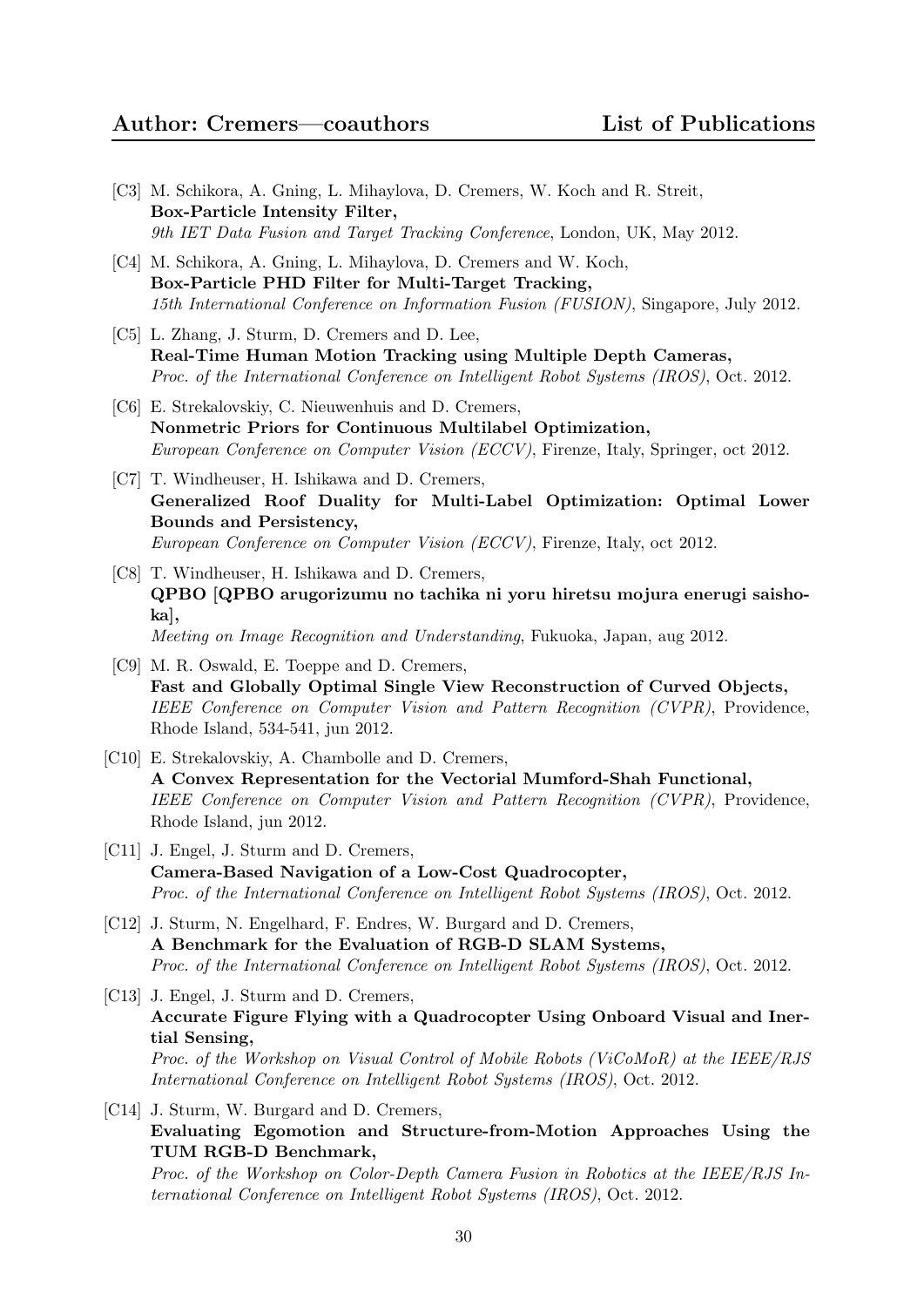- [C3] M. Schikora, A. Gning, L. Mihaylova, D. Cremers, W. Koch and R. Streit, Box-Particle Intensity Filter, 9th IET Data Fusion and Target Tracking Conference, London, UK, May 2012.
- [C4] M. Schikora, A. Gning, L. Mihaylova, D. Cremers and W. Koch, Box-Particle PHD Filter for Multi-Target Tracking, 15th International Conference on Information Fusion (FUSION), Singapore, July 2012.
- [C5] L. Zhang, J. Sturm, D. Cremers and D. Lee, Real-Time Human Motion Tracking using Multiple Depth Cameras, Proc. of the International Conference on Intelligent Robot Systems (IROS), Oct. 2012.
- [C6] E. Strekalovskiy, C. Nieuwenhuis and D. Cremers, Nonmetric Priors for Continuous Multilabel Optimization, European Conference on Computer Vision (ECCV), Firenze, Italy, Springer, oct 2012.
- [C7] T. Windheuser, H. Ishikawa and D. Cremers, Generalized Roof Duality for Multi-Label Optimization: Optimal Lower Bounds and Persistency, European Conference on Computer Vision (ECCV), Firenze, Italy, oct 2012.
- [C8] T. Windheuser, H. Ishikawa and D. Cremers, QPBO [QPBO arugorizumu no tachika ni yoru hiretsu mojura enerugi saishoka], Meeting on Image Recognition and Understanding, Fukuoka, Japan, aug 2012.
- [C9] M. R. Oswald, E. Toeppe and D. Cremers, Fast and Globally Optimal Single View Reconstruction of Curved Objects, IEEE Conference on Computer Vision and Pattern Recognition (CVPR), Providence, Rhode Island, 534-541, jun 2012.
- [C10] E. Strekalovskiy, A. Chambolle and D. Cremers, A Convex Representation for the Vectorial Mumford-Shah Functional, IEEE Conference on Computer Vision and Pattern Recognition (CVPR), Providence, Rhode Island, jun 2012.
- [C11] J. Engel, J. Sturm and D. Cremers, Camera-Based Navigation of a Low-Cost Quadrocopter, Proc. of the International Conference on Intelligent Robot Systems (IROS), Oct. 2012.
- [C12] J. Sturm, N. Engelhard, F. Endres, W. Burgard and D. Cremers, A Benchmark for the Evaluation of RGB-D SLAM Systems, Proc. of the International Conference on Intelligent Robot Systems (IROS), Oct. 2012.
- [C13] J. Engel, J. Sturm and D. Cremers, Accurate Figure Flying with a Quadrocopter Using Onboard Visual and Inertial Sensing, Proc. of the Workshop on Visual Control of Mobile Robots (ViCoMoR) at the IEEE/RJS International Conference on Intelligent Robot Systems (IROS), Oct. 2012.
- [C14] J. Sturm, W. Burgard and D. Cremers, Evaluating Egomotion and Structure-from-Motion Approaches Using the TUM RGB-D Benchmark,

Proc. of the Workshop on Color-Depth Camera Fusion in Robotics at the IEEE/RJS International Conference on Intelligent Robot Systems (IROS), Oct. 2012.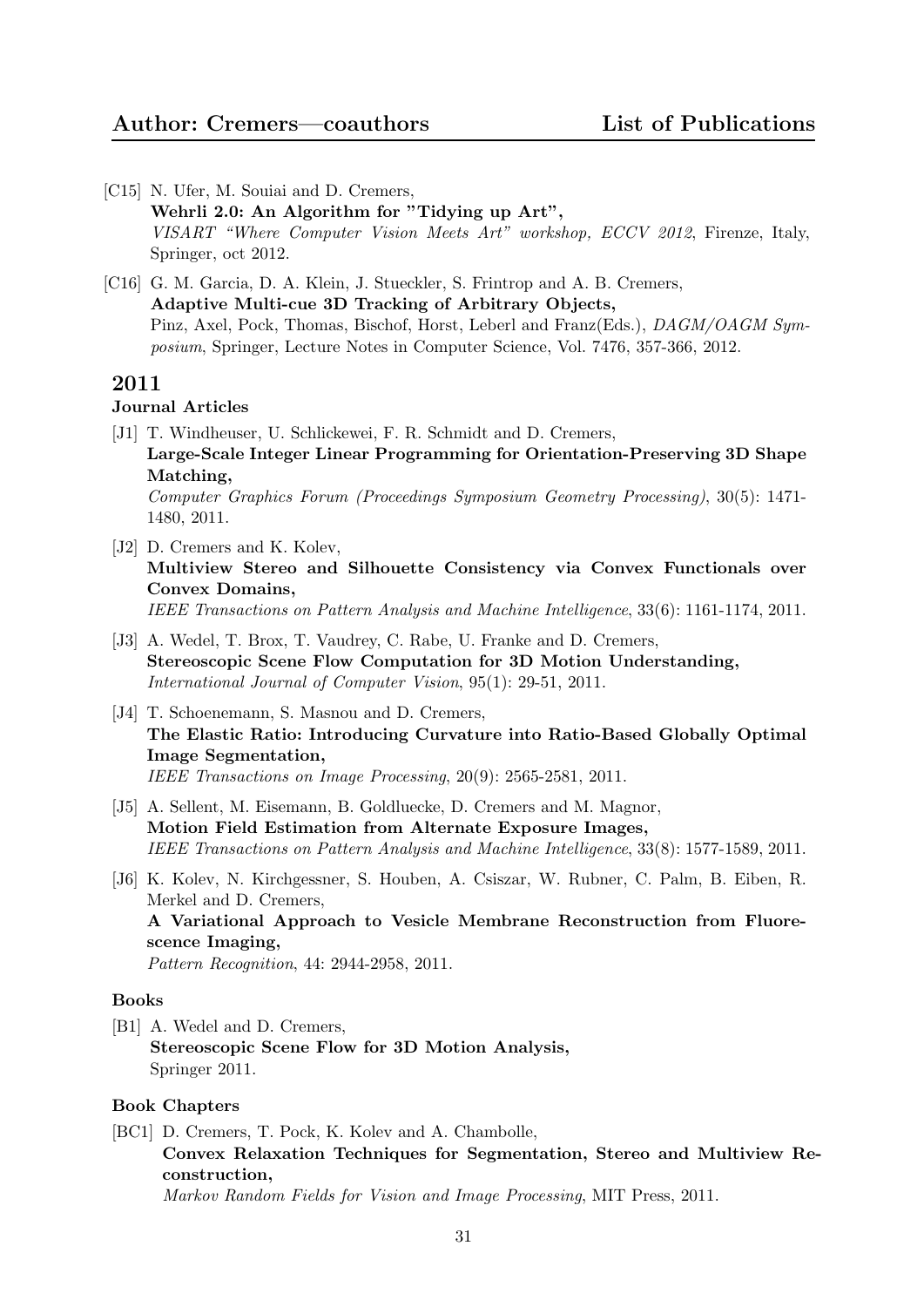- [C15] N. Ufer, M. Souiai and D. Cremers, Wehrli 2.0: An Algorithm for "Tidying up Art", VISART "Where Computer Vision Meets Art" workshop, ECCV 2012, Firenze, Italy, Springer, oct 2012.
- [C16] G. M. Garcia, D. A. Klein, J. Stueckler, S. Frintrop and A. B. Cremers, Adaptive Multi-cue 3D Tracking of Arbitrary Objects, Pinz, Axel, Pock, Thomas, Bischof, Horst, Leberl and Franz(Eds.), DAGM/OAGM Symposium, Springer, Lecture Notes in Computer Science, Vol. 7476, 357-366, 2012.

## Journal Articles

- [J1] T. Windheuser, U. Schlickewei, F. R. Schmidt and D. Cremers, Large-Scale Integer Linear Programming for Orientation-Preserving 3D Shape Matching, Computer Graphics Forum (Proceedings Symposium Geometry Processing), 30(5): 1471- 1480, 2011.
- [J2] D. Cremers and K. Kolev, Multiview Stereo and Silhouette Consistency via Convex Functionals over Convex Domains, IEEE Transactions on Pattern Analysis and Machine Intelligence, 33(6): 1161-1174, 2011.
- [J3] A. Wedel, T. Brox, T. Vaudrey, C. Rabe, U. Franke and D. Cremers, Stereoscopic Scene Flow Computation for 3D Motion Understanding, International Journal of Computer Vision, 95(1): 29-51, 2011.
- [J4] T. Schoenemann, S. Masnou and D. Cremers, The Elastic Ratio: Introducing Curvature into Ratio-Based Globally Optimal Image Segmentation, IEEE Transactions on Image Processing, 20(9): 2565-2581, 2011.
- [J5] A. Sellent, M. Eisemann, B. Goldluecke, D. Cremers and M. Magnor, Motion Field Estimation from Alternate Exposure Images, IEEE Transactions on Pattern Analysis and Machine Intelligence, 33(8): 1577-1589, 2011.
- [J6] K. Kolev, N. Kirchgessner, S. Houben, A. Csiszar, W. Rubner, C. Palm, B. Eiben, R. Merkel and D. Cremers, A Variational Approach to Vesicle Membrane Reconstruction from Fluorescence Imaging, Pattern Recognition, 44: 2944-2958, 2011.

#### Books

[B1] A. Wedel and D. Cremers, Stereoscopic Scene Flow for 3D Motion Analysis, Springer 2011.

#### Book Chapters

[BC1] D. Cremers, T. Pock, K. Kolev and A. Chambolle, Convex Relaxation Techniques for Segmentation, Stereo and Multiview Reconstruction, Markov Random Fields for Vision and Image Processing, MIT Press, 2011.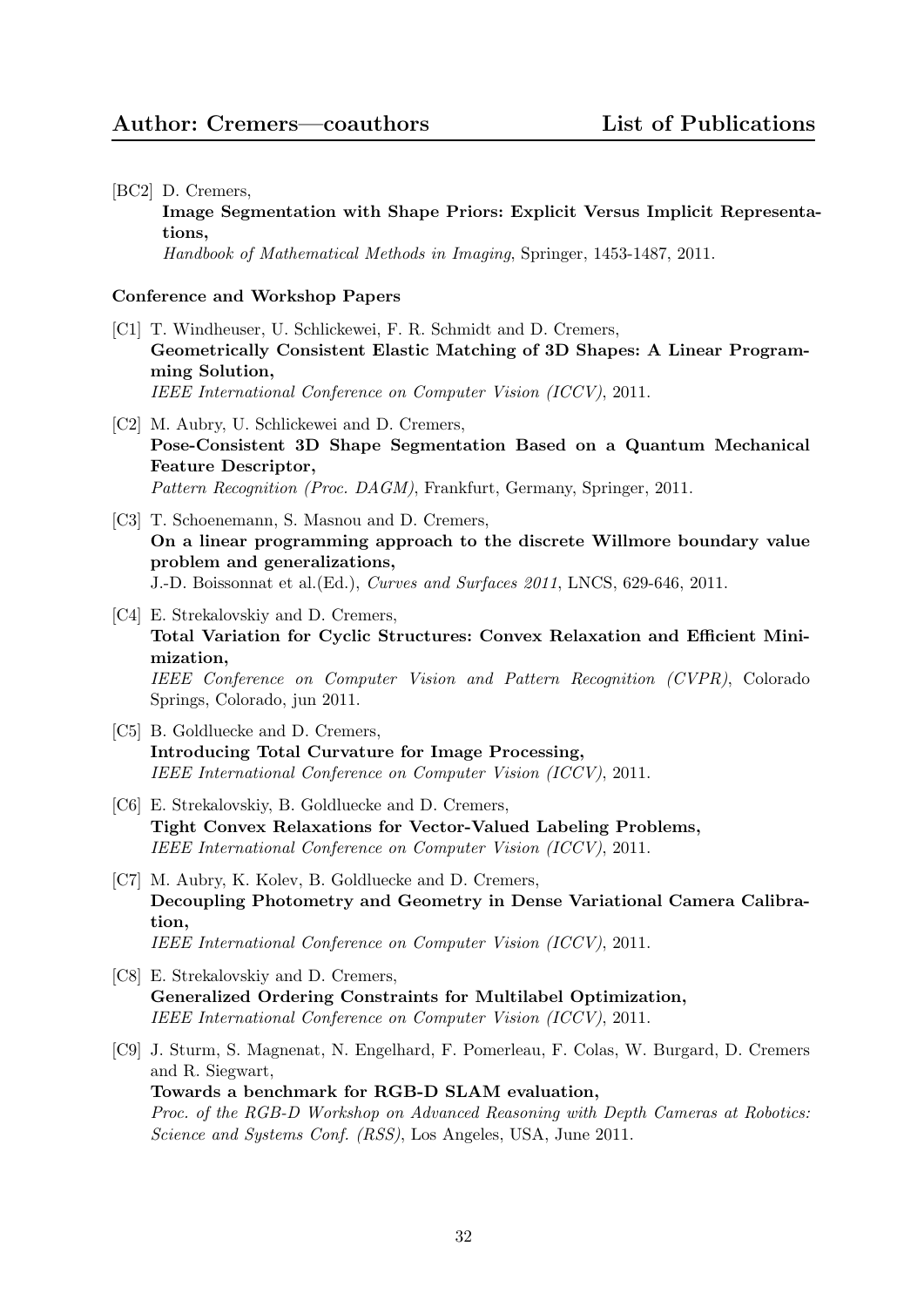#### [BC2] D. Cremers,

Image Segmentation with Shape Priors: Explicit Versus Implicit Representations,

Handbook of Mathematical Methods in Imaging, Springer, 1453-1487, 2011.

- [C1] T. Windheuser, U. Schlickewei, F. R. Schmidt and D. Cremers, Geometrically Consistent Elastic Matching of 3D Shapes: A Linear Programming Solution, IEEE International Conference on Computer Vision (ICCV), 2011.
- [C2] M. Aubry, U. Schlickewei and D. Cremers, Pose-Consistent 3D Shape Segmentation Based on a Quantum Mechanical Feature Descriptor, Pattern Recognition (Proc. DAGM), Frankfurt, Germany, Springer, 2011.
- [C3] T. Schoenemann, S. Masnou and D. Cremers, On a linear programming approach to the discrete Willmore boundary value problem and generalizations, J.-D. Boissonnat et al.(Ed.), Curves and Surfaces 2011, LNCS, 629-646, 2011.
- [C4] E. Strekalovskiy and D. Cremers, Total Variation for Cyclic Structures: Convex Relaxation and Efficient Minimization, IEEE Conference on Computer Vision and Pattern Recognition (CVPR), Colorado Springs, Colorado, jun 2011.
- [C5] B. Goldluecke and D. Cremers, Introducing Total Curvature for Image Processing, IEEE International Conference on Computer Vision (ICCV), 2011.
- [C6] E. Strekalovskiy, B. Goldluecke and D. Cremers, Tight Convex Relaxations for Vector-Valued Labeling Problems, IEEE International Conference on Computer Vision (ICCV), 2011.
- [C7] M. Aubry, K. Kolev, B. Goldluecke and D. Cremers, Decoupling Photometry and Geometry in Dense Variational Camera Calibration, IEEE International Conference on Computer Vision (ICCV), 2011.
- [C8] E. Strekalovskiy and D. Cremers, Generalized Ordering Constraints for Multilabel Optimization, IEEE International Conference on Computer Vision (ICCV), 2011.
- [C9] J. Sturm, S. Magnenat, N. Engelhard, F. Pomerleau, F. Colas, W. Burgard, D. Cremers and R. Siegwart, Towards a benchmark for RGB-D SLAM evaluation, Proc. of the RGB-D Workshop on Advanced Reasoning with Depth Cameras at Robotics: Science and Systems Conf. (RSS), Los Angeles, USA, June 2011.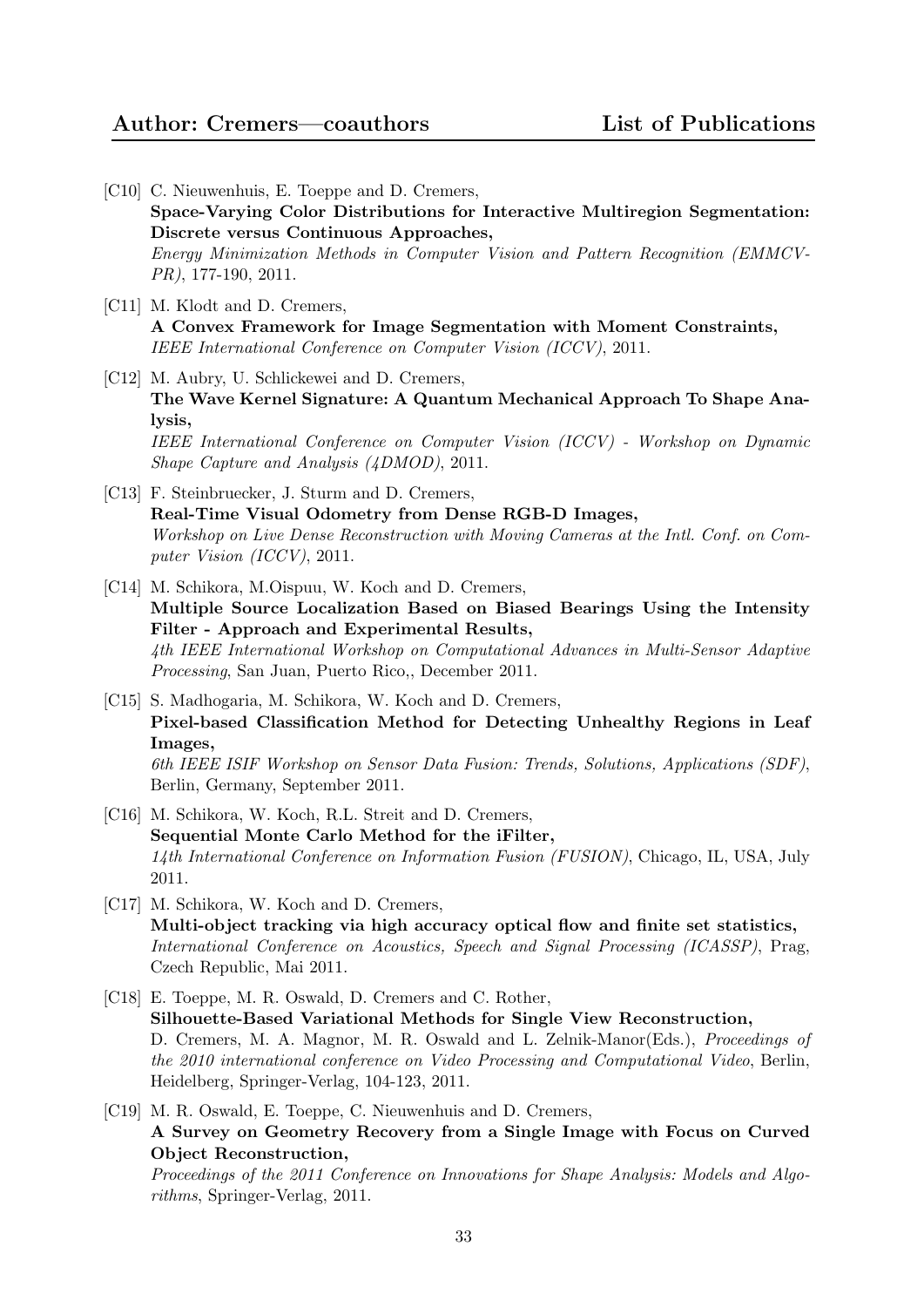# Author: Cremers—coauthors List of Publications

- [C10] C. Nieuwenhuis, E. Toeppe and D. Cremers, Space-Varying Color Distributions for Interactive Multiregion Segmentation: Discrete versus Continuous Approaches, Energy Minimization Methods in Computer Vision and Pattern Recognition (EMMCV-PR), 177-190, 2011. [C11] M. Klodt and D. Cremers, A Convex Framework for Image Segmentation with Moment Constraints, IEEE International Conference on Computer Vision (ICCV), 2011. [C12] M. Aubry, U. Schlickewei and D. Cremers, The Wave Kernel Signature: A Quantum Mechanical Approach To Shape Analysis, IEEE International Conference on Computer Vision (ICCV) - Workshop on Dynamic Shape Capture and Analysis (4DMOD), 2011. [C13] F. Steinbruecker, J. Sturm and D. Cremers, Real-Time Visual Odometry from Dense RGB-D Images, Workshop on Live Dense Reconstruction with Moving Cameras at the Intl. Conf. on Computer Vision (ICCV), 2011. [C14] M. Schikora, M.Oispuu, W. Koch and D. Cremers, Multiple Source Localization Based on Biased Bearings Using the Intensity Filter - Approach and Experimental Results, 4th IEEE International Workshop on Computational Advances in Multi-Sensor Adaptive Processing, San Juan, Puerto Rico,, December 2011. [C15] S. Madhogaria, M. Schikora, W. Koch and D. Cremers, Pixel-based Classification Method for Detecting Unhealthy Regions in Leaf Images, 6th IEEE ISIF Workshop on Sensor Data Fusion: Trends, Solutions, Applications (SDF), Berlin, Germany, September 2011. [C16] M. Schikora, W. Koch, R.L. Streit and D. Cremers, Sequential Monte Carlo Method for the iFilter, 14th International Conference on Information Fusion (FUSION), Chicago, IL, USA, July 2011. [C17] M. Schikora, W. Koch and D. Cremers, Multi-object tracking via high accuracy optical flow and finite set statistics, International Conference on Acoustics, Speech and Signal Processing (ICASSP), Prag, Czech Republic, Mai 2011. [C18] E. Toeppe, M. R. Oswald, D. Cremers and C. Rother,
	- Silhouette-Based Variational Methods for Single View Reconstruction, D. Cremers, M. A. Magnor, M. R. Oswald and L. Zelnik-Manor(Eds.), Proceedings of the 2010 international conference on Video Processing and Computational Video, Berlin, Heidelberg, Springer-Verlag, 104-123, 2011.
- [C19] M. R. Oswald, E. Toeppe, C. Nieuwenhuis and D. Cremers, A Survey on Geometry Recovery from a Single Image with Focus on Curved Object Reconstruction,

Proceedings of the 2011 Conference on Innovations for Shape Analysis: Models and Algorithms, Springer-Verlag, 2011.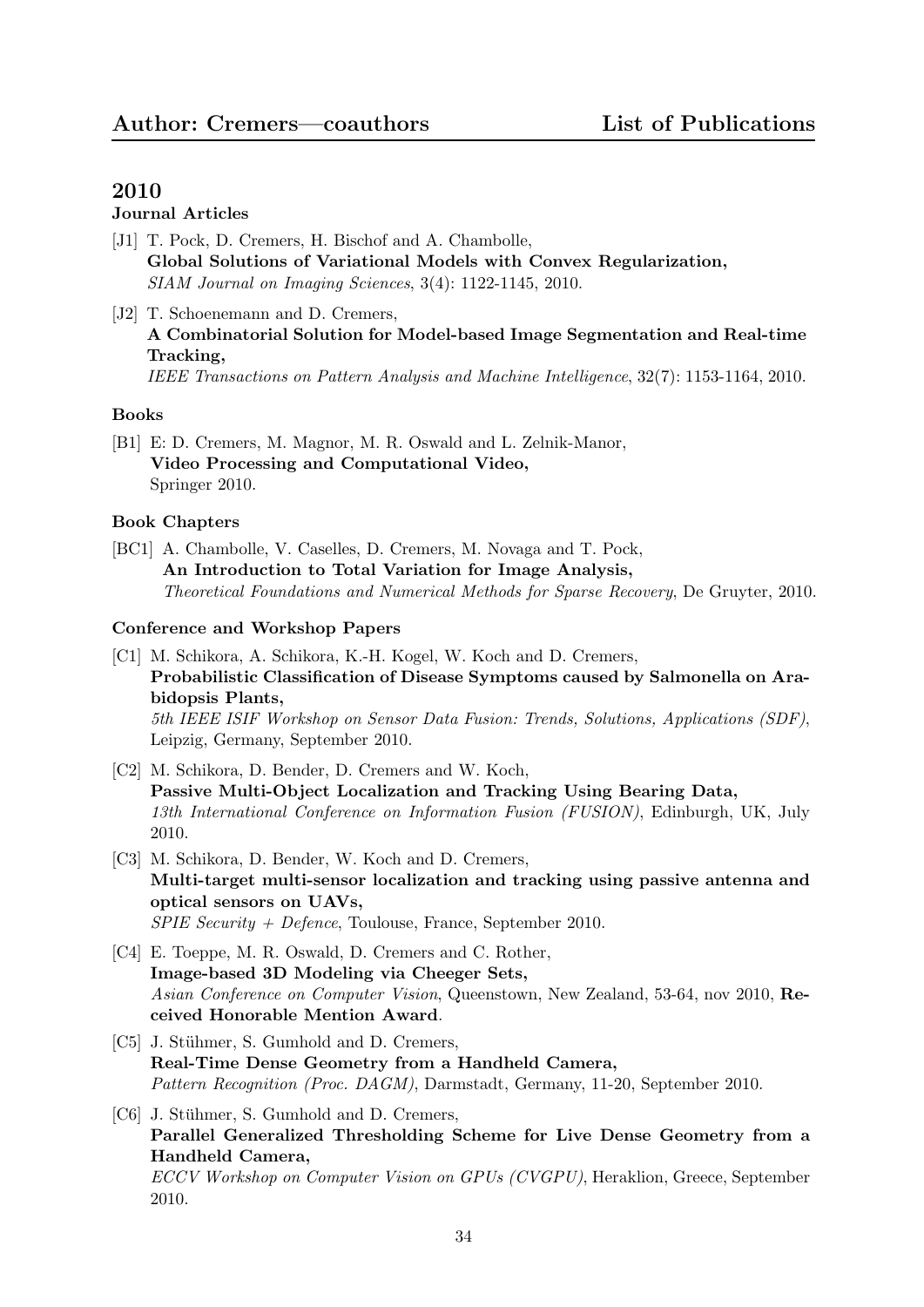# Journal Articles

- [J1] T. Pock, D. Cremers, H. Bischof and A. Chambolle, Global Solutions of Variational Models with Convex Regularization, SIAM Journal on Imaging Sciences, 3(4): 1122-1145, 2010.
- [J2] T. Schoenemann and D. Cremers, A Combinatorial Solution for Model-based Image Segmentation and Real-time Tracking, IEEE Transactions on Pattern Analysis and Machine Intelligence, 32(7): 1153-1164, 2010.

#### Books

[B1] E: D. Cremers, M. Magnor, M. R. Oswald and L. Zelnik-Manor, Video Processing and Computational Video, Springer 2010.

#### Book Chapters

[BC1] A. Chambolle, V. Caselles, D. Cremers, M. Novaga and T. Pock, An Introduction to Total Variation for Image Analysis, Theoretical Foundations and Numerical Methods for Sparse Recovery, De Gruyter, 2010.

- [C1] M. Schikora, A. Schikora, K.-H. Kogel, W. Koch and D. Cremers, Probabilistic Classification of Disease Symptoms caused by Salmonella on Arabidopsis Plants, 5th IEEE ISIF Workshop on Sensor Data Fusion: Trends, Solutions, Applications (SDF), Leipzig, Germany, September 2010.
- [C2] M. Schikora, D. Bender, D. Cremers and W. Koch, Passive Multi-Object Localization and Tracking Using Bearing Data, 13th International Conference on Information Fusion (FUSION), Edinburgh, UK, July 2010.
- [C3] M. Schikora, D. Bender, W. Koch and D. Cremers, Multi-target multi-sensor localization and tracking using passive antenna and optical sensors on UAVs,  $SPIE$  Security + Defence, Toulouse, France, September 2010.
- [C4] E. Toeppe, M. R. Oswald, D. Cremers and C. Rother, Image-based 3D Modeling via Cheeger Sets, Asian Conference on Computer Vision, Queenstown, New Zealand, 53-64, nov 2010, Received Honorable Mention Award.
- [C5] J. Stühmer, S. Gumhold and D. Cremers, Real-Time Dense Geometry from a Handheld Camera, Pattern Recognition (Proc. DAGM), Darmstadt, Germany, 11-20, September 2010.
- [C6] J. Stühmer, S. Gumhold and D. Cremers, Parallel Generalized Thresholding Scheme for Live Dense Geometry from a Handheld Camera, ECCV Workshop on Computer Vision on GPUs (CVGPU), Heraklion, Greece, September 2010.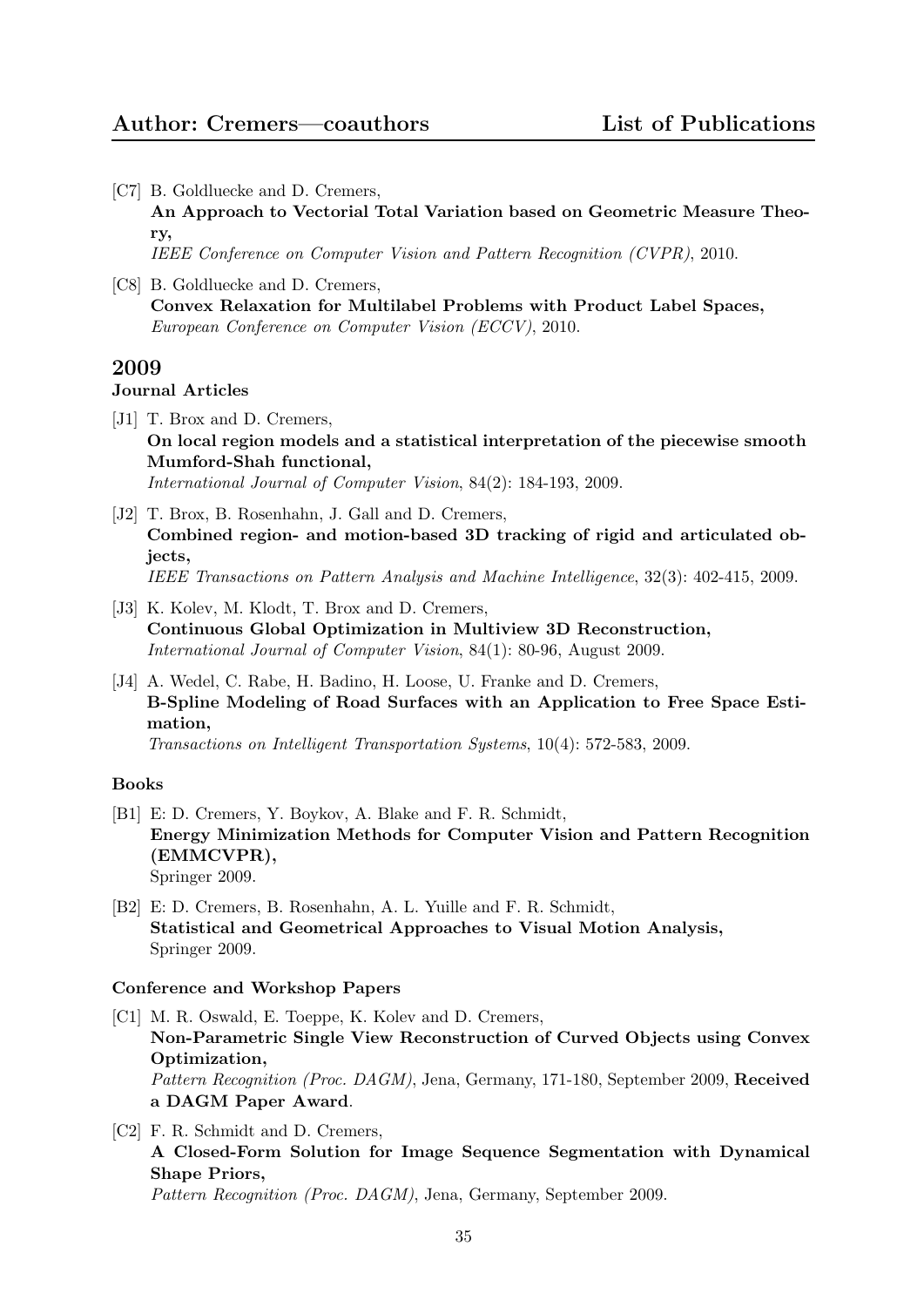[C7] B. Goldluecke and D. Cremers,

An Approach to Vectorial Total Variation based on Geometric Measure Theory,

IEEE Conference on Computer Vision and Pattern Recognition (CVPR), 2010.

[C8] B. Goldluecke and D. Cremers, Convex Relaxation for Multilabel Problems with Product Label Spaces, European Conference on Computer Vision (ECCV), 2010.

# 2009

## Journal Articles

- [J1] T. Brox and D. Cremers, On local region models and a statistical interpretation of the piecewise smooth Mumford-Shah functional, International Journal of Computer Vision, 84(2): 184-193, 2009.
- [J2] T. Brox, B. Rosenhahn, J. Gall and D. Cremers, Combined region- and motion-based 3D tracking of rigid and articulated objects, IEEE Transactions on Pattern Analysis and Machine Intelligence, 32(3): 402-415, 2009.
- [J3] K. Kolev, M. Klodt, T. Brox and D. Cremers, Continuous Global Optimization in Multiview 3D Reconstruction, International Journal of Computer Vision, 84(1): 80-96, August 2009.
- [J4] A. Wedel, C. Rabe, H. Badino, H. Loose, U. Franke and D. Cremers, B-Spline Modeling of Road Surfaces with an Application to Free Space Estimation,

Transactions on Intelligent Transportation Systems, 10(4): 572-583, 2009.

#### Books

- [B1] E: D. Cremers, Y. Boykov, A. Blake and F. R. Schmidt, Energy Minimization Methods for Computer Vision and Pattern Recognition (EMMCVPR), Springer 2009.
- [B2] E: D. Cremers, B. Rosenhahn, A. L. Yuille and F. R. Schmidt, Statistical and Geometrical Approaches to Visual Motion Analysis, Springer 2009.

- [C1] M. R. Oswald, E. Toeppe, K. Kolev and D. Cremers, Non-Parametric Single View Reconstruction of Curved Objects using Convex Optimization, Pattern Recognition (Proc. DAGM), Jena, Germany, 171-180, September 2009, Received a DAGM Paper Award.
- [C2] F. R. Schmidt and D. Cremers, A Closed-Form Solution for Image Sequence Segmentation with Dynamical Shape Priors, Pattern Recognition (Proc. DAGM), Jena, Germany, September 2009.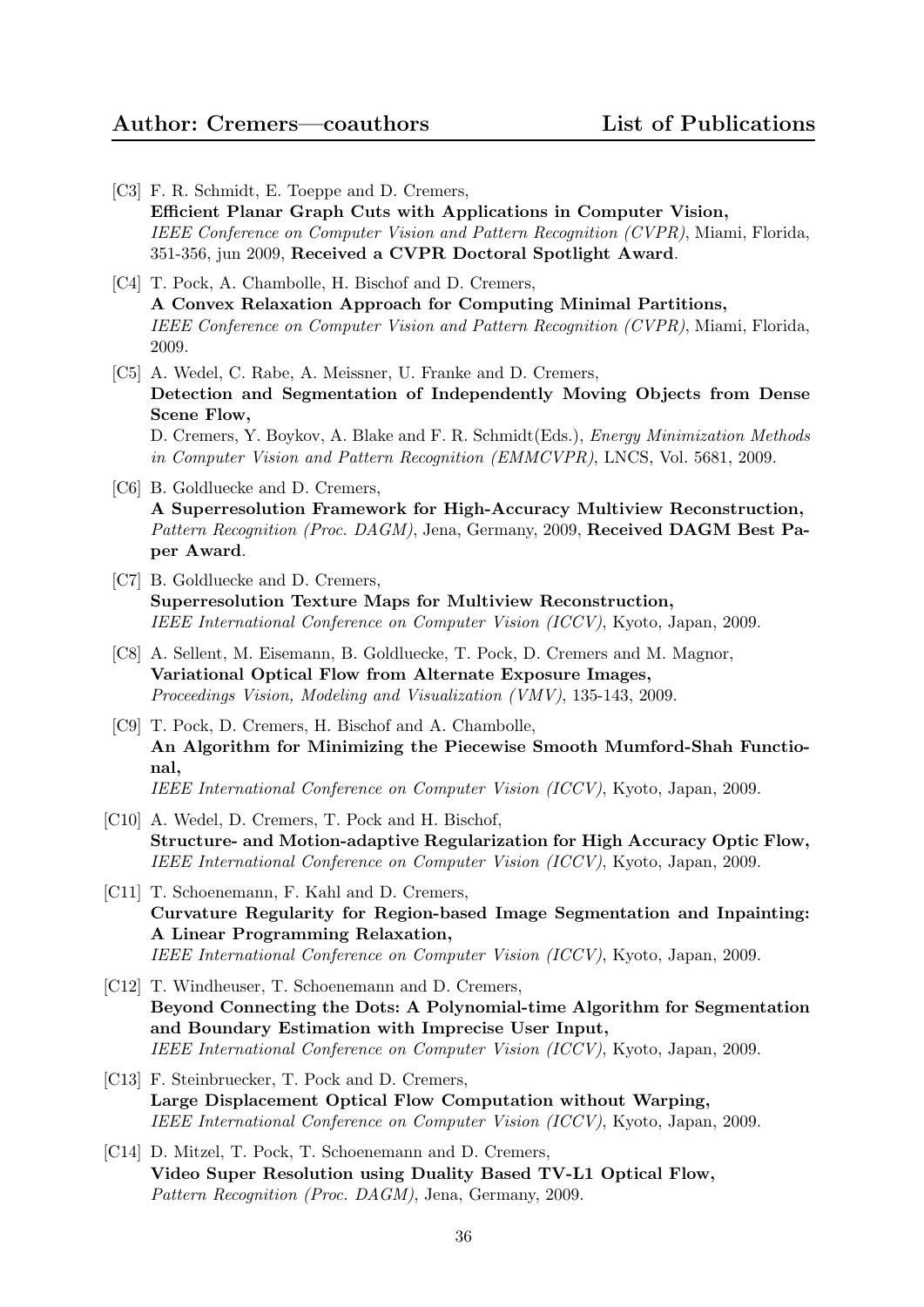- [C3] F. R. Schmidt, E. Toeppe and D. Cremers, Efficient Planar Graph Cuts with Applications in Computer Vision, IEEE Conference on Computer Vision and Pattern Recognition (CVPR), Miami, Florida, 351-356, jun 2009, Received a CVPR Doctoral Spotlight Award.
- [C4] T. Pock, A. Chambolle, H. Bischof and D. Cremers, A Convex Relaxation Approach for Computing Minimal Partitions, IEEE Conference on Computer Vision and Pattern Recognition (CVPR), Miami, Florida, 2009.
- [C5] A. Wedel, C. Rabe, A. Meissner, U. Franke and D. Cremers, Detection and Segmentation of Independently Moving Objects from Dense Scene Flow, D. Cremers, Y. Boykov, A. Blake and F. R. Schmidt(Eds.), Energy Minimization Methods

in Computer Vision and Pattern Recognition (EMMCVPR), LNCS, Vol. 5681, 2009.

- [C6] B. Goldluecke and D. Cremers, A Superresolution Framework for High-Accuracy Multiview Reconstruction, Pattern Recognition (Proc. DAGM), Jena, Germany, 2009, Received DAGM Best Paper Award.
- [C7] B. Goldluecke and D. Cremers, Superresolution Texture Maps for Multiview Reconstruction, IEEE International Conference on Computer Vision (ICCV), Kyoto, Japan, 2009.
- [C8] A. Sellent, M. Eisemann, B. Goldluecke, T. Pock, D. Cremers and M. Magnor, Variational Optical Flow from Alternate Exposure Images, Proceedings Vision, Modeling and Visualization (VMV), 135-143, 2009.
- [C9] T. Pock, D. Cremers, H. Bischof and A. Chambolle, An Algorithm for Minimizing the Piecewise Smooth Mumford-Shah Functional, IEEE International Conference on Computer Vision (ICCV), Kyoto, Japan, 2009.
- [C10] A. Wedel, D. Cremers, T. Pock and H. Bischof, Structure- and Motion-adaptive Regularization for High Accuracy Optic Flow, IEEE International Conference on Computer Vision (ICCV), Kyoto, Japan, 2009.
- [C11] T. Schoenemann, F. Kahl and D. Cremers, Curvature Regularity for Region-based Image Segmentation and Inpainting: A Linear Programming Relaxation, IEEE International Conference on Computer Vision (ICCV), Kyoto, Japan, 2009.
- [C12] T. Windheuser, T. Schoenemann and D. Cremers, Beyond Connecting the Dots: A Polynomial-time Algorithm for Segmentation and Boundary Estimation with Imprecise User Input, IEEE International Conference on Computer Vision (ICCV), Kyoto, Japan, 2009.
- [C13] F. Steinbruecker, T. Pock and D. Cremers, Large Displacement Optical Flow Computation without Warping, IEEE International Conference on Computer Vision (ICCV), Kyoto, Japan, 2009.
- [C14] D. Mitzel, T. Pock, T. Schoenemann and D. Cremers, Video Super Resolution using Duality Based TV-L1 Optical Flow, Pattern Recognition (Proc. DAGM), Jena, Germany, 2009.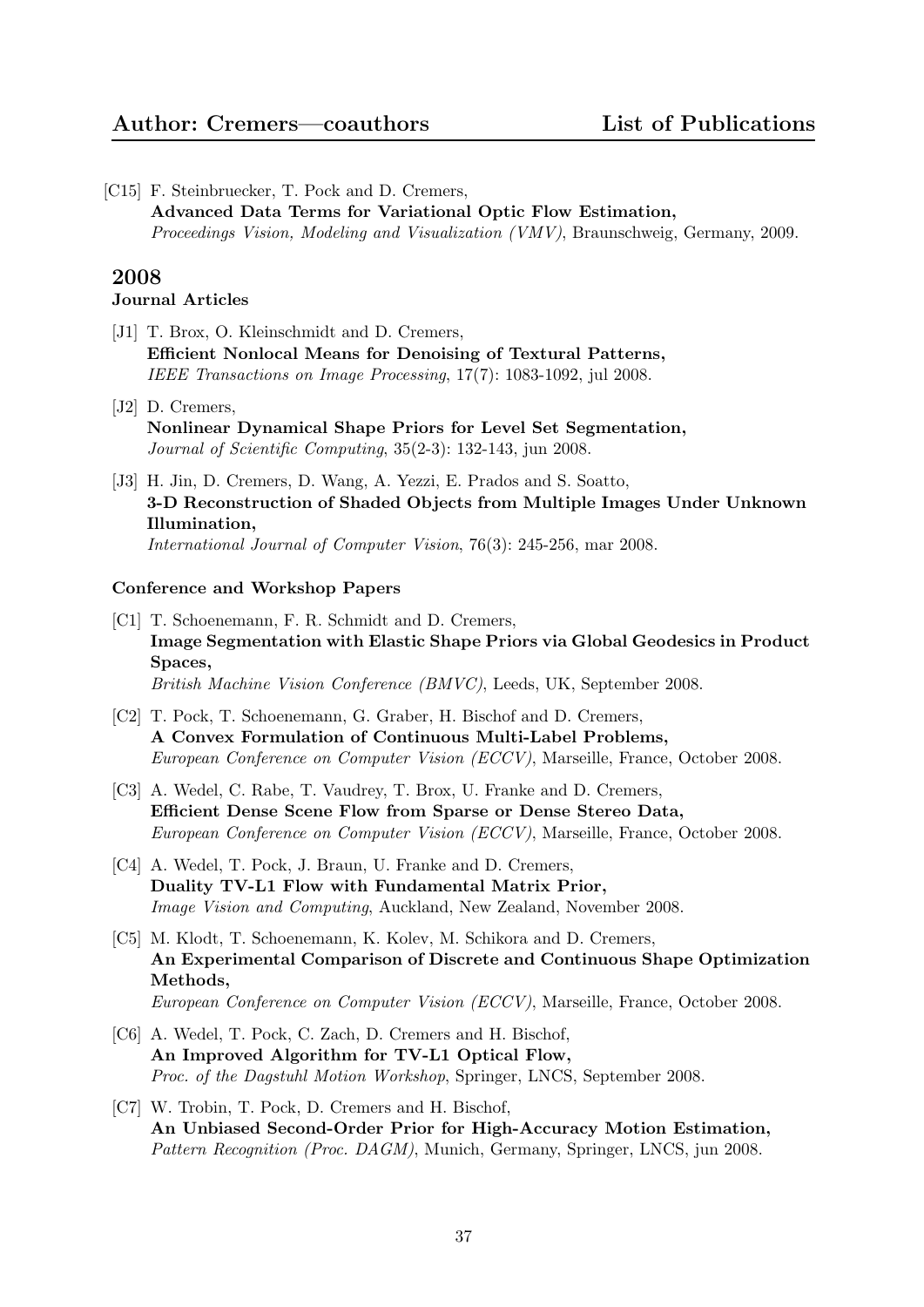[C15] F. Steinbruecker, T. Pock and D. Cremers, Advanced Data Terms for Variational Optic Flow Estimation, Proceedings Vision, Modeling and Visualization (VMV), Braunschweig, Germany, 2009.

# 2008

## Journal Articles

- [J1] T. Brox, O. Kleinschmidt and D. Cremers, Efficient Nonlocal Means for Denoising of Textural Patterns, IEEE Transactions on Image Processing, 17(7): 1083-1092, jul 2008.
- [J2] D. Cremers, Nonlinear Dynamical Shape Priors for Level Set Segmentation, Journal of Scientific Computing, 35(2-3): 132-143, jun 2008.
- [J3] H. Jin, D. Cremers, D. Wang, A. Yezzi, E. Prados and S. Soatto, 3-D Reconstruction of Shaded Objects from Multiple Images Under Unknown Illumination, International Journal of Computer Vision, 76(3): 245-256, mar 2008.

- [C1] T. Schoenemann, F. R. Schmidt and D. Cremers, Image Segmentation with Elastic Shape Priors via Global Geodesics in Product Spaces, British Machine Vision Conference (BMVC), Leeds, UK, September 2008.
- [C2] T. Pock, T. Schoenemann, G. Graber, H. Bischof and D. Cremers, A Convex Formulation of Continuous Multi-Label Problems, European Conference on Computer Vision (ECCV), Marseille, France, October 2008.
- [C3] A. Wedel, C. Rabe, T. Vaudrey, T. Brox, U. Franke and D. Cremers, Efficient Dense Scene Flow from Sparse or Dense Stereo Data, European Conference on Computer Vision (ECCV), Marseille, France, October 2008.
- [C4] A. Wedel, T. Pock, J. Braun, U. Franke and D. Cremers, Duality TV-L1 Flow with Fundamental Matrix Prior, Image Vision and Computing, Auckland, New Zealand, November 2008.
- [C5] M. Klodt, T. Schoenemann, K. Kolev, M. Schikora and D. Cremers, An Experimental Comparison of Discrete and Continuous Shape Optimization Methods, European Conference on Computer Vision (ECCV), Marseille, France, October 2008.
- [C6] A. Wedel, T. Pock, C. Zach, D. Cremers and H. Bischof, An Improved Algorithm for TV-L1 Optical Flow, Proc. of the Dagstuhl Motion Workshop, Springer, LNCS, September 2008.
- [C7] W. Trobin, T. Pock, D. Cremers and H. Bischof, An Unbiased Second-Order Prior for High-Accuracy Motion Estimation, Pattern Recognition (Proc. DAGM), Munich, Germany, Springer, LNCS, jun 2008.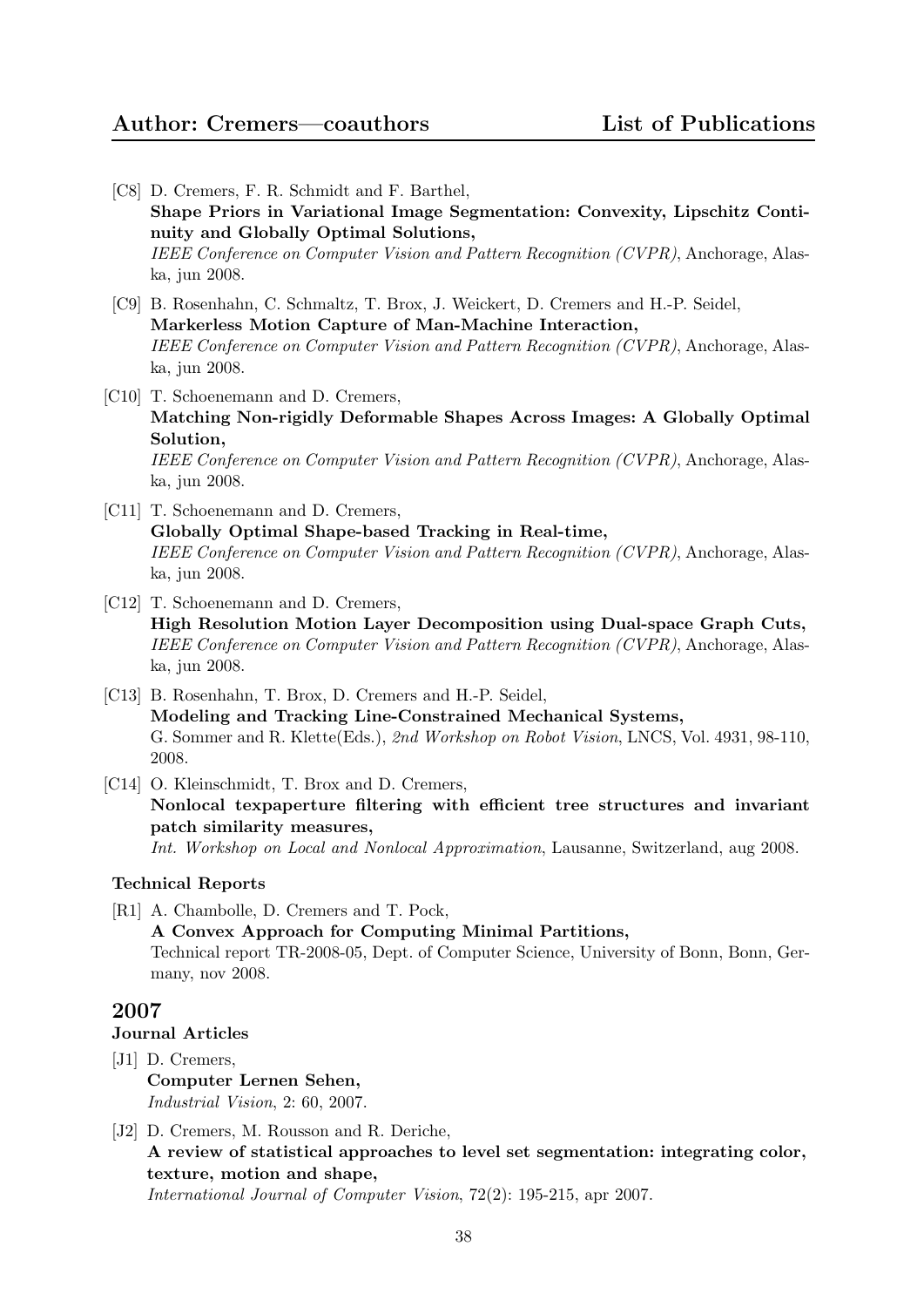# Author: Cremers—coauthors List of Publications

- [C8] D. Cremers, F. R. Schmidt and F. Barthel, Shape Priors in Variational Image Segmentation: Convexity, Lipschitz Continuity and Globally Optimal Solutions, IEEE Conference on Computer Vision and Pattern Recognition (CVPR), Anchorage, Alaska, jun 2008. [C9] B. Rosenhahn, C. Schmaltz, T. Brox, J. Weickert, D. Cremers and H.-P. Seidel, Markerless Motion Capture of Man-Machine Interaction, IEEE Conference on Computer Vision and Pattern Recognition (CVPR), Anchorage, Alaska, jun 2008. [C10] T. Schoenemann and D. Cremers, Matching Non-rigidly Deformable Shapes Across Images: A Globally Optimal Solution, IEEE Conference on Computer Vision and Pattern Recognition (CVPR), Anchorage, Alaska, jun 2008. [C11] T. Schoenemann and D. Cremers, Globally Optimal Shape-based Tracking in Real-time, IEEE Conference on Computer Vision and Pattern Recognition (CVPR), Anchorage, Alaska, jun 2008. [C12] T. Schoenemann and D. Cremers, High Resolution Motion Layer Decomposition using Dual-space Graph Cuts, IEEE Conference on Computer Vision and Pattern Recognition (CVPR), Anchorage, Alaska, jun 2008.
- [C13] B. Rosenhahn, T. Brox, D. Cremers and H.-P. Seidel, Modeling and Tracking Line-Constrained Mechanical Systems, G. Sommer and R. Klette(Eds.), 2nd Workshop on Robot Vision, LNCS, Vol. 4931, 98-110, 2008.
- [C14] O. Kleinschmidt, T. Brox and D. Cremers,

Nonlocal texpaperture filtering with efficient tree structures and invariant patch similarity measures,

Int. Workshop on Local and Nonlocal Approximation, Lausanne, Switzerland, aug 2008.

#### Technical Reports

[R1] A. Chambolle, D. Cremers and T. Pock, A Convex Approach for Computing Minimal Partitions, Technical report TR-2008-05, Dept. of Computer Science, University of Bonn, Bonn, Germany, nov 2008.

# 2007

Journal Articles

- [J1] D. Cremers, Computer Lernen Sehen, Industrial Vision, 2: 60, 2007.
- [J2] D. Cremers, M. Rousson and R. Deriche, A review of statistical approaches to level set segmentation: integrating color, texture, motion and shape, International Journal of Computer Vision, 72(2): 195-215, apr 2007.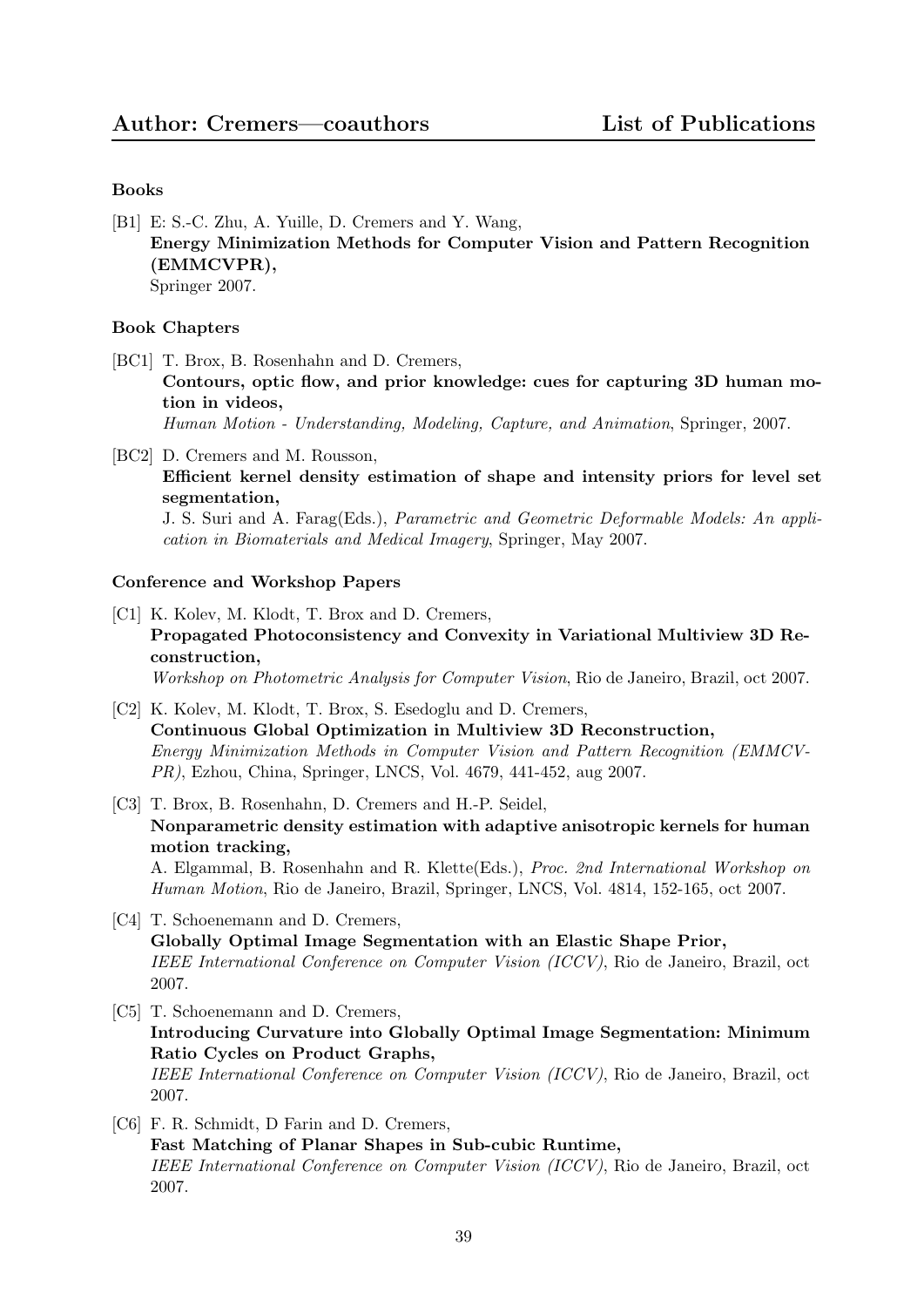## Books

[B1] E: S.-C. Zhu, A. Yuille, D. Cremers and Y. Wang, Energy Minimization Methods for Computer Vision and Pattern Recognition (EMMCVPR), Springer 2007.

#### Book Chapters

[BC1] T. Brox, B. Rosenhahn and D. Cremers,

Contours, optic flow, and prior knowledge: cues for capturing 3D human motion in videos,

Human Motion - Understanding, Modeling, Capture, and Animation, Springer, 2007.

[BC2] D. Cremers and M. Rousson, Efficient kernel density estimation of shape and intensity priors for level set segmentation,

J. S. Suri and A. Farag(Eds.), Parametric and Geometric Deformable Models: An application in Biomaterials and Medical Imagery, Springer, May 2007.

- [C1] K. Kolev, M. Klodt, T. Brox and D. Cremers, Propagated Photoconsistency and Convexity in Variational Multiview 3D Reconstruction, Workshop on Photometric Analysis for Computer Vision, Rio de Janeiro, Brazil, oct 2007.
- [C2] K. Kolev, M. Klodt, T. Brox, S. Esedoglu and D. Cremers, Continuous Global Optimization in Multiview 3D Reconstruction, Energy Minimization Methods in Computer Vision and Pattern Recognition (EMMCV-PR), Ezhou, China, Springer, LNCS, Vol. 4679, 441-452, aug 2007.
- [C3] T. Brox, B. Rosenhahn, D. Cremers and H.-P. Seidel, Nonparametric density estimation with adaptive anisotropic kernels for human motion tracking, A. Elgammal, B. Rosenhahn and R. Klette(Eds.), Proc. 2nd International Workshop on Human Motion, Rio de Janeiro, Brazil, Springer, LNCS, Vol. 4814, 152-165, oct 2007.
- [C4] T. Schoenemann and D. Cremers, Globally Optimal Image Segmentation with an Elastic Shape Prior, IEEE International Conference on Computer Vision (ICCV), Rio de Janeiro, Brazil, oct 2007.
- [C5] T. Schoenemann and D. Cremers, Introducing Curvature into Globally Optimal Image Segmentation: Minimum Ratio Cycles on Product Graphs, IEEE International Conference on Computer Vision (ICCV), Rio de Janeiro, Brazil, oct 2007.
- [C6] F. R. Schmidt, D Farin and D. Cremers, Fast Matching of Planar Shapes in Sub-cubic Runtime, IEEE International Conference on Computer Vision (ICCV), Rio de Janeiro, Brazil, oct 2007.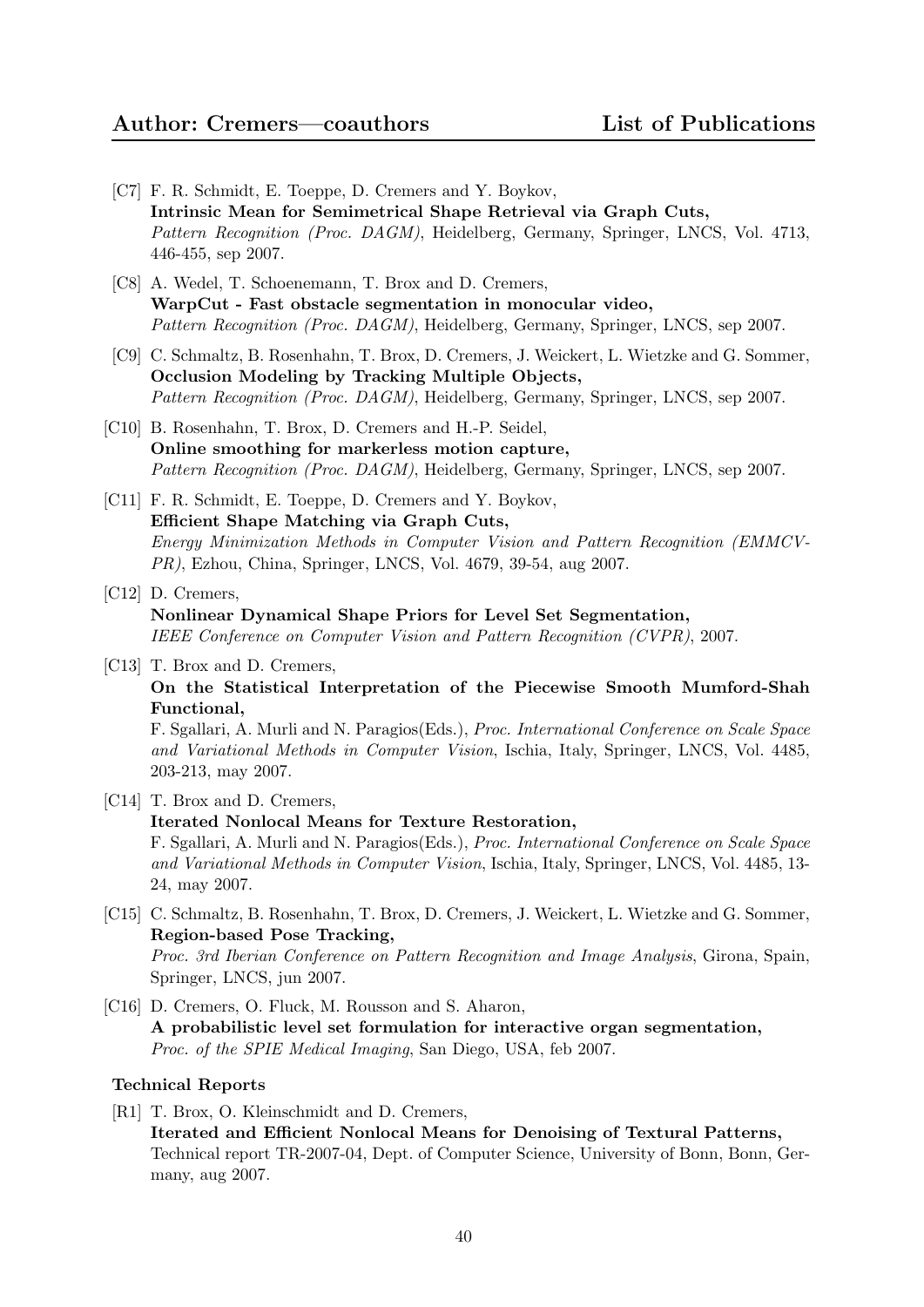- [C7] F. R. Schmidt, E. Toeppe, D. Cremers and Y. Boykov, Intrinsic Mean for Semimetrical Shape Retrieval via Graph Cuts, Pattern Recognition (Proc. DAGM), Heidelberg, Germany, Springer, LNCS, Vol. 4713, 446-455, sep 2007.
- [C8] A. Wedel, T. Schoenemann, T. Brox and D. Cremers, WarpCut - Fast obstacle segmentation in monocular video, Pattern Recognition (Proc. DAGM), Heidelberg, Germany, Springer, LNCS, sep 2007.
- [C9] C. Schmaltz, B. Rosenhahn, T. Brox, D. Cremers, J. Weickert, L. Wietzke and G. Sommer, Occlusion Modeling by Tracking Multiple Objects, Pattern Recognition (Proc. DAGM), Heidelberg, Germany, Springer, LNCS, sep 2007.
- [C10] B. Rosenhahn, T. Brox, D. Cremers and H.-P. Seidel, Online smoothing for markerless motion capture, Pattern Recognition (Proc. DAGM), Heidelberg, Germany, Springer, LNCS, sep 2007.
- [C11] F. R. Schmidt, E. Toeppe, D. Cremers and Y. Boykov, Efficient Shape Matching via Graph Cuts, Energy Minimization Methods in Computer Vision and Pattern Recognition (EMMCV-PR), Ezhou, China, Springer, LNCS, Vol. 4679, 39-54, aug 2007.
- [C12] D. Cremers, Nonlinear Dynamical Shape Priors for Level Set Segmentation, IEEE Conference on Computer Vision and Pattern Recognition (CVPR), 2007.
- [C13] T. Brox and D. Cremers, On the Statistical Interpretation of the Piecewise Smooth Mumford-Shah Functional,

F. Sgallari, A. Murli and N. Paragios(Eds.), Proc. International Conference on Scale Space and Variational Methods in Computer Vision, Ischia, Italy, Springer, LNCS, Vol. 4485, 203-213, may 2007.

- [C14] T. Brox and D. Cremers, Iterated Nonlocal Means for Texture Restoration, F. Sgallari, A. Murli and N. Paragios(Eds.), Proc. International Conference on Scale Space and Variational Methods in Computer Vision, Ischia, Italy, Springer, LNCS, Vol. 4485, 13- 24, may 2007.
- [C15] C. Schmaltz, B. Rosenhahn, T. Brox, D. Cremers, J. Weickert, L. Wietzke and G. Sommer, Region-based Pose Tracking, Proc. 3rd Iberian Conference on Pattern Recognition and Image Analysis, Girona, Spain, Springer, LNCS, jun 2007.
- [C16] D. Cremers, O. Fluck, M. Rousson and S. Aharon, A probabilistic level set formulation for interactive organ segmentation, Proc. of the SPIE Medical Imaging, San Diego, USA, feb 2007.

## Technical Reports

[R1] T. Brox, O. Kleinschmidt and D. Cremers, Iterated and Efficient Nonlocal Means for Denoising of Textural Patterns,

Technical report TR-2007-04, Dept. of Computer Science, University of Bonn, Bonn, Germany, aug 2007.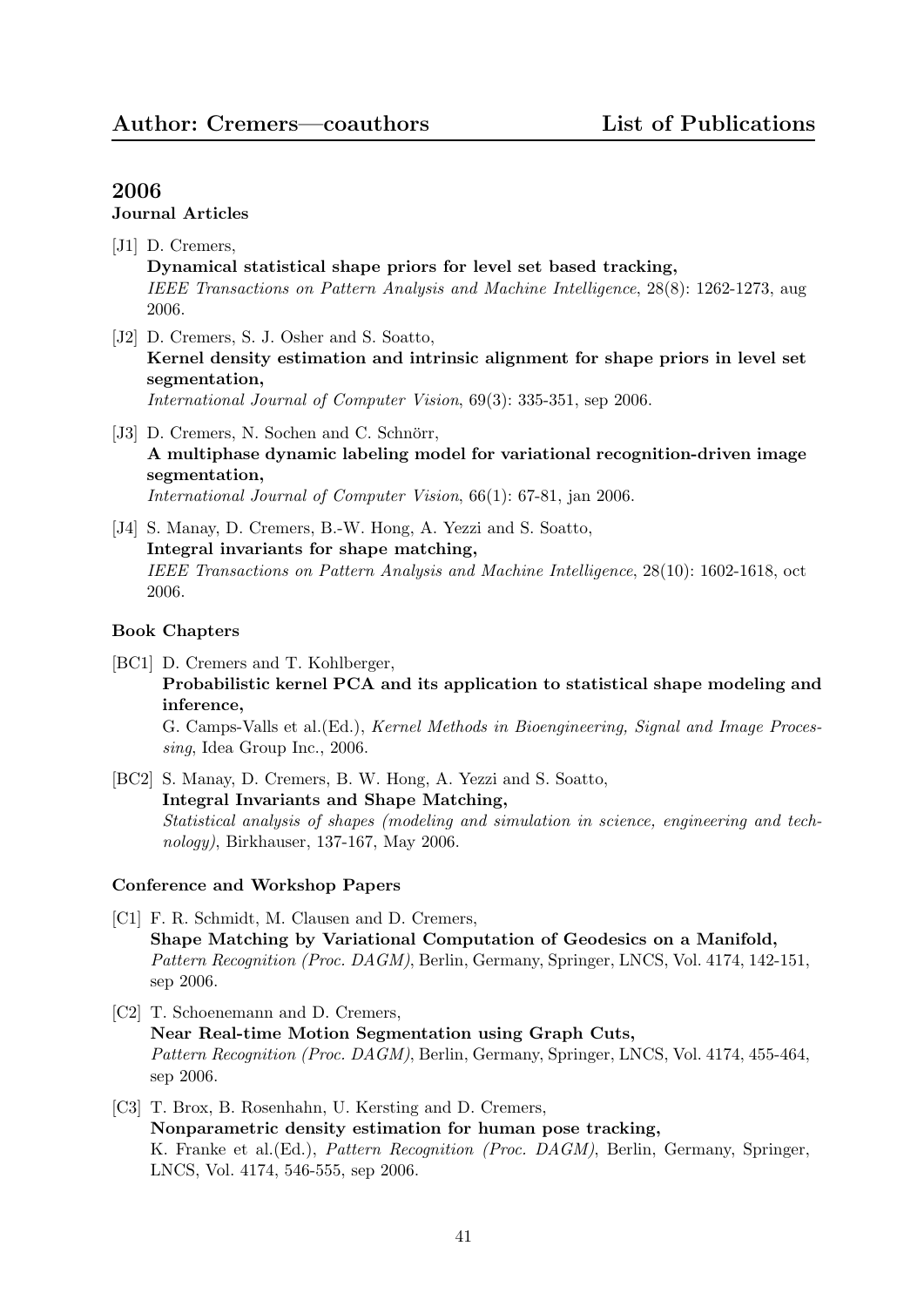# Journal Articles

- [J1] D. Cremers, Dynamical statistical shape priors for level set based tracking, IEEE Transactions on Pattern Analysis and Machine Intelligence, 28(8): 1262-1273, aug 2006.
- [J2] D. Cremers, S. J. Osher and S. Soatto, Kernel density estimation and intrinsic alignment for shape priors in level set segmentation, International Journal of Computer Vision, 69(3): 335-351, sep 2006.
- [J3] D. Cremers, N. Sochen and C. Schnörr, A multiphase dynamic labeling model for variational recognition-driven image segmentation, International Journal of Computer Vision, 66(1): 67-81, jan 2006.
- [J4] S. Manay, D. Cremers, B.-W. Hong, A. Yezzi and S. Soatto, Integral invariants for shape matching, IEEE Transactions on Pattern Analysis and Machine Intelligence, 28(10): 1602-1618, oct 2006.

## Book Chapters

- [BC1] D. Cremers and T. Kohlberger, Probabilistic kernel PCA and its application to statistical shape modeling and inference, G. Camps-Valls et al.(Ed.), Kernel Methods in Bioengineering, Signal and Image Processing, Idea Group Inc., 2006.
- [BC2] S. Manay, D. Cremers, B. W. Hong, A. Yezzi and S. Soatto, Integral Invariants and Shape Matching, Statistical analysis of shapes (modeling and simulation in science, engineering and technology), Birkhauser, 137-167, May 2006.

- [C1] F. R. Schmidt, M. Clausen and D. Cremers, Shape Matching by Variational Computation of Geodesics on a Manifold, Pattern Recognition (Proc. DAGM), Berlin, Germany, Springer, LNCS, Vol. 4174, 142-151, sep 2006.
- [C2] T. Schoenemann and D. Cremers, Near Real-time Motion Segmentation using Graph Cuts, Pattern Recognition (Proc. DAGM), Berlin, Germany, Springer, LNCS, Vol. 4174, 455-464, sep 2006.
- [C3] T. Brox, B. Rosenhahn, U. Kersting and D. Cremers, Nonparametric density estimation for human pose tracking, K. Franke et al.(Ed.), Pattern Recognition (Proc. DAGM), Berlin, Germany, Springer, LNCS, Vol. 4174, 546-555, sep 2006.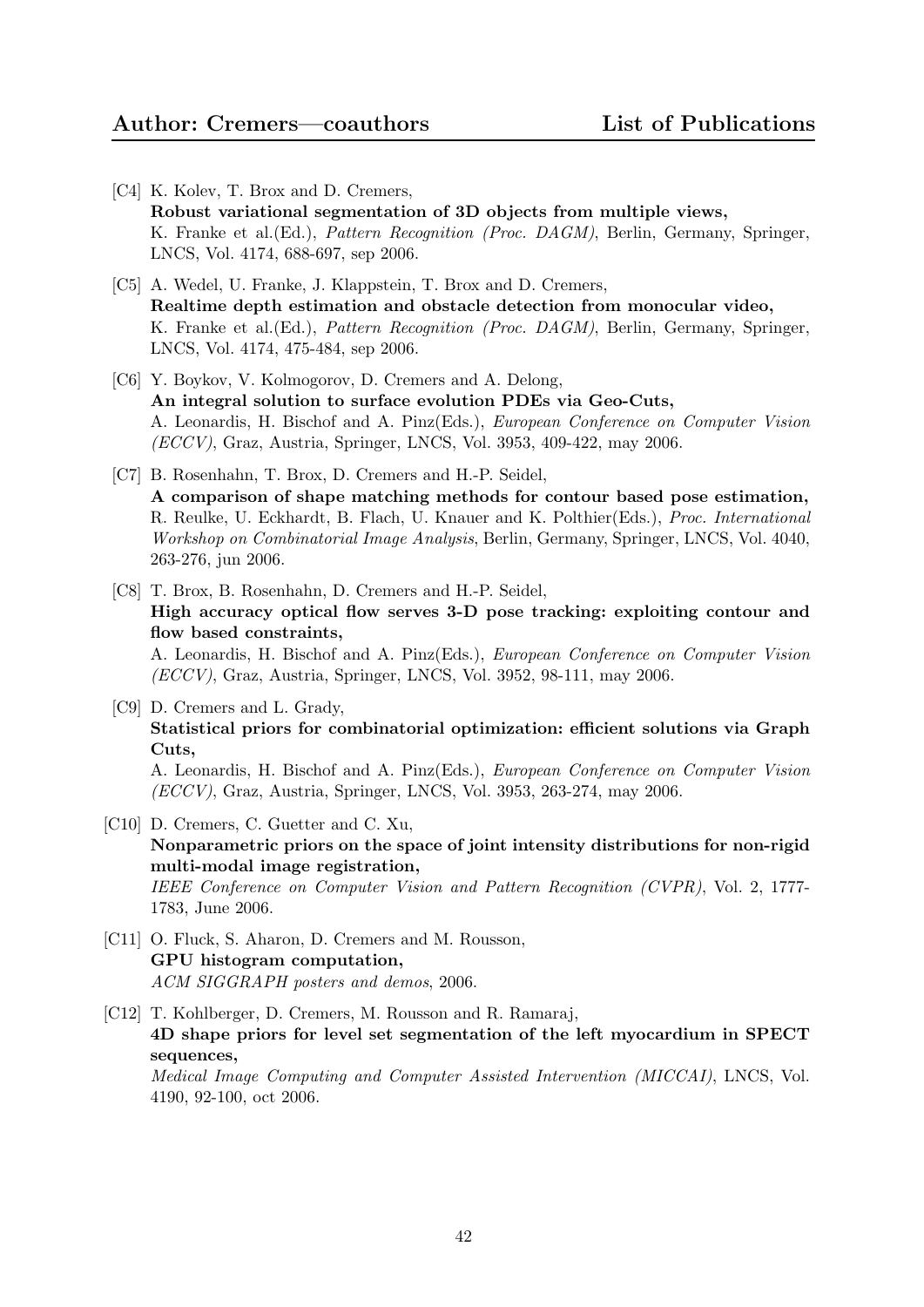- [C4] K. Kolev, T. Brox and D. Cremers, Robust variational segmentation of 3D objects from multiple views, K. Franke et al.(Ed.), Pattern Recognition (Proc. DAGM), Berlin, Germany, Springer, LNCS, Vol. 4174, 688-697, sep 2006.
- [C5] A. Wedel, U. Franke, J. Klappstein, T. Brox and D. Cremers, Realtime depth estimation and obstacle detection from monocular video, K. Franke et al.(Ed.), Pattern Recognition (Proc. DAGM), Berlin, Germany, Springer, LNCS, Vol. 4174, 475-484, sep 2006.
- [C6] Y. Boykov, V. Kolmogorov, D. Cremers and A. Delong, An integral solution to surface evolution PDEs via Geo-Cuts, A. Leonardis, H. Bischof and A. Pinz(Eds.), European Conference on Computer Vision (ECCV), Graz, Austria, Springer, LNCS, Vol. 3953, 409-422, may 2006.
- [C7] B. Rosenhahn, T. Brox, D. Cremers and H.-P. Seidel, A comparison of shape matching methods for contour based pose estimation, R. Reulke, U. Eckhardt, B. Flach, U. Knauer and K. Polthier(Eds.), Proc. International Workshop on Combinatorial Image Analysis, Berlin, Germany, Springer, LNCS, Vol. 4040, 263-276, jun 2006.
- [C8] T. Brox, B. Rosenhahn, D. Cremers and H.-P. Seidel, High accuracy optical flow serves 3-D pose tracking: exploiting contour and flow based constraints, A. Leonardis, H. Bischof and A. Pinz(Eds.), European Conference on Computer Vision (ECCV), Graz, Austria, Springer, LNCS, Vol. 3952, 98-111, may 2006.
- [C9] D. Cremers and L. Grady, Statistical priors for combinatorial optimization: efficient solutions via Graph Cuts, A. Leonardis, H. Bischof and A. Pinz(Eds.), European Conference on Computer Vision (ECCV), Graz, Austria, Springer, LNCS, Vol. 3953, 263-274, may 2006.
- [C10] D. Cremers, C. Guetter and C. Xu, Nonparametric priors on the space of joint intensity distributions for non-rigid multi-modal image registration, IEEE Conference on Computer Vision and Pattern Recognition (CVPR), Vol. 2, 1777- 1783, June 2006.
- [C11] O. Fluck, S. Aharon, D. Cremers and M. Rousson, GPU histogram computation, ACM SIGGRAPH posters and demos, 2006.
- [C12] T. Kohlberger, D. Cremers, M. Rousson and R. Ramaraj, 4D shape priors for level set segmentation of the left myocardium in SPECT sequences, Medical Image Computing and Computer Assisted Intervention (MICCAI), LNCS, Vol.

4190, 92-100, oct 2006.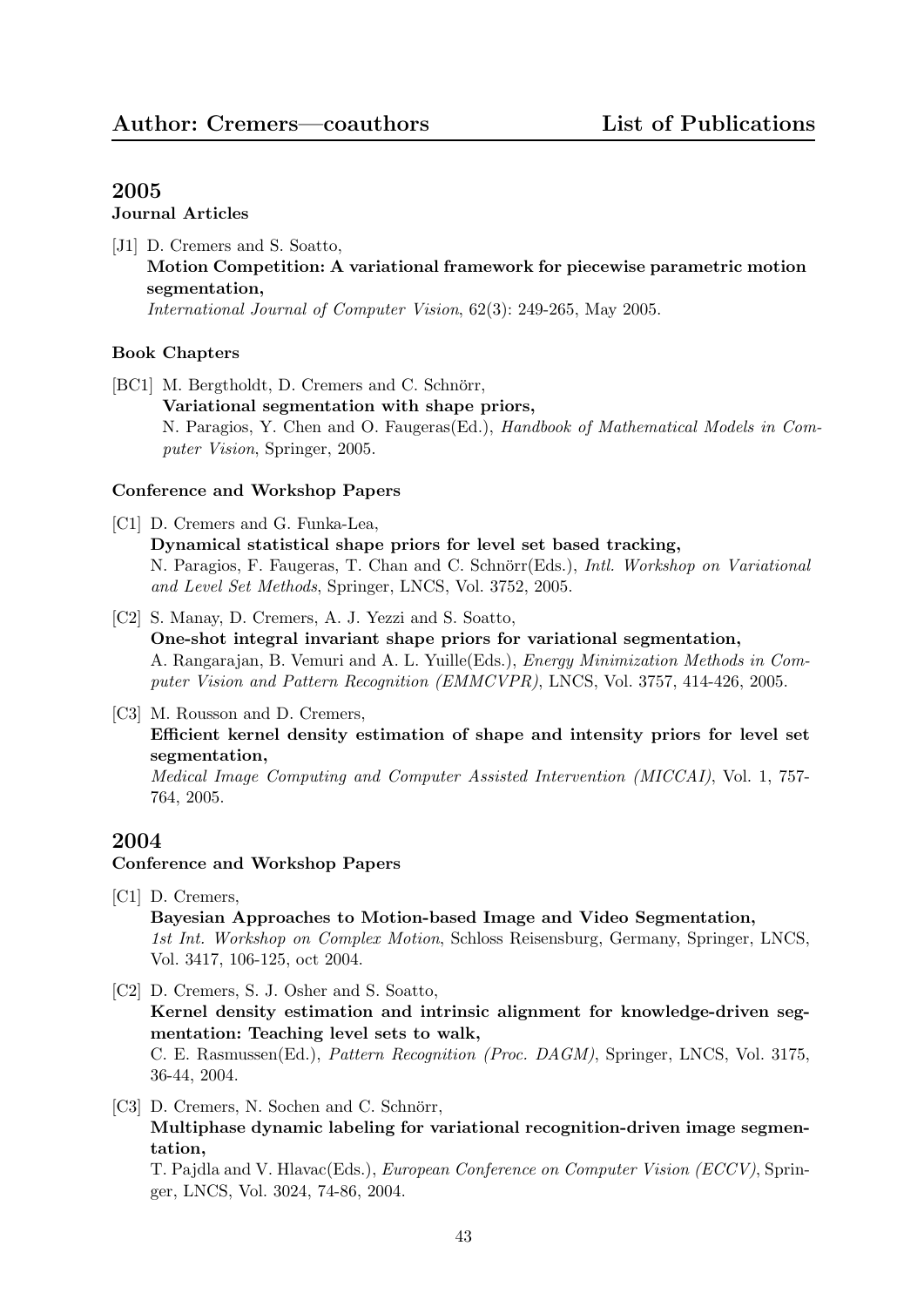#### Journal Articles

[J1] D. Cremers and S. Soatto, Motion Competition: A variational framework for piecewise parametric motion segmentation, International Journal of Computer Vision, 62(3): 249-265, May 2005.

## Book Chapters

[BC1] M. Bergtholdt, D. Cremers and C. Schnörr, Variational segmentation with shape priors, N. Paragios, Y. Chen and O. Faugeras(Ed.), Handbook of Mathematical Models in Computer Vision, Springer, 2005.

## Conference and Workshop Papers

- [C1] D. Cremers and G. Funka-Lea, Dynamical statistical shape priors for level set based tracking, N. Paragios, F. Faugeras, T. Chan and C. Schnörr(Eds.), *Intl. Workshop on Variational* and Level Set Methods, Springer, LNCS, Vol. 3752, 2005.
- [C2] S. Manay, D. Cremers, A. J. Yezzi and S. Soatto, One-shot integral invariant shape priors for variational segmentation, A. Rangarajan, B. Vemuri and A. L. Yuille(Eds.), Energy Minimization Methods in Computer Vision and Pattern Recognition (EMMCVPR), LNCS, Vol. 3757, 414-426, 2005.

#### [C3] M. Rousson and D. Cremers,

Efficient kernel density estimation of shape and intensity priors for level set segmentation,

Medical Image Computing and Computer Assisted Intervention (MICCAI), Vol. 1, 757- 764, 2005.

# 2004

## Conference and Workshop Papers

- [C1] D. Cremers, Bayesian Approaches to Motion-based Image and Video Segmentation, 1st Int. Workshop on Complex Motion, Schloss Reisensburg, Germany, Springer, LNCS, Vol. 3417, 106-125, oct 2004.
- [C2] D. Cremers, S. J. Osher and S. Soatto, Kernel density estimation and intrinsic alignment for knowledge-driven segmentation: Teaching level sets to walk, C. E. Rasmussen(Ed.), Pattern Recognition (Proc. DAGM), Springer, LNCS, Vol. 3175, 36-44, 2004.
- [C3] D. Cremers, N. Sochen and C. Schnörr, Multiphase dynamic labeling for variational recognition-driven image segmentation,

T. Pajdla and V. Hlavac(Eds.), European Conference on Computer Vision (ECCV), Springer, LNCS, Vol. 3024, 74-86, 2004.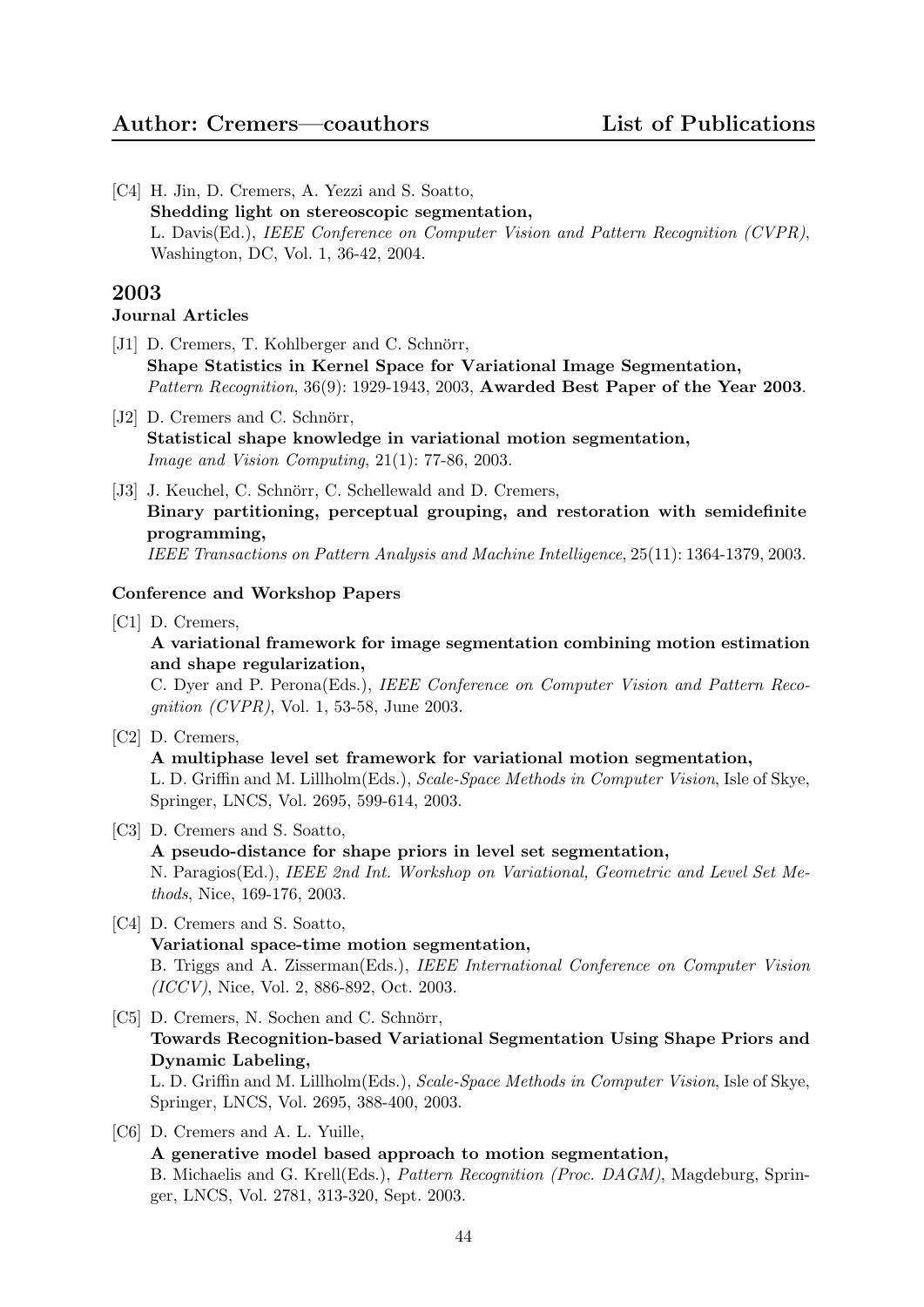[C4] H. Jin, D. Cremers, A. Yezzi and S. Soatto, Shedding light on stereoscopic segmentation, L. Davis(Ed.), IEEE Conference on Computer Vision and Pattern Recognition (CVPR), Washington, DC, Vol. 1, 36-42, 2004.

# 2003

# Journal Articles

- [J1] D. Cremers, T. Kohlberger and C. Schnörr, Shape Statistics in Kernel Space for Variational Image Segmentation, Pattern Recognition, 36(9): 1929-1943, 2003, Awarded Best Paper of the Year 2003.
- [J2] D. Cremers and C. Schnörr, Statistical shape knowledge in variational motion segmentation, Image and Vision Computing, 21(1): 77-86, 2003.
- [J3] J. Keuchel, C. Schnörr, C. Schellewald and D. Cremers, Binary partitioning, perceptual grouping, and restoration with semidefinite programming, IEEE Transactions on Pattern Analysis and Machine Intelligence, 25(11): 1364-1379, 2003.

# Conference and Workshop Papers

[C1] D. Cremers,

A variational framework for image segmentation combining motion estimation and shape regularization,

C. Dyer and P. Perona(Eds.), IEEE Conference on Computer Vision and Pattern Recognition (CVPR), Vol. 1, 53-58, June 2003.

- [C2] D. Cremers, A multiphase level set framework for variational motion segmentation, L. D. Griffin and M. Lillholm(Eds.), Scale-Space Methods in Computer Vision, Isle of Skye, Springer, LNCS, Vol. 2695, 599-614, 2003.
- [C3] D. Cremers and S. Soatto, A pseudo-distance for shape priors in level set segmentation, N. Paragios(Ed.), IEEE 2nd Int. Workshop on Variational, Geometric and Level Set Methods, Nice, 169-176, 2003.
- [C4] D. Cremers and S. Soatto, Variational space-time motion segmentation, B. Triggs and A. Zisserman(Eds.), IEEE International Conference on Computer Vision (ICCV), Nice, Vol. 2, 886-892, Oct. 2003.
- [C5] D. Cremers, N. Sochen and C. Schnörr, Towards Recognition-based Variational Segmentation Using Shape Priors and Dynamic Labeling, L. D. Griffin and M. Lillholm(Eds.), Scale-Space Methods in Computer Vision, Isle of Skye, Springer, LNCS, Vol. 2695, 388-400, 2003.
- [C6] D. Cremers and A. L. Yuille, A generative model based approach to motion segmentation, B. Michaelis and G. Krell(Eds.), Pattern Recognition (Proc. DAGM), Magdeburg, Springer, LNCS, Vol. 2781, 313-320, Sept. 2003.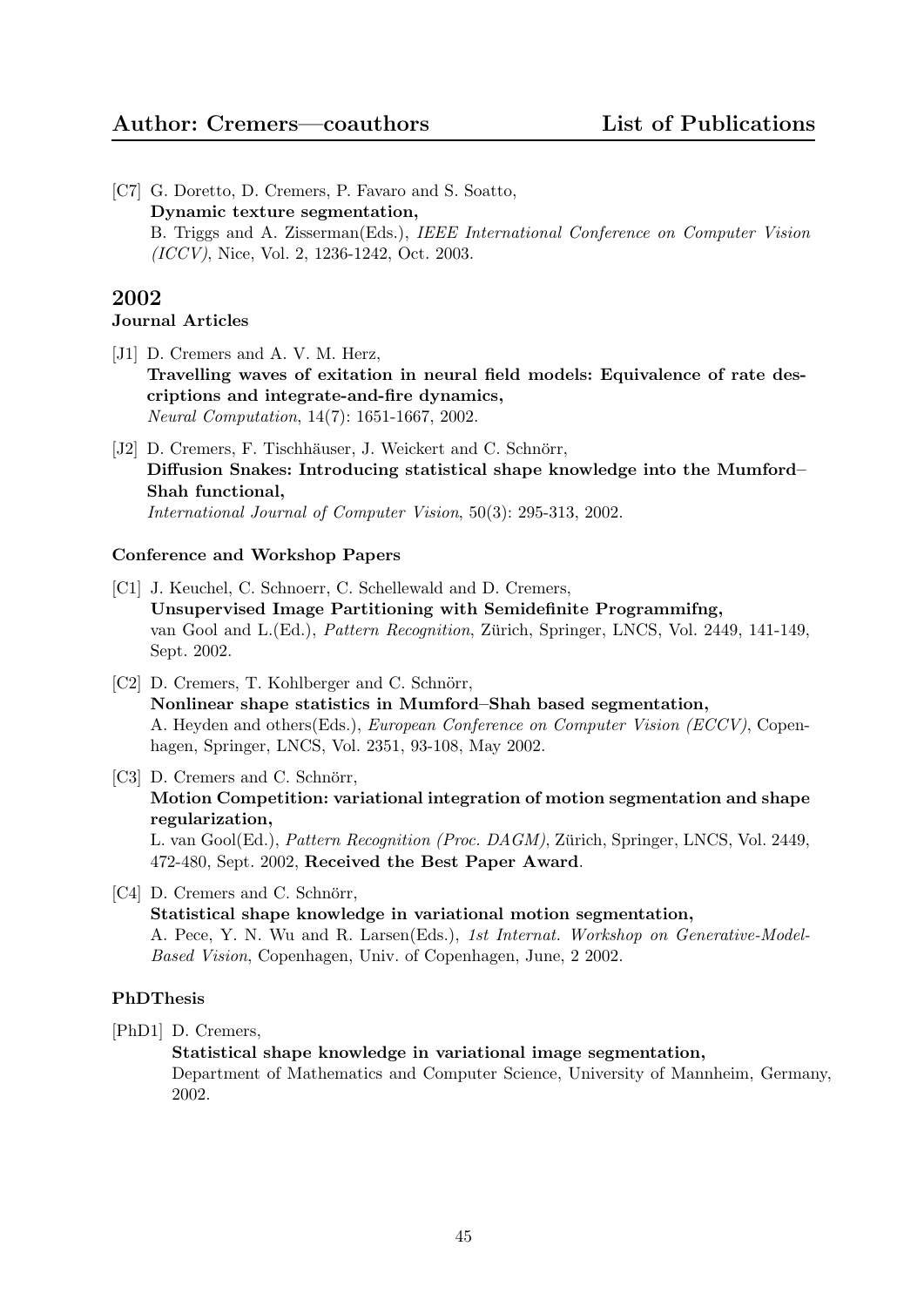[C7] G. Doretto, D. Cremers, P. Favaro and S. Soatto, Dynamic texture segmentation, B. Triggs and A. Zisserman(Eds.), IEEE International Conference on Computer Vision (ICCV), Nice, Vol. 2, 1236-1242, Oct. 2003.

# 2002

# Journal Articles

- [J1] D. Cremers and A. V. M. Herz, Travelling waves of exitation in neural field models: Equivalence of rate descriptions and integrate-and-fire dynamics, Neural Computation, 14(7): 1651-1667, 2002.
- [J2] D. Cremers, F. Tischhäuser, J. Weickert and C. Schnörr, Diffusion Snakes: Introducing statistical shape knowledge into the Mumford– Shah functional, International Journal of Computer Vision, 50(3): 295-313, 2002.

# Conference and Workshop Papers

- [C1] J. Keuchel, C. Schnoerr, C. Schellewald and D. Cremers, Unsupervised Image Partitioning with Semidefinite Programmifng, van Gool and L.(Ed.), *Pattern Recognition*, Zürich, Springer, LNCS, Vol. 2449, 141-149, Sept. 2002.
- [C2] D. Cremers, T. Kohlberger and C. Schnörr, Nonlinear shape statistics in Mumford–Shah based segmentation, A. Heyden and others(Eds.), European Conference on Computer Vision (ECCV), Copenhagen, Springer, LNCS, Vol. 2351, 93-108, May 2002.
- [C3] D. Cremers and C. Schnörr, Motion Competition: variational integration of motion segmentation and shape regularization, L. van Gool(Ed.), Pattern Recognition (Proc. DAGM), Zürich, Springer, LNCS, Vol. 2449, 472-480, Sept. 2002, Received the Best Paper Award.
- [C4] D. Cremers and C. Schnörr, Statistical shape knowledge in variational motion segmentation, A. Pece, Y. N. Wu and R. Larsen(Eds.), 1st Internat. Workshop on Generative-Model-Based Vision, Copenhagen, Univ. of Copenhagen, June, 2 2002.

## PhDThesis

[PhD1] D. Cremers,

Statistical shape knowledge in variational image segmentation,

Department of Mathematics and Computer Science, University of Mannheim, Germany, 2002.